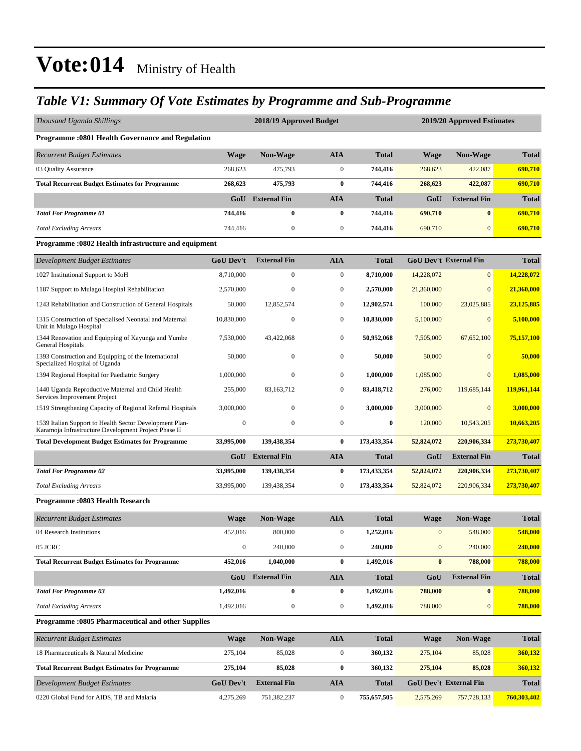### *Table V1: Summary Of Vote Estimates by Programme and Sub-Programme*

| Thousand Uganda Shillings                                                                                       |                  | 2018/19 Approved Budget |                  |              | 2019/20 Approved Estimates |                               |              |  |  |  |  |
|-----------------------------------------------------------------------------------------------------------------|------------------|-------------------------|------------------|--------------|----------------------------|-------------------------------|--------------|--|--|--|--|
| <b>Programme: 0801 Health Governance and Regulation</b>                                                         |                  |                         |                  |              |                            |                               |              |  |  |  |  |
| <b>Recurrent Budget Estimates</b>                                                                               | <b>Wage</b>      | Non-Wage                | <b>AIA</b>       | Total        | <b>Wage</b>                | <b>Non-Wage</b>               | <b>Total</b> |  |  |  |  |
| 03 Quality Assurance                                                                                            | 268,623          | 475,793                 | $\boldsymbol{0}$ | 744,416      | 268,623                    | 422,087                       | 690.710      |  |  |  |  |
| <b>Total Recurrent Budget Estimates for Programme</b>                                                           | 268,623          | 475,793                 | $\bf{0}$         | 744,416      | 268,623                    | 422,087                       | 690,710      |  |  |  |  |
|                                                                                                                 | GoU              | <b>External Fin</b>     | <b>AIA</b>       | <b>Total</b> | GoU                        | <b>External Fin</b>           | <b>Total</b> |  |  |  |  |
| <b>Total For Programme 01</b>                                                                                   | 744,416          | $\bf{0}$                | $\bf{0}$         | 744,416      | 690,710                    | $\bf{0}$                      | 690,710      |  |  |  |  |
| <b>Total Excluding Arrears</b>                                                                                  | 744,416          | $\boldsymbol{0}$        | $\boldsymbol{0}$ | 744,416      | 690,710                    | $\mathbf{0}$                  | 690,710      |  |  |  |  |
| Programme: 0802 Health infrastructure and equipment                                                             |                  |                         |                  |              |                            |                               |              |  |  |  |  |
| Development Budget Estimates                                                                                    | <b>GoU Dev't</b> | <b>External Fin</b>     | <b>AIA</b>       | <b>Total</b> |                            | <b>GoU Dev't External Fin</b> | <b>Total</b> |  |  |  |  |
| 1027 Institutional Support to MoH                                                                               | 8,710,000        | $\mathbf{0}$            | $\boldsymbol{0}$ | 8,710,000    | 14,228,072                 | $\mathbf{0}$                  | 14,228,072   |  |  |  |  |
| 1187 Support to Mulago Hospital Rehabilitation                                                                  | 2,570,000        | $\boldsymbol{0}$        | $\mathbf{0}$     | 2,570,000    | 21,360,000                 | $\mathbf{0}$                  | 21,360,000   |  |  |  |  |
| 1243 Rehabilitation and Construction of General Hospitals                                                       | 50,000           | 12,852,574              | $\boldsymbol{0}$ | 12,902,574   | 100,000                    | 23,025,885                    | 23,125,885   |  |  |  |  |
| 1315 Construction of Specialised Neonatal and Maternal<br>Unit in Mulago Hospital                               | 10,830,000       | $\boldsymbol{0}$        | $\mathbf{0}$     | 10,830,000   | 5,100,000                  | $\mathbf{0}$                  | 5,100,000    |  |  |  |  |
| 1344 Renovation and Equipping of Kayunga and Yumbe<br>General Hospitals                                         | 7,530,000        | 43,422,068              | $\boldsymbol{0}$ | 50,952,068   | 7,505,000                  | 67,652,100                    | 75,157,100   |  |  |  |  |
| 1393 Construction and Equipping of the International<br>Specialized Hospital of Uganda                          | 50,000           | $\mathbf{0}$            | $\mathbf{0}$     | 50,000       | 50,000                     | $\mathbf{0}$                  | 50,000       |  |  |  |  |
| 1394 Regional Hospital for Paediatric Surgery                                                                   | 1,000,000        | $\boldsymbol{0}$        | $\mathbf{0}$     | 1.000.000    | 1,085,000                  | $\mathbf{0}$                  | 1,085,000    |  |  |  |  |
| 1440 Uganda Reproductive Maternal and Child Health<br>Services Improvement Project                              | 255,000          | 83,163,712              | $\mathbf{0}$     | 83,418,712   | 276,000                    | 119,685,144                   | 119,961,144  |  |  |  |  |
| 1519 Strengthening Capacity of Regional Referral Hospitals                                                      | 3,000,000        | $\mathbf{0}$            | $\boldsymbol{0}$ | 3,000,000    | 3,000,000                  | $\overline{0}$                | 3,000,000    |  |  |  |  |
| 1539 Italian Support to Health Sector Development Plan-<br>Karamoja Infrastructure Development Project Phase II | $\mathbf{0}$     | $\mathbf{0}$            | $\boldsymbol{0}$ | $\bf{0}$     | 120,000                    | 10,543,205                    | 10,663,205   |  |  |  |  |
| <b>Total Development Budget Estimates for Programme</b>                                                         | 33,995,000       | 139,438,354             | $\bf{0}$         | 173,433,354  | 52,824,072                 | 220,906,334                   | 273,730,407  |  |  |  |  |
|                                                                                                                 | GoU              | <b>External Fin</b>     | AIA              | <b>Total</b> | GoU                        | <b>External Fin</b>           | <b>Total</b> |  |  |  |  |
| <b>Total For Programme 02</b>                                                                                   | 33,995,000       | 139,438,354             | $\bf{0}$         | 173,433,354  | 52,824,072                 | 220,906,334                   | 273,730,407  |  |  |  |  |
| <b>Total Excluding Arrears</b>                                                                                  | 33,995,000       | 139,438,354             | $\mathbf{0}$     | 173,433,354  | 52,824,072                 | 220,906,334                   | 273,730,407  |  |  |  |  |
| <b>Programme: 0803 Health Research</b>                                                                          |                  |                         |                  |              |                            |                               |              |  |  |  |  |
| <b>Recurrent Budget Estimates</b>                                                                               | Wage             | Non-Wage                | AIA              | Total        | Wage                       | <b>Non-Wage</b>               | <b>Total</b> |  |  |  |  |
| 04 Research Institutions                                                                                        | 452,016          | 800,000                 | $\boldsymbol{0}$ | 1,252,016    | $\mathbf{0}$               | 548,000                       | 548,000      |  |  |  |  |
| 05 JCRC                                                                                                         | $\boldsymbol{0}$ | 240,000                 | $\boldsymbol{0}$ | 240,000      | $\mathbf{0}$               | 240,000                       | 240,000      |  |  |  |  |
| <b>Total Recurrent Budget Estimates for Programme</b>                                                           | 452,016          | 1,040,000               | $\bf{0}$         | 1,492,016    | $\bf{0}$                   | 788,000                       | 788,000      |  |  |  |  |
|                                                                                                                 |                  | GoU External Fin        | <b>AIA</b>       | <b>Total</b> | GoU                        | <b>External Fin</b>           | <b>Total</b> |  |  |  |  |
| <b>Total For Programme 03</b>                                                                                   | 1,492,016        | $\bf{0}$                | 0                | 1,492,016    | 788,000                    | $\bf{0}$                      | 788,000      |  |  |  |  |
| <b>Total Excluding Arrears</b>                                                                                  | 1,492,016        | $\boldsymbol{0}$        | $\boldsymbol{0}$ | 1,492,016    | 788,000                    | $\boldsymbol{0}$              | 788,000      |  |  |  |  |
| Programme :0805 Pharmaceutical and other Supplies                                                               |                  |                         |                  |              |                            |                               |              |  |  |  |  |
| <b>Recurrent Budget Estimates</b>                                                                               | Wage             | Non-Wage                | <b>AIA</b>       | <b>Total</b> | <b>Wage</b>                | Non-Wage                      | <b>Total</b> |  |  |  |  |
| 18 Pharmaceuticals & Natural Medicine                                                                           | 275,104          | 85,028                  | $\boldsymbol{0}$ | 360,132      | 275,104                    | 85,028                        | 360,132      |  |  |  |  |
| <b>Total Recurrent Budget Estimates for Programme</b>                                                           | 275,104          | 85,028                  | $\boldsymbol{0}$ | 360,132      | 275,104                    | 85,028                        | 360,132      |  |  |  |  |
| <b>Development Budget Estimates</b>                                                                             | <b>GoU Dev't</b> | <b>External Fin</b>     | AIA              | <b>Total</b> |                            | GoU Dev't External Fin        | <b>Total</b> |  |  |  |  |
| 0220 Global Fund for AIDS, TB and Malaria                                                                       | 4,275,269        | 751,382,237             | $\boldsymbol{0}$ | 755,657,505  | 2,575,269                  | 757,728,133                   | 760,303,402  |  |  |  |  |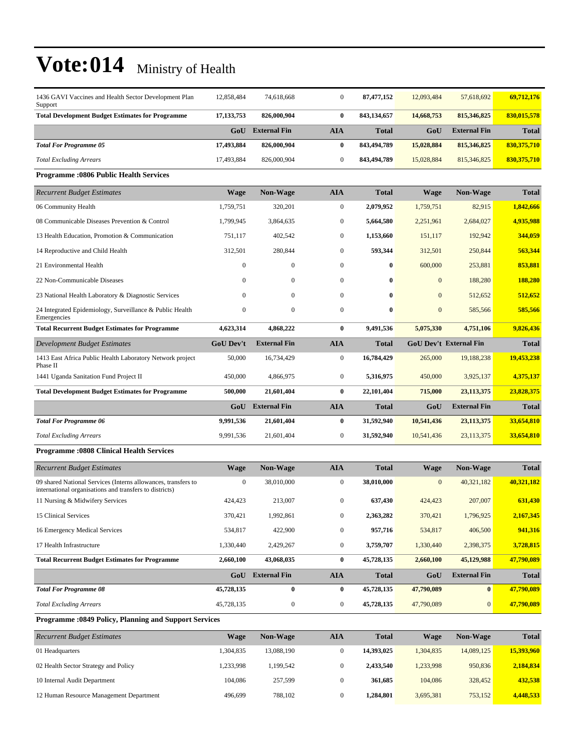| 1436 GAVI Vaccines and Health Sector Development Plan<br>Support                                                         | 12,858,484       | 74,618,668          | $\boldsymbol{0}$ | 87,477,152   | 12,093,484   | 57,618,692                    | 69,712,176    |
|--------------------------------------------------------------------------------------------------------------------------|------------------|---------------------|------------------|--------------|--------------|-------------------------------|---------------|
| <b>Total Development Budget Estimates for Programme</b>                                                                  | 17, 133, 753     | 826,000,904         | $\bf{0}$         | 843,134,657  | 14,668,753   | 815,346,825                   | 830,015,578   |
|                                                                                                                          | GoU              | <b>External Fin</b> | <b>AIA</b>       | Total        | GoU          | <b>External Fin</b>           | <b>Total</b>  |
| <b>Total For Programme 05</b>                                                                                            | 17,493,884       | 826,000,904         | $\bf{0}$         | 843,494,789  | 15,028,884   | 815,346,825                   | 830, 375, 710 |
| <b>Total Excluding Arrears</b>                                                                                           | 17,493,884       | 826,000,904         | $\boldsymbol{0}$ | 843,494,789  | 15,028,884   | 815, 346, 825                 | 830,375,710   |
| <b>Programme:0806 Public Health Services</b>                                                                             |                  |                     |                  |              |              |                               |               |
| <b>Recurrent Budget Estimates</b>                                                                                        | <b>Wage</b>      | Non-Wage            | AIA              | <b>Total</b> | Wage         | Non-Wage                      | <b>Total</b>  |
| 06 Community Health                                                                                                      | 1,759,751        | 320,201             | $\boldsymbol{0}$ | 2,079,952    | 1,759,751    | 82,915                        | 1,842,666     |
| 08 Communicable Diseases Prevention & Control                                                                            | 1,799,945        | 3,864,635           | $\boldsymbol{0}$ | 5,664,580    | 2,251,961    | 2,684,027                     | 4,935,988     |
| 13 Health Education, Promotion & Communication                                                                           | 751,117          | 402,542             | $\boldsymbol{0}$ | 1,153,660    | 151,117      | 192,942                       | 344,059       |
| 14 Reproductive and Child Health                                                                                         | 312,501          | 280,844             | $\boldsymbol{0}$ | 593,344      | 312,501      | 250,844                       | 563,344       |
| 21 Environmental Health                                                                                                  | $\mathbf{0}$     | $\mathbf{0}$        | $\boldsymbol{0}$ | 0            | 600,000      | 253,881                       | 853,881       |
| 22 Non-Communicable Diseases                                                                                             | $\Omega$         | 0                   | $\boldsymbol{0}$ | 0            | $\mathbf{0}$ | 188,280                       | 188,280       |
| 23 National Health Laboratory & Diagnostic Services                                                                      | $\Omega$         | $\mathbf{0}$        | $\boldsymbol{0}$ | 0            | $\mathbf{0}$ | 512,652                       | 512,652       |
| 24 Integrated Epidemiology, Surveillance & Public Health<br>Emergencies                                                  | $\boldsymbol{0}$ | $\boldsymbol{0}$    | $\boldsymbol{0}$ | 0            | $\mathbf{0}$ | 585,566                       | 585,566       |
| <b>Total Recurrent Budget Estimates for Programme</b>                                                                    | 4,623,314        | 4,868,222           | $\bf{0}$         | 9,491,536    | 5,075,330    | 4,751,106                     | 9,826,436     |
| Development Budget Estimates                                                                                             | <b>GoU Dev't</b> | <b>External Fin</b> | <b>AIA</b>       | Total        |              | <b>GoU Dev't External Fin</b> | <b>Total</b>  |
| 1413 East Africa Public Health Laboratory Network project<br>Phase II                                                    | 50,000           | 16,734,429          | $\boldsymbol{0}$ | 16,784,429   | 265,000      | 19,188,238                    | 19,453,238    |
| 1441 Uganda Sanitation Fund Project II                                                                                   | 450,000          | 4,866,975           | $\boldsymbol{0}$ | 5,316,975    | 450,000      | 3,925,137                     | 4,375,137     |
| <b>Total Development Budget Estimates for Programme</b>                                                                  | 500,000          | 21,601,404          | $\bf{0}$         | 22,101,404   | 715,000      | 23, 113, 375                  | 23,828,375    |
|                                                                                                                          | GoU              | <b>External Fin</b> | AIA              | Total        | GoU          | <b>External Fin</b>           | Total         |
| <b>Total For Programme 06</b>                                                                                            | 9,991,536        | 21,601,404          | 0                | 31,592,940   | 10,541,436   | 23, 113, 375                  | 33,654,810    |
| <b>Total Excluding Arrears</b>                                                                                           | 9,991,536        | 21,601,404          | $\boldsymbol{0}$ | 31,592,940   | 10,541,436   | 23,113,375                    | 33,654,810    |
| <b>Programme: 0808 Clinical Health Services</b>                                                                          |                  |                     |                  |              |              |                               |               |
| <b>Recurrent Budget Estimates</b>                                                                                        | <b>Wage</b>      | <b>Non-Wage</b>     | <b>AIA</b>       | <b>Total</b> | <b>Wage</b>  | Non-Wage                      | <b>Total</b>  |
| 09 shared National Services (Interns allowances, transfers to<br>international organisations and transfers to districts) | $\mathbf{0}$     | 38,010,000          | $\boldsymbol{0}$ | 38,010,000   | $\mathbf{0}$ | 40,321,182                    | 40,321,182    |
| 11 Nursing & Midwifery Services                                                                                          | 424,423          | 213,007             | 0                | 637,430      | 424,423      | 207,007                       | 631,430       |
| 15 Clinical Services                                                                                                     | 370,421          | 1,992,861           | 0                | 2,363,282    | 370,421      | 1,796,925                     | 2,167,345     |
| 16 Emergency Medical Services                                                                                            | 534,817          | 422,900             | 0                | 957,716      | 534,817      | 406,500                       | 941,316       |
| 17 Health Infrastructure                                                                                                 | 1,330,440        | 2,429,267           | $\boldsymbol{0}$ | 3,759,707    | 1,330,440    | 2,398,375                     | 3,728,815     |
| <b>Total Recurrent Budget Estimates for Programme</b>                                                                    | 2,660,100        | 43,068,035          | 0                | 45,728,135   | 2,660,100    | 45,129,988                    | 47,790,089    |
|                                                                                                                          | GoU              | <b>External Fin</b> | <b>AIA</b>       | <b>Total</b> | GoU          | <b>External Fin</b>           | <b>Total</b>  |
| <b>Total For Programme 08</b>                                                                                            | 45,728,135       | $\bf{0}$            | 0                | 45,728,135   | 47,790,089   | $\bf{0}$                      | 47,790,089    |
| <b>Total Excluding Arrears</b>                                                                                           | 45,728,135       | $\boldsymbol{0}$    | $\boldsymbol{0}$ | 45,728,135   | 47,790,089   | $\mathbf{0}$                  | 47,790,089    |
| Programme : 0849 Policy, Planning and Support Services                                                                   |                  |                     |                  |              |              |                               |               |
| <b>Recurrent Budget Estimates</b>                                                                                        | <b>Wage</b>      | Non-Wage            | <b>AIA</b>       | <b>Total</b> | <b>Wage</b>  | <b>Non-Wage</b>               | <b>Total</b>  |
| 01 Headquarters                                                                                                          | 1 304 835        | 13 088 190          | $\Omega$         | 14.393.025   | 1 304 835    | 14 089 125                    | 15.393.960    |

| 01 Headquarters                         | .304.835 | 13.088.190 | 14.393.025 | 1.304.835 | 14,089,125 | 15,393,960 |
|-----------------------------------------|----------|------------|------------|-----------|------------|------------|
| 02 Health Sector Strategy and Policy    | ,233,998 | .199.542   | 2.433.540  | 1,233,998 | 950,836    | 2,184,834  |
| 10 Internal Audit Department            | 104.086  | 257.599    | 361,685    | 104.086   | 328,452    | 432,538    |
| 12 Human Resource Management Department | 496.699  | 788,102    | 1.284.801  | 3,695,381 | 753,152    | 4,448,533  |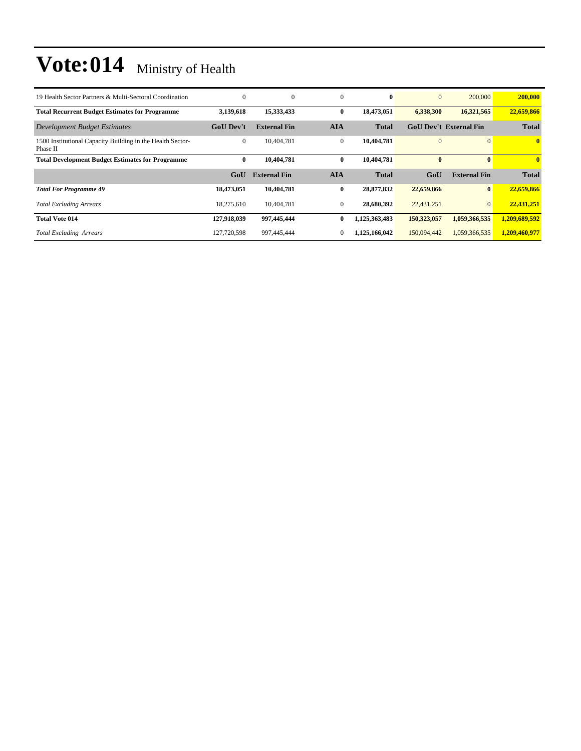| 19 Health Sector Partners & Multi-Sectoral Coordination                | $\Omega$         | $\mathbf{0}$        | $\mathbf{0}$ | $\bf{0}$      | $\mathbf{0}$   | 200,000                       | 200,000       |
|------------------------------------------------------------------------|------------------|---------------------|--------------|---------------|----------------|-------------------------------|---------------|
| <b>Total Recurrent Budget Estimates for Programme</b>                  | 3,139,618        | 15,333,433          | $\bf{0}$     | 18,473,051    | 6,338,300      | 16,321,565                    | 22,659,866    |
| <b>Development Budget Estimates</b>                                    | <b>GoU Dev't</b> | <b>External Fin</b> | <b>AIA</b>   | <b>Total</b>  |                | <b>GoU Dev't External Fin</b> | <b>Total</b>  |
| 1500 Institutional Capacity Building in the Health Sector-<br>Phase II | $\overline{0}$   | 10.404.781          | $\mathbf{0}$ | 10,404,781    | $\overline{0}$ |                               | $\mathbf{0}$  |
| <b>Total Development Budget Estimates for Programme</b>                | $\bf{0}$         | 10.404.781          | $\bf{0}$     | 10,404,781    | $\bf{0}$       |                               | $\mathbf{0}$  |
|                                                                        |                  |                     |              |               |                |                               |               |
|                                                                        | GoU              | <b>External Fin</b> | <b>AIA</b>   | <b>Total</b>  | GoU            | <b>External Fin</b>           | <b>Total</b>  |
| <b>Total For Programme 49</b>                                          | 18,473,051       | 10,404,781          | $\bf{0}$     | 28,877,832    | 22,659,866     |                               | 22,659,866    |
| <b>Total Excluding Arrears</b>                                         | 18,275,610       | 10,404,781          | $\mathbf{0}$ | 28,680,392    | 22,431,251     | $\mathbf{0}$                  | 22,431,251    |
| <b>Total Vote 014</b>                                                  | 127,918,039      | 997,445,444         | $\bf{0}$     | 1,125,363,483 | 150,323,057    | 1,059,366,535                 | 1,209,689,592 |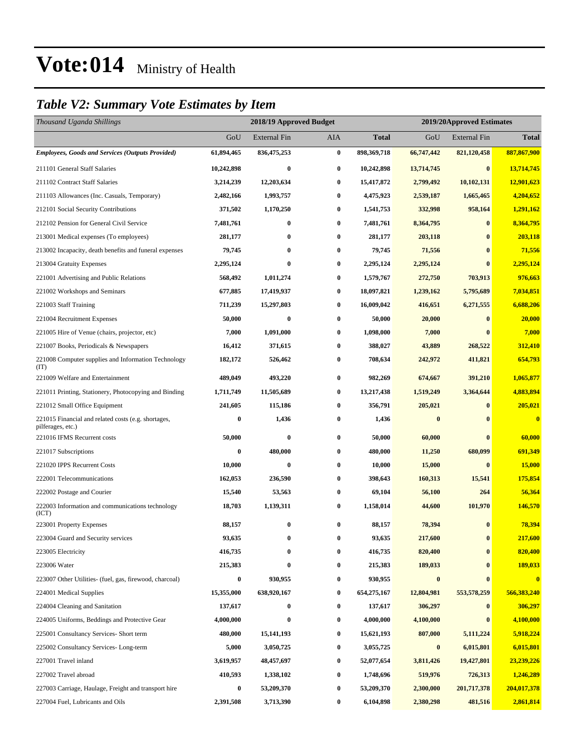### *Table V2: Summary Vote Estimates by Item*

| Thousand Uganda Shillings                                                |                  | 2018/19 Approved Budget |          |              | 2019/20Approved Estimates |                     |                         |
|--------------------------------------------------------------------------|------------------|-------------------------|----------|--------------|---------------------------|---------------------|-------------------------|
|                                                                          | GoU              | <b>External Fin</b>     | AIA      | <b>Total</b> | GoU                       | <b>External Fin</b> | <b>Total</b>            |
| <b>Employees, Goods and Services (Outputs Provided)</b>                  | 61,894,465       | 836,475,253             | $\bf{0}$ | 898,369,718  | 66,747,442                | 821,120,458         | 887,867,900             |
| 211101 General Staff Salaries                                            | 10,242,898       | $\bf{0}$                | $\bf{0}$ | 10,242,898   | 13,714,745                | $\bf{0}$            | 13,714,745              |
| 211102 Contract Staff Salaries                                           | 3,214,239        | 12,203,634              | $\bf{0}$ | 15,417,872   | 2,799,492                 | 10,102,131          | 12,901,623              |
| 211103 Allowances (Inc. Casuals, Temporary)                              | 2,482,166        | 1,993,757               | $\bf{0}$ | 4,475,923    | 2,539,187                 | 1,665,465           | 4,204,652               |
| 212101 Social Security Contributions                                     | 371,502          | 1,170,250               | 0        | 1,541,753    | 332,998                   | 958,164             | 1,291,162               |
| 212102 Pension for General Civil Service                                 | 7,481,761        | $\bf{0}$                | $\bf{0}$ | 7,481,761    | 8,364,795                 | $\bf{0}$            | 8,364,795               |
| 213001 Medical expenses (To employees)                                   | 281,177          | 0                       | $\bf{0}$ | 281,177      | 203,118                   | $\bf{0}$            | 203,118                 |
| 213002 Incapacity, death benefits and funeral expenses                   | 79,745           | $\bf{0}$                | $\bf{0}$ | 79,745       | 71,556                    | $\bf{0}$            | 71,556                  |
| 213004 Gratuity Expenses                                                 | 2,295,124        | $\bf{0}$                | $\bf{0}$ | 2,295,124    | 2,295,124                 | $\mathbf{0}$        | 2,295,124               |
| 221001 Advertising and Public Relations                                  | 568,492          | 1,011,274               | $\bf{0}$ | 1,579,767    | 272,750                   | 703,913             | 976,663                 |
| 221002 Workshops and Seminars                                            | 677,885          | 17,419,937              | $\bf{0}$ | 18,097,821   | 1,239,162                 | 5,795,689           | 7,034,851               |
| 221003 Staff Training                                                    | 711,239          | 15,297,803              | $\bf{0}$ | 16,009,042   | 416,651                   | 6,271,555           | 6,688,206               |
| 221004 Recruitment Expenses                                              | 50,000           | 0                       | $\bf{0}$ | 50,000       | 20,000                    | $\bf{0}$            | 20,000                  |
| 221005 Hire of Venue (chairs, projector, etc)                            | 7,000            | 1,091,000               | $\bf{0}$ | 1,098,000    | 7,000                     | $\mathbf{0}$        | 7,000                   |
| 221007 Books, Periodicals & Newspapers                                   | 16,412           | 371,615                 | 0        | 388,027      | 43,889                    | 268,522             | 312,410                 |
| 221008 Computer supplies and Information Technology<br>(TT)              | 182,172          | 526,462                 | $\bf{0}$ | 708,634      | 242,972                   | 411,821             | 654,793                 |
| 221009 Welfare and Entertainment                                         | 489,049          | 493,220                 | $\bf{0}$ | 982,269      | 674,667                   | 391,210             | 1,065,877               |
| 221011 Printing, Stationery, Photocopying and Binding                    | 1,711,749        | 11,505,689              | $\bf{0}$ | 13,217,438   | 1,519,249                 | 3,364,644           | 4,883,894               |
| 221012 Small Office Equipment                                            | 241,605          | 115,186                 | $\bf{0}$ | 356,791      | 205,021                   | $\bf{0}$            | 205,021                 |
| 221015 Financial and related costs (e.g. shortages,<br>pilferages, etc.) | 0                | 1,436                   | $\bf{0}$ | 1,436        | $\bf{0}$                  | $\bf{0}$            | $\overline{\mathbf{0}}$ |
| 221016 IFMS Recurrent costs                                              | 50,000           | 0                       | $\bf{0}$ | 50,000       | 60,000                    | $\bf{0}$            | 60,000                  |
| 221017 Subscriptions                                                     | 0                | 480,000                 | $\bf{0}$ | 480,000      | 11,250                    | 680,099             | 691,349                 |
| 221020 IPPS Recurrent Costs                                              | 10,000           | $\bf{0}$                | $\bf{0}$ | 10,000       | 15,000                    | $\bf{0}$            | <b>15,000</b>           |
| 222001 Telecommunications                                                | 162,053          | 236,590                 | $\bf{0}$ | 398,643      | 160,313                   | 15,541              | 175,854                 |
| 222002 Postage and Courier                                               | 15,540           | 53,563                  | $\bf{0}$ | 69,104       | 56,100                    | 264                 | 56,364                  |
| 222003 Information and communications technology<br>(ICT)                | 18,703           | 1,139,311               | $\bf{0}$ | 1,158,014    | 44,600                    | 101,970             | 146,570                 |
| 223001 Property Expenses                                                 | 88,157           | 0                       | $\bf{0}$ | 88,157       | 78,394                    | $\bf{0}$            | 78,394                  |
| 223004 Guard and Security services                                       | 93,635           | $\bf{0}$                | $\bf{0}$ | 93,635       | 217,600                   | $\bf{0}$            | 217,600                 |
| 223005 Electricity                                                       | 416,735          | 0                       | $\bf{0}$ | 416,735      | 820,400                   | $\bf{0}$            | 820,400                 |
| 223006 Water                                                             | 215,383          | $\bf{0}$                | $\bf{0}$ | 215,383      | 189,033                   | $\bf{0}$            | 189,033                 |
| 223007 Other Utilities- (fuel, gas, firewood, charcoal)                  | $\boldsymbol{0}$ | 930,955                 | $\bf{0}$ | 930,955      | $\bf{0}$                  | $\bf{0}$            | $\bf{0}$                |
| 224001 Medical Supplies                                                  | 15,355,000       | 638,920,167             | $\bf{0}$ | 654,275,167  | 12,804,981                | 553,578,259         | 566,383,240             |
| 224004 Cleaning and Sanitation                                           | 137,617          | 0                       | $\bf{0}$ | 137,617      | 306,297                   | $\bf{0}$            | 306,297                 |
| 224005 Uniforms, Beddings and Protective Gear                            | 4,000,000        | $\bf{0}$                | $\bf{0}$ | 4,000,000    | 4,100,000                 | $\bf{0}$            | 4,100,000               |
| 225001 Consultancy Services- Short term                                  | 480,000          | 15, 141, 193            | $\bf{0}$ | 15,621,193   | 807,000                   | 5,111,224           | 5,918,224               |
| 225002 Consultancy Services-Long-term                                    | 5,000            | 3,050,725               | 0        | 3,055,725    | $\bf{0}$                  | 6,015,801           | 6,015,801               |
| 227001 Travel inland                                                     | 3,619,957        | 48,457,697              | $\bf{0}$ | 52,077,654   | 3,811,426                 | 19,427,801          | 23,239,226              |
| 227002 Travel abroad                                                     | 410,593          | 1,338,102               | $\bf{0}$ | 1,748,696    | 519,976                   | 726,313             | 1,246,289               |
| 227003 Carriage, Haulage, Freight and transport hire                     | 0                | 53,209,370              | $\bf{0}$ | 53,209,370   | 2,300,000                 | 201,717,378         | 204,017,378             |
| 227004 Fuel, Lubricants and Oils                                         | 2,391,508        | 3,713,390               | $\bf{0}$ | 6,104,898    | 2,380,298                 | 481,516             | 2,861,814               |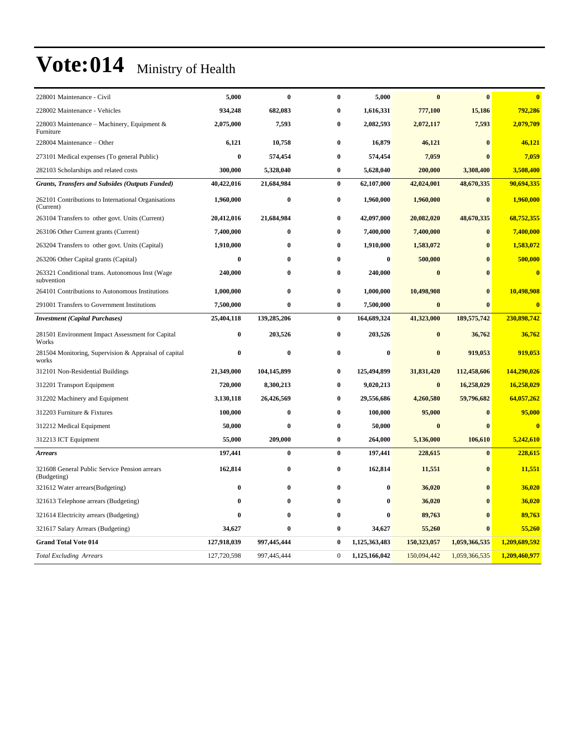| 228001 Maintenance - Civil                                       | 5,000       | $\bf{0}$    | $\bf{0}$     | 5,000         | $\bf{0}$    | $\bf{0}$      | $\overline{\mathbf{0}}$ |
|------------------------------------------------------------------|-------------|-------------|--------------|---------------|-------------|---------------|-------------------------|
| 228002 Maintenance - Vehicles                                    | 934,248     | 682,083     | $\bf{0}$     | 1,616,331     | 777,100     | 15,186        | 792,286                 |
| 228003 Maintenance – Machinery, Equipment &<br>Furniture         | 2,075,000   | 7,593       | $\bf{0}$     | 2,082,593     | 2,072,117   | 7,593         | 2,079,709               |
| 228004 Maintenance - Other                                       | 6,121       | 10,758      | $\bf{0}$     | 16,879        | 46,121      | $\bf{0}$      | 46,121                  |
| 273101 Medical expenses (To general Public)                      | $\bf{0}$    | 574,454     | $\bf{0}$     | 574,454       | 7,059       |               | 7,059                   |
| 282103 Scholarships and related costs                            | 300,000     | 5,328,040   | $\bf{0}$     | 5,628,040     | 200,000     | 3,308,400     | 3,508,400               |
| Grants, Transfers and Subsides (Outputs Funded)                  | 40,422,016  | 21,684,984  | $\bf{0}$     | 62,107,000    | 42,024,001  | 48,670,335    | 90,694,335              |
| 262101 Contributions to International Organisations<br>(Current) | 1,960,000   | $\bf{0}$    | $\bf{0}$     | 1,960,000     | 1,960,000   | $\bf{0}$      | 1,960,000               |
| 263104 Transfers to other govt. Units (Current)                  | 20,412,016  | 21,684,984  | $\bf{0}$     | 42,097,000    | 20,082,020  | 48,670,335    | 68,752,355              |
| 263106 Other Current grants (Current)                            | 7,400,000   | $\bf{0}$    | $\bf{0}$     | 7,400,000     | 7,400,000   | $\bf{0}$      | 7,400,000               |
| 263204 Transfers to other govt. Units (Capital)                  | 1,910,000   | $\bf{0}$    | $\bf{0}$     | 1,910,000     | 1,583,072   | $\bf{0}$      | 1,583,072               |
| 263206 Other Capital grants (Capital)                            | $\bf{0}$    | $\bf{0}$    | $\bf{0}$     | $\bf{0}$      | 500,000     | $\bf{0}$      | 500,000                 |
| 263321 Conditional trans. Autonomous Inst (Wage<br>subvention    | 240,000     | $\bf{0}$    | $\bf{0}$     | 240,000       | $\bf{0}$    | $\mathbf{0}$  | $\overline{\mathbf{0}}$ |
| 264101 Contributions to Autonomous Institutions                  | 1,000,000   | $\bf{0}$    | $\bf{0}$     | 1,000,000     | 10,498,908  | $\bf{0}$      | 10,498,908              |
| 291001 Transfers to Government Institutions                      | 7,500,000   | $\bf{0}$    | $\bf{0}$     | 7,500,000     | $\bf{0}$    | $\bf{0}$      | $\overline{\mathbf{0}}$ |
| <b>Investment</b> (Capital Purchases)                            | 25,404,118  | 139,285,206 | $\bf{0}$     | 164,689,324   | 41,323,000  | 189,575,742   | 230,898,742             |
| 281501 Environment Impact Assessment for Capital<br>Works        | $\bf{0}$    | 203,526     | $\bf{0}$     | 203,526       | $\bf{0}$    | 36,762        | 36,762                  |
| 281504 Monitoring, Supervision & Appraisal of capital<br>works   | $\bf{0}$    | $\bf{0}$    | $\bf{0}$     | $\bf{0}$      | $\bf{0}$    | 919,053       | 919,053                 |
| 312101 Non-Residential Buildings                                 | 21,349,000  | 104,145,899 | $\bf{0}$     | 125,494,899   | 31,831,420  | 112,458,606   | 144,290,026             |
| 312201 Transport Equipment                                       | 720,000     | 8,300,213   | $\bf{0}$     | 9,020,213     | $\bf{0}$    | 16,258,029    | 16,258,029              |
| 312202 Machinery and Equipment                                   | 3,130,118   | 26,426,569  | $\bf{0}$     | 29,556,686    | 4,260,580   | 59,796,682    | 64,057,262              |
| 312203 Furniture & Fixtures                                      | 100,000     | 0           | $\bf{0}$     | 100,000       | 95,000      | $\bf{0}$      | 95,000                  |
| 312212 Medical Equipment                                         | 50,000      | $\bf{0}$    | $\bf{0}$     | 50,000        | $\bf{0}$    | $\mathbf{0}$  | $\overline{0}$          |
| 312213 ICT Equipment                                             | 55,000      | 209,000     | $\bf{0}$     | 264,000       | 5,136,000   | 106,610       | 5,242,610               |
| <b>Arrears</b>                                                   | 197,441     | $\bf{0}$    | $\bf{0}$     | 197,441       | 228,615     | $\bf{0}$      | 228,615                 |
| 321608 General Public Service Pension arrears<br>(Budgeting)     | 162,814     | $\bf{0}$    | $\bf{0}$     | 162,814       | 11,551      | $\bf{0}$      | 11,551                  |
| 321612 Water arrears(Budgeting)                                  | $\bf{0}$    | $\bf{0}$    | $\bf{0}$     | $\bf{0}$      | 36,020      | $\bf{0}$      | 36,020                  |
| 321613 Telephone arrears (Budgeting)                             | $\bf{0}$    | $\bf{0}$    | $\bf{0}$     | $\bf{0}$      | 36,020      | $\bf{0}$      | 36,020                  |
| 321614 Electricity arrears (Budgeting)                           | $\bf{0}$    | $\bf{0}$    | $\bf{0}$     | $\bf{0}$      | 89,763      | $\bf{0}$      | 89,763                  |
| 321617 Salary Arrears (Budgeting)                                | 34,627      | $\bf{0}$    | $\bf{0}$     | 34,627        | 55,260      | $\bf{0}$      | 55,260                  |
| <b>Grand Total Vote 014</b>                                      | 127,918,039 | 997,445,444 | $\bf{0}$     | 1,125,363,483 | 150,323,057 | 1,059,366,535 | 1,209,689,592           |
| <b>Total Excluding Arrears</b>                                   | 127,720,598 | 997,445,444 | $\mathbf{0}$ | 1,125,166,042 | 150,094,442 | 1,059,366,535 | 1,209,460,977           |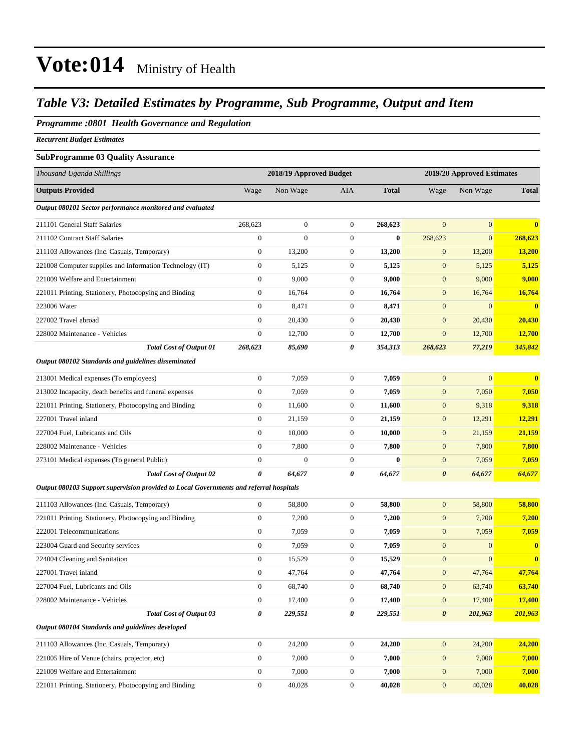### *Table V3: Detailed Estimates by Programme, Sub Programme, Output and Item*

### *Programme :0801 Health Governance and Regulation*

*Recurrent Budget Estimates*

### **SubProgramme 03 Quality Assurance**

| Thousand Uganda Shillings                                                              |                       | 2018/19 Approved Budget |                  |              |                       | 2019/20 Approved Estimates |               |
|----------------------------------------------------------------------------------------|-----------------------|-------------------------|------------------|--------------|-----------------------|----------------------------|---------------|
| <b>Outputs Provided</b>                                                                | Wage                  | Non Wage                | AIA              | <b>Total</b> | Wage                  | Non Wage                   | <b>Total</b>  |
| Output 080101 Sector performance monitored and evaluated                               |                       |                         |                  |              |                       |                            |               |
| 211101 General Staff Salaries                                                          | 268,623               | $\boldsymbol{0}$        | $\mathbf{0}$     | 268,623      | $\overline{0}$        | $\overline{0}$             | $\bf{0}$      |
| 211102 Contract Staff Salaries                                                         | $\mathbf{0}$          | $\overline{0}$          | 0                | $\bf{0}$     | 268,623               | $\overline{0}$             | 268,623       |
| 211103 Allowances (Inc. Casuals, Temporary)                                            | $\boldsymbol{0}$      | 13,200                  | 0                | 13,200       | $\mathbf{0}$          | 13,200                     | 13,200        |
| 221008 Computer supplies and Information Technology (IT)                               | $\boldsymbol{0}$      | 5,125                   | $\boldsymbol{0}$ | 5,125        | $\mathbf{0}$          | 5,125                      | 5,125         |
| 221009 Welfare and Entertainment                                                       | $\boldsymbol{0}$      | 9,000                   | 0                | 9,000        | $\mathbf{0}$          | 9,000                      | 9,000         |
| 221011 Printing, Stationery, Photocopying and Binding                                  | $\boldsymbol{0}$      | 16.764                  | 0                | 16,764       | $\mathbf{0}$          | 16,764                     | 16,764        |
| 223006 Water                                                                           | $\mathbf{0}$          | 8,471                   | $\mathbf{0}$     | 8,471        | $\mathbf{0}$          | $\overline{0}$             | $\bf{0}$      |
| 227002 Travel abroad                                                                   | $\mathbf{0}$          | 20,430                  | 0                | 20,430       | $\mathbf{0}$          | 20,430                     | 20,430        |
| 228002 Maintenance - Vehicles                                                          | $\boldsymbol{0}$      | 12,700                  | $\boldsymbol{0}$ | 12,700       | $\mathbf{0}$          | 12,700                     | <b>12,700</b> |
| <b>Total Cost of Output 01</b>                                                         | 268,623               | 85,690                  | 0                | 354,313      | 268,623               | 77,219                     | 345,842       |
| Output 080102 Standards and guidelines disseminated                                    |                       |                         |                  |              |                       |                            |               |
| 213001 Medical expenses (To employees)                                                 | $\boldsymbol{0}$      | 7,059                   | 0                | 7,059        | $\mathbf{0}$          | $\mathbf{0}$               | $\bf{0}$      |
| 213002 Incapacity, death benefits and funeral expenses                                 | $\mathbf{0}$          | 7,059                   | 0                | 7,059        | $\mathbf{0}$          | 7,050                      | 7,050         |
| 221011 Printing, Stationery, Photocopying and Binding                                  | $\boldsymbol{0}$      | 11,600                  | 0                | 11,600       | $\mathbf{0}$          | 9,318                      | 9,318         |
| 227001 Travel inland                                                                   | $\mathbf{0}$          | 21,159                  | $\mathbf{0}$     | 21,159       | $\mathbf{0}$          | 12,291                     | 12,291        |
| 227004 Fuel, Lubricants and Oils                                                       | $\mathbf{0}$          | 10,000                  | 0                | 10,000       | $\mathbf{0}$          | 21,159                     | 21,159        |
| 228002 Maintenance - Vehicles                                                          | $\mathbf{0}$          | 7,800                   | 0                | 7,800        | $\mathbf{0}$          | 7,800                      | 7,800         |
| 273101 Medical expenses (To general Public)                                            | $\mathbf{0}$          | $\boldsymbol{0}$        | $\mathbf{0}$     | $\bf{0}$     | $\mathbf{0}$          | 7,059                      | 7,059         |
| <b>Total Cost of Output 02</b>                                                         | $\boldsymbol{\theta}$ | 64,677                  | 0                | 64,677       | $\boldsymbol{\theta}$ | 64,677                     | 64,677        |
| Output 080103 Support supervision provided to Local Governments and referral hospitals |                       |                         |                  |              |                       |                            |               |
| 211103 Allowances (Inc. Casuals, Temporary)                                            | $\boldsymbol{0}$      | 58,800                  | $\boldsymbol{0}$ | 58,800       | $\mathbf{0}$          | 58,800                     | 58,800        |
| 221011 Printing, Stationery, Photocopying and Binding                                  | $\boldsymbol{0}$      | 7,200                   | 0                | 7,200        | $\mathbf{0}$          | 7,200                      | 7,200         |
| 222001 Telecommunications                                                              | $\mathbf{0}$          | 7,059                   | 0                | 7,059        | $\mathbf{0}$          | 7,059                      | 7,059         |
| 223004 Guard and Security services                                                     | $\mathbf{0}$          | 7,059                   | 0                | 7,059        | $\mathbf{0}$          | $\overline{0}$             | $\bf{0}$      |
| 224004 Cleaning and Sanitation                                                         | $\boldsymbol{0}$      | 15,529                  | 0                | 15,529       | $\mathbf{0}$          | $\overline{0}$             | $\mathbf{0}$  |
| 227001 Travel inland                                                                   | $\boldsymbol{0}$      | 47,764                  | 0                | 47,764       | $\mathbf{0}$          | 47,764                     | 47,764        |
| 227004 Fuel, Lubricants and Oils                                                       | $\boldsymbol{0}$      | 68,740                  | 0                | 68,740       | $\mathbf{0}$          | 63,740                     | 63,740        |
| 228002 Maintenance - Vehicles                                                          | $\boldsymbol{0}$      | 17,400                  | $\boldsymbol{0}$ | 17,400       | $\boldsymbol{0}$      | 17,400                     | 17,400        |
| <b>Total Cost of Output 03</b>                                                         | $\pmb{\theta}$        | 229,551                 | 0                | 229,551      | $\pmb{\theta}$        | 201,963                    | 201,963       |
| Output 080104 Standards and guidelines developed                                       |                       |                         |                  |              |                       |                            |               |
| 211103 Allowances (Inc. Casuals, Temporary)                                            | $\boldsymbol{0}$      | 24,200                  | $\boldsymbol{0}$ | 24,200       | $\mathbf{0}$          | 24,200                     | 24,200        |
| 221005 Hire of Venue (chairs, projector, etc)                                          | $\boldsymbol{0}$      | 7,000                   | $\boldsymbol{0}$ | 7,000        | $\boldsymbol{0}$      | 7,000                      | 7,000         |
| 221009 Welfare and Entertainment                                                       | $\boldsymbol{0}$      | 7,000                   | $\boldsymbol{0}$ | 7,000        | $\mathbf{0}$          | 7,000                      | 7,000         |
| 221011 Printing, Stationery, Photocopying and Binding                                  | $\boldsymbol{0}$      | 40,028                  | $\boldsymbol{0}$ | 40,028       | $\boldsymbol{0}$      | 40,028                     | 40,028        |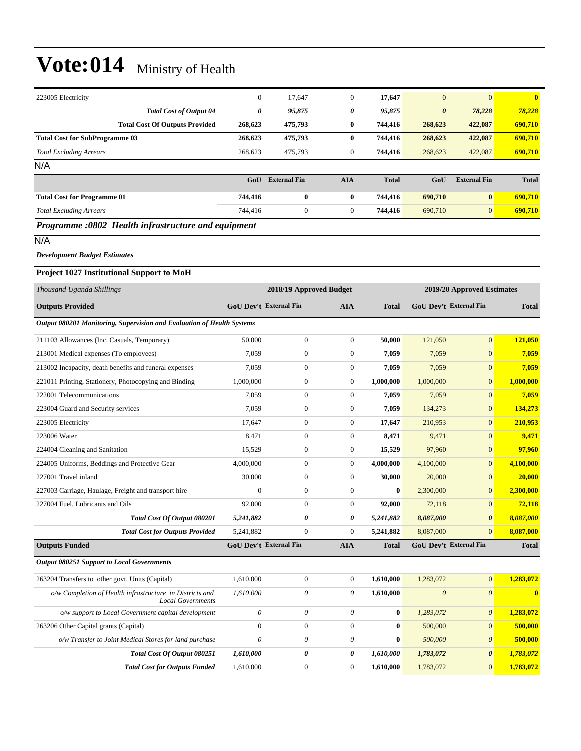| 223005 Electricity                                                                                                                                                                                                                                                                                                            | $\mathbf{0}$ | 17,647              | $\theta$   | 17,647       | $\overline{0}$        | $\overline{0}$      | $\mathbf{0}$ |
|-------------------------------------------------------------------------------------------------------------------------------------------------------------------------------------------------------------------------------------------------------------------------------------------------------------------------------|--------------|---------------------|------------|--------------|-----------------------|---------------------|--------------|
| <b>Total Cost of Output 04</b>                                                                                                                                                                                                                                                                                                | 0            | 95,875              | 0          | 95,875       | $\boldsymbol{\theta}$ | 78,228              | 78,228       |
| <b>Total Cost Of Outputs Provided</b>                                                                                                                                                                                                                                                                                         | 268,623      | 475,793             | $\bf{0}$   | 744,416      | 268,623               | 422,087             | 690,710      |
| <b>Total Cost for SubProgramme 03</b>                                                                                                                                                                                                                                                                                         | 268,623      | 475,793             | $\bf{0}$   | 744,416      | 268,623               | 422,087             | 690,710      |
| <b>Total Excluding Arrears</b>                                                                                                                                                                                                                                                                                                | 268,623      | 475,793             | $\theta$   | 744,416      | 268,623               | 422,087             | 690,710      |
| N/A                                                                                                                                                                                                                                                                                                                           |              |                     |            |              |                       |                     |              |
|                                                                                                                                                                                                                                                                                                                               | GoU          | <b>External Fin</b> | <b>AIA</b> | <b>Total</b> | GoU                   | <b>External Fin</b> | <b>Total</b> |
| <b>Total Cost for Programme 01</b>                                                                                                                                                                                                                                                                                            | 744,416      | $\bf{0}$            | $\bf{0}$   | 744,416      | 690,710               | $\bf{0}$            | 690,710      |
| <b>Total Excluding Arrears</b>                                                                                                                                                                                                                                                                                                | 744,416      | $\boldsymbol{0}$    | $\theta$   | 744,416      | 690,710               | $\overline{0}$      | 690,710      |
| $\mathbf{n}$ and $\mathbf{n}$ and $\mathbf{n}$ and $\mathbf{n}$ and $\mathbf{n}$ and $\mathbf{n}$ and $\mathbf{n}$ and $\mathbf{n}$ and $\mathbf{n}$ and $\mathbf{n}$ and $\mathbf{n}$ and $\mathbf{n}$ and $\mathbf{n}$ and $\mathbf{n}$ and $\mathbf{n}$ and $\mathbf{n}$ and $\mathbf{n}$ and $\mathbf{n}$ and $\mathbf{n$ |              |                     |            |              |                       |                     |              |

#### *Programme :0802 Health infrastructure and equipment*

N/A

#### *Development Budget Estimates*

#### **Project 1027 Institutional Support to MoH**

| Thousand Uganda Shillings                                                            |                               | 2018/19 Approved Budget |                  |              |                          | 2019/20 Approved Estimates    |              |  |
|--------------------------------------------------------------------------------------|-------------------------------|-------------------------|------------------|--------------|--------------------------|-------------------------------|--------------|--|
| <b>Outputs Provided</b>                                                              | <b>GoU Dev't External Fin</b> |                         | <b>AIA</b>       | <b>Total</b> |                          | <b>GoU Dev't External Fin</b> | <b>Total</b> |  |
| Output 080201 Monitoring, Supervision and Evaluation of Health Systems               |                               |                         |                  |              |                          |                               |              |  |
| 211103 Allowances (Inc. Casuals, Temporary)                                          | 50,000                        | $\boldsymbol{0}$        | $\mathbf{0}$     | 50,000       | 121,050                  | $\overline{0}$                | 121,050      |  |
| 213001 Medical expenses (To employees)                                               | 7,059                         | $\boldsymbol{0}$        | $\boldsymbol{0}$ | 7,059        | 7,059                    | $\overline{0}$                | 7,059        |  |
| 213002 Incapacity, death benefits and funeral expenses                               | 7.059                         | $\mathbf{0}$            | $\mathbf{0}$     | 7.059        | 7,059                    | $\overline{0}$                | 7,059        |  |
| 221011 Printing, Stationery, Photocopying and Binding                                | 1,000,000                     | $\mathbf{0}$            | $\mathbf{0}$     | 1,000,000    | 1,000,000                | $\overline{0}$                | 1,000,000    |  |
| 222001 Telecommunications                                                            | 7,059                         | $\boldsymbol{0}$        | $\mathbf{0}$     | 7,059        | 7,059                    | $\overline{0}$                | 7,059        |  |
| 223004 Guard and Security services                                                   | 7.059                         | $\overline{0}$          | $\overline{0}$   | 7,059        | 134,273                  | $\overline{0}$                | 134,273      |  |
| 223005 Electricity                                                                   | 17,647                        | $\overline{0}$          | $\overline{0}$   | 17,647       | 210,953                  | $\overline{0}$                | 210,953      |  |
| 223006 Water                                                                         | 8,471                         | $\boldsymbol{0}$        | $\boldsymbol{0}$ | 8,471        | 9,471                    | $\overline{0}$                | 9,471        |  |
| 224004 Cleaning and Sanitation                                                       | 15,529                        | $\boldsymbol{0}$        | $\overline{0}$   | 15,529       | 97,960                   | $\overline{0}$                | 97,960       |  |
| 224005 Uniforms, Beddings and Protective Gear                                        | 4,000,000                     | $\mathbf{0}$            | $\mathbf{0}$     | 4,000,000    | 4,100,000                | $\overline{0}$                | 4,100,000    |  |
| 227001 Travel inland                                                                 | 30,000                        | $\boldsymbol{0}$        | $\overline{0}$   | 30,000       | 20,000                   | $\overline{0}$                | 20,000       |  |
| 227003 Carriage, Haulage, Freight and transport hire                                 | $\mathbf{0}$                  | $\boldsymbol{0}$        | $\overline{0}$   | $\bf{0}$     | 2,300,000                | $\overline{0}$                | 2,300,000    |  |
| 227004 Fuel, Lubricants and Oils                                                     | 92,000                        | $\mathbf{0}$            | $\overline{0}$   | 92,000       | 72,118                   | $\overline{0}$                | 72,118       |  |
| Total Cost Of Output 080201                                                          | 5,241,882                     | 0                       | 0                | 5,241,882    | 8,087,000                | $\boldsymbol{\theta}$         | 8,087,000    |  |
| <b>Total Cost for Outputs Provided</b>                                               | 5,241,882                     | $\mathbf{0}$            | $\mathbf{0}$     | 5,241,882    | 8,087,000                | $\overline{0}$                | 8,087,000    |  |
| <b>Outputs Funded</b>                                                                | <b>GoU Dev't External Fin</b> |                         | <b>AIA</b>       | <b>Total</b> |                          | <b>GoU Dev't External Fin</b> | <b>Total</b> |  |
| <b>Output 080251 Support to Local Governments</b>                                    |                               |                         |                  |              |                          |                               |              |  |
| 263204 Transfers to other govt. Units (Capital)                                      | 1,610,000                     | $\boldsymbol{0}$        | $\boldsymbol{0}$ | 1,610,000    | 1,283,072                | $\boldsymbol{0}$              | 1,283,072    |  |
| o/w Completion of Health infrastructure in Districts and<br><b>Local Governments</b> | 1,610,000                     | 0                       | 0                | 1,610,000    | $\overline{\mathcal{O}}$ | $\theta$                      | $\mathbf{0}$ |  |
| o/w support to Local Government capital development                                  | $\boldsymbol{\theta}$         | $\theta$                | $\theta$         | $\bf{0}$     | 1,283,072                | $\boldsymbol{\theta}$         | 1,283,072    |  |
| 263206 Other Capital grants (Capital)                                                | $\mathbf{0}$                  | $\boldsymbol{0}$        | $\mathbf{0}$     | $\bf{0}$     | 500,000                  | $\overline{0}$                | 500,000      |  |
| o/w Transfer to Joint Medical Stores for land purchase                               | $\theta$                      | 0                       | $\theta$         | $\bf{0}$     | 500,000                  | $\boldsymbol{\theta}$         | 500,000      |  |
| Total Cost Of Output 080251                                                          | 1,610,000                     | 0                       | 0                | 1,610,000    | 1,783,072                | 0                             | 1,783,072    |  |
| <b>Total Cost for Outputs Funded</b>                                                 | 1.610.000                     | $\mathbf{0}$            | $\Omega$         | 1.610.000    | 1,783,072                | $\overline{0}$                | 1,783,072    |  |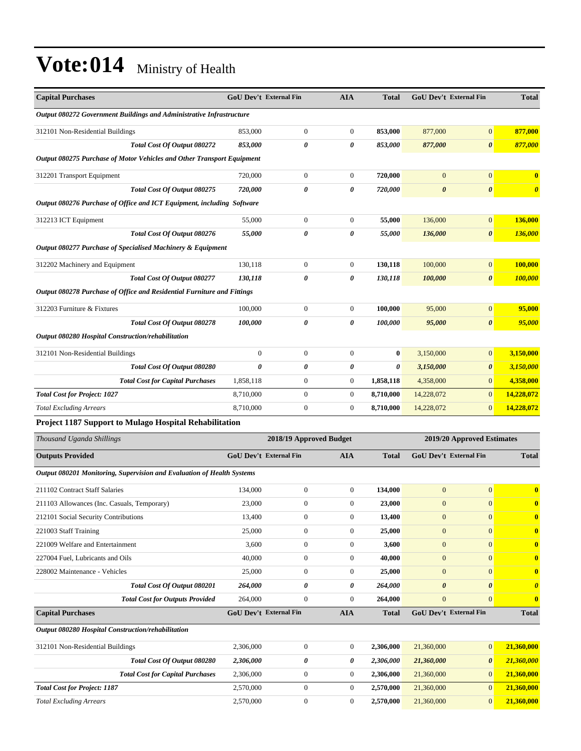| <b>Capital Purchases</b>                                                | <b>GoU Dev't External Fin</b> |                         | <b>AIA</b>            | <b>Total</b>          | <b>GoU Dev't External Fin</b> |                       | <b>Total</b>          |
|-------------------------------------------------------------------------|-------------------------------|-------------------------|-----------------------|-----------------------|-------------------------------|-----------------------|-----------------------|
| Output 080272 Government Buildings and Administrative Infrastructure    |                               |                         |                       |                       |                               |                       |                       |
| 312101 Non-Residential Buildings                                        | 853,000                       | $\boldsymbol{0}$        | $\boldsymbol{0}$      | 853,000               | 877,000                       | $\mathbf{0}$          | 877,000               |
| Total Cost Of Output 080272                                             | 853,000                       | 0                       | $\boldsymbol{\theta}$ | 853,000               | 877,000                       | $\boldsymbol{\theta}$ | 877,000               |
| Output 080275 Purchase of Motor Vehicles and Other Transport Equipment  |                               |                         |                       |                       |                               |                       |                       |
| 312201 Transport Equipment                                              | 720,000                       | $\mathbf{0}$            | $\boldsymbol{0}$      | 720,000               | $\mathbf{0}$                  | $\mathbf{0}$          | $\bf{0}$              |
| Total Cost Of Output 080275                                             | 720,000                       | 0                       | $\boldsymbol{\theta}$ | 720,000               | $\boldsymbol{\theta}$         | $\boldsymbol{\theta}$ | $\boldsymbol{\theta}$ |
| Output 080276 Purchase of Office and ICT Equipment, including Software  |                               |                         |                       |                       |                               |                       |                       |
| 312213 ICT Equipment                                                    | 55,000                        | $\mathbf{0}$            | $\boldsymbol{0}$      | 55,000                | 136,000                       | $\mathbf{0}$          | 136,000               |
| Total Cost Of Output 080276                                             | 55,000                        | 0                       | 0                     | 55,000                | 136,000                       | $\boldsymbol{\theta}$ | 136,000               |
| Output 080277 Purchase of Specialised Machinery & Equipment             |                               |                         |                       |                       |                               |                       |                       |
| 312202 Machinery and Equipment                                          | 130,118                       | $\mathbf{0}$            | $\mathbf{0}$          | 130,118               | 100,000                       | $\mathbf{0}$          | 100,000               |
| Total Cost Of Output 080277                                             | 130,118                       | 0                       | 0                     | 130,118               | 100,000                       | $\boldsymbol{\theta}$ | 100,000               |
| Output 080278 Purchase of Office and Residential Furniture and Fittings |                               |                         |                       |                       |                               |                       |                       |
| 312203 Furniture & Fixtures                                             | 100,000                       | $\mathbf{0}$            | $\mathbf{0}$          | 100,000               | 95,000                        | $\mathbf{0}$          | 95,000                |
| Total Cost Of Output 080278                                             | 100,000                       | 0                       | 0                     | 100,000               | 95,000                        | $\boldsymbol{\theta}$ | 95,000                |
| Output 080280 Hospital Construction/rehabilitation                      |                               |                         |                       |                       |                               |                       |                       |
| 312101 Non-Residential Buildings                                        | $\mathbf{0}$                  | $\mathbf{0}$            | $\mathbf{0}$          | $\bf{0}$              | 3,150,000                     | $\mathbf{0}$          | 3,150,000             |
| Total Cost Of Output 080280                                             | $\pmb{\theta}$                | 0                       | 0                     | $\boldsymbol{\theta}$ | 3,150,000                     | $\boldsymbol{\theta}$ | 3,150,000             |
| <b>Total Cost for Capital Purchases</b>                                 | 1,858,118                     | $\boldsymbol{0}$        | $\boldsymbol{0}$      | 1,858,118             | 4,358,000                     | $\mathbf{0}$          | 4,358,000             |
| <b>Total Cost for Project: 1027</b>                                     | 8,710,000                     | $\boldsymbol{0}$        | $\boldsymbol{0}$      | 8,710,000             | 14,228,072                    | $\mathbf{0}$          | 14,228,072            |
| <b>Total Excluding Arrears</b>                                          | 8,710,000                     | $\boldsymbol{0}$        | $\boldsymbol{0}$      | 8,710,000             | 14,228,072                    | $\mathbf{0}$          | 14,228,072            |
| Project 1187 Support to Mulago Hospital Rehabilitation                  |                               |                         |                       |                       |                               |                       |                       |
| Thousand Uganda Shillings                                               |                               | 2018/19 Approved Budget |                       |                       | 2019/20 Approved Estimates    |                       |                       |
| <b>Outputs Provided</b>                                                 | <b>GoU Dev't External Fin</b> |                         | <b>AIA</b>            | <b>Total</b>          | GoU Dev't External Fin        |                       | <b>Total</b>          |
| Output 080201 Monitoring, Supervision and Evaluation of Health Systems  |                               |                         |                       |                       |                               |                       |                       |
| 211102 Contract Staff Salaries                                          | 134,000                       | $\boldsymbol{0}$        | $\mathbf{0}$          | 134,000               | $\mathbf{0}$                  | $\mathbf{0}$          | $\bf{0}$              |
| 211103 Allowances (Inc. Casuals, Temporary)                             | 23,000                        | $\boldsymbol{0}$        | $\mathbf{0}$          | 23,000                | $\boldsymbol{0}$              | $\mathbf{0}$          | $\bf{0}$              |
| 212101 Social Security Contributions                                    | 13,400                        | $\boldsymbol{0}$        | $\boldsymbol{0}$      | 13,400                | $\boldsymbol{0}$              | $\boldsymbol{0}$      | $\bf{0}$              |
| 221003 Staff Training                                                   | 25,000                        | $\boldsymbol{0}$        | $\mathbf{0}$          | 25,000                | $\mathbf{0}$                  | $\mathbf{0}$          | $\bf{0}$              |
| 221009 Welfare and Entertainment                                        | 3,600                         | $\boldsymbol{0}$        | $\boldsymbol{0}$      | 3,600                 | $\mathbf{0}$                  | $\mathbf{0}$          | $\bf{0}$              |
| 227004 Fuel, Lubricants and Oils                                        | 40,000                        | $\boldsymbol{0}$        | $\boldsymbol{0}$      | 40,000                | $\boldsymbol{0}$              | $\mathbf{0}$          | $\bf{0}$              |
| 228002 Maintenance - Vehicles                                           | 25,000                        | $\boldsymbol{0}$        | $\boldsymbol{0}$      | 25,000                | $\boldsymbol{0}$              | $\mathbf{0}$          | $\bf{0}$              |
| Total Cost Of Output 080201                                             | 264,000                       | 0                       | 0                     | 264,000               | 0                             | $\boldsymbol{\theta}$ | $\boldsymbol{\theta}$ |
| <b>Total Cost for Outputs Provided</b>                                  | 264,000                       | $\boldsymbol{0}$        | $\mathbf{0}$          | 264,000               | $\mathbf{0}$                  | $\mathbf{0}$          | $\bf{0}$              |
| <b>Capital Purchases</b>                                                | GoU Dev't External Fin        |                         | <b>AIA</b>            | <b>Total</b>          | GoU Dev't External Fin        |                       | <b>Total</b>          |
| Output 080280 Hospital Construction/rehabilitation                      |                               |                         |                       |                       |                               |                       |                       |
| 312101 Non-Residential Buildings                                        | 2,306,000                     | $\boldsymbol{0}$        | $\boldsymbol{0}$      | 2,306,000             | 21,360,000                    | $\mathbf{0}$          | 21,360,000            |
| Total Cost Of Output 080280                                             | 2,306,000                     | 0                       | 0                     | 2,306,000             | 21,360,000                    | $\boldsymbol{\theta}$ | 21,360,000            |
| <b>Total Cost for Capital Purchases</b>                                 | 2,306,000                     | $\boldsymbol{0}$        | $\boldsymbol{0}$      | 2,306,000             | 21,360,000                    | $\mathbf{0}$          | 21,360,000            |
| <b>Total Cost for Project: 1187</b>                                     | 2,570,000                     | $\boldsymbol{0}$        | $\boldsymbol{0}$      | 2,570,000             | 21,360,000                    | $\mathbf{0}$          | 21,360,000            |
| <b>Total Excluding Arrears</b>                                          | 2,570,000                     | $\boldsymbol{0}$        | $\boldsymbol{0}$      | 2,570,000             | 21,360,000                    | $\mathbf{0}$          | 21,360,000            |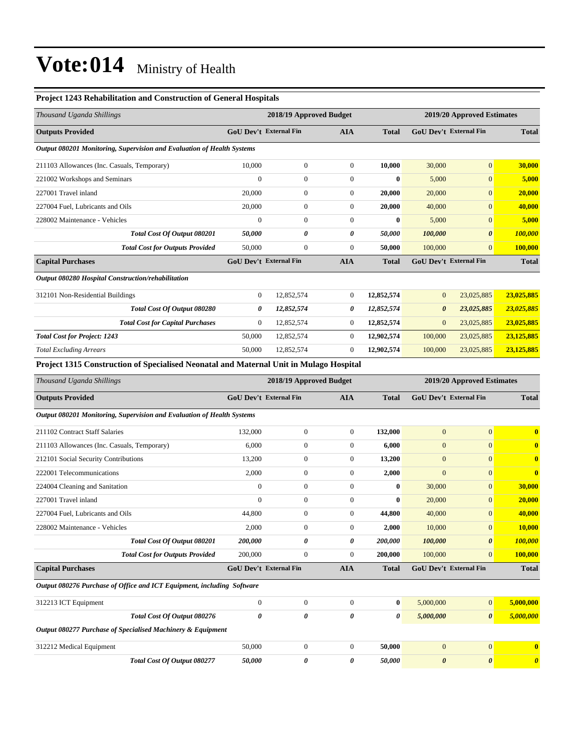### **Project 1243 Rehabilitation and Construction of General Hospitals**

| Thousand Uganda Shillings                                                              | 2018/19 Approved Budget<br>2019/20 Approved Estimates |                         |                  |              |                       |                               |                       |
|----------------------------------------------------------------------------------------|-------------------------------------------------------|-------------------------|------------------|--------------|-----------------------|-------------------------------|-----------------------|
| <b>Outputs Provided</b>                                                                | <b>GoU Dev't External Fin</b>                         |                         | <b>AIA</b>       | <b>Total</b> |                       | <b>GoU Dev't External Fin</b> | <b>Total</b>          |
| Output 080201 Monitoring, Supervision and Evaluation of Health Systems                 |                                                       |                         |                  |              |                       |                               |                       |
| 211103 Allowances (Inc. Casuals, Temporary)                                            | 10,000                                                | $\boldsymbol{0}$        | $\boldsymbol{0}$ | 10,000       | 30,000                | $\mathbf{0}$                  | 30,000                |
| 221002 Workshops and Seminars                                                          | $\mathbf{0}$                                          | $\boldsymbol{0}$        | $\boldsymbol{0}$ | $\bf{0}$     | 5,000                 | $\mathbf{0}$                  | 5,000                 |
| 227001 Travel inland                                                                   | 20,000                                                | $\boldsymbol{0}$        | $\boldsymbol{0}$ | 20,000       | 20,000                | $\mathbf{0}$                  | 20,000                |
| 227004 Fuel, Lubricants and Oils                                                       | 20,000                                                | $\boldsymbol{0}$        | $\boldsymbol{0}$ | 20,000       | 40,000                | $\mathbf{0}$                  | 40,000                |
| 228002 Maintenance - Vehicles                                                          | $\mathbf{0}$                                          | $\boldsymbol{0}$        | $\boldsymbol{0}$ | $\bf{0}$     | 5,000                 | $\mathbf{0}$                  | 5,000                 |
| Total Cost Of Output 080201                                                            | 50,000                                                | 0                       | 0                | 50,000       | 100,000               | $\boldsymbol{\theta}$         | 100,000               |
| <b>Total Cost for Outputs Provided</b>                                                 | 50,000                                                | $\boldsymbol{0}$        | $\boldsymbol{0}$ | 50,000       | 100,000               | $\mathbf{0}$                  | <b>100,000</b>        |
| <b>Capital Purchases</b>                                                               | <b>GoU Dev't External Fin</b>                         |                         | <b>AIA</b>       | <b>Total</b> |                       | GoU Dev't External Fin        | <b>Total</b>          |
| Output 080280 Hospital Construction/rehabilitation                                     |                                                       |                         |                  |              |                       |                               |                       |
| 312101 Non-Residential Buildings                                                       | $\boldsymbol{0}$                                      | 12,852,574              | $\mathbf{0}$     | 12,852,574   | $\mathbf{0}$          | 23,025,885                    | 23,025,885            |
| Total Cost Of Output 080280                                                            | $\boldsymbol{\theta}$                                 | 12,852,574              | 0                | 12,852,574   | $\boldsymbol{\theta}$ | 23,025,885                    | 23,025,885            |
| <b>Total Cost for Capital Purchases</b>                                                | $\mathbf{0}$                                          | 12,852,574              | $\boldsymbol{0}$ | 12,852,574   | $\boldsymbol{0}$      | 23,025,885                    | 23,025,885            |
| <b>Total Cost for Project: 1243</b>                                                    | 50,000                                                | 12,852,574              | $\boldsymbol{0}$ | 12,902,574   | 100,000               | 23,025,885                    | 23,125,885            |
| <b>Total Excluding Arrears</b>                                                         | 50,000                                                | 12,852,574              | $\boldsymbol{0}$ | 12,902,574   | 100,000               | 23,025,885                    | 23,125,885            |
| Project 1315 Construction of Specialised Neonatal and Maternal Unit in Mulago Hospital |                                                       |                         |                  |              |                       |                               |                       |
| Thousand Uganda Shillings                                                              |                                                       | 2018/19 Approved Budget |                  |              |                       | 2019/20 Approved Estimates    |                       |
| <b>Outputs Provided</b>                                                                | GoU Dev't External Fin                                |                         | <b>AIA</b>       | <b>Total</b> |                       | GoU Dev't External Fin        | <b>Total</b>          |
| Output 080201 Monitoring, Supervision and Evaluation of Health Systems                 |                                                       |                         |                  |              |                       |                               |                       |
| 211102 Contract Staff Salaries                                                         | 132,000                                               | $\boldsymbol{0}$        | $\boldsymbol{0}$ | 132,000      | $\overline{0}$        | $\boldsymbol{0}$              | $\bf{0}$              |
| 211103 Allowances (Inc. Casuals, Temporary)                                            | 6,000                                                 | $\boldsymbol{0}$        | $\boldsymbol{0}$ | 6,000        | $\mathbf{0}$          | $\boldsymbol{0}$              | $\bf{0}$              |
| 212101 Social Security Contributions                                                   | 13,200                                                | $\boldsymbol{0}$        | $\boldsymbol{0}$ | 13,200       | $\boldsymbol{0}$      | $\mathbf{0}$                  | $\mathbf{0}$          |
| 222001 Telecommunications                                                              | 2,000                                                 | $\boldsymbol{0}$        | $\boldsymbol{0}$ | 2,000        | $\mathbf{0}$          | $\mathbf{0}$                  | $\bf{0}$              |
| 224004 Cleaning and Sanitation                                                         | $\mathbf{0}$                                          | $\boldsymbol{0}$        | $\boldsymbol{0}$ | 0            | 30,000                | $\mathbf{0}$                  | 30,000                |
| 227001 Travel inland                                                                   | $\mathbf{0}$                                          | $\boldsymbol{0}$        | $\boldsymbol{0}$ | $\bf{0}$     | 20,000                | $\mathbf{0}$                  | 20,000                |
| 227004 Fuel, Lubricants and Oils                                                       | 44,800                                                | $\boldsymbol{0}$        | $\boldsymbol{0}$ | 44,800       | 40,000                | $\boldsymbol{0}$              | 40,000                |
| 228002 Maintenance - Vehicles                                                          | 2,000                                                 | $\boldsymbol{0}$        | $\mathbf{0}$     | 2,000        | 10,000                | $\mathbf{0}$                  | 10,000                |
| Total Cost Of Output 080201                                                            | 200,000                                               | 0                       | 0                | 200,000      | 100,000               | $\pmb{\theta}$                | 100,000               |
| <b>Total Cost for Outputs Provided</b>                                                 | 200,000                                               | $\boldsymbol{0}$        | $\boldsymbol{0}$ | 200,000      | 100,000               | $\mathbf{0}$                  | 100,000               |
| <b>Capital Purchases</b>                                                               | GoU Dev't External Fin                                |                         | <b>AIA</b>       | <b>Total</b> |                       | GoU Dev't External Fin        | <b>Total</b>          |
| Output 080276 Purchase of Office and ICT Equipment, including Software                 |                                                       |                         |                  |              |                       |                               |                       |
| 312213 ICT Equipment                                                                   | $\boldsymbol{0}$                                      | $\boldsymbol{0}$        | $\boldsymbol{0}$ | $\bf{0}$     | 5,000,000             | $\mathbf{0}$                  | 5,000,000             |
| Total Cost Of Output 080276                                                            | $\boldsymbol{\theta}$                                 | 0                       | 0                | 0            | 5,000,000             | $\boldsymbol{\theta}$         | 5,000,000             |
| Output 080277 Purchase of Specialised Machinery & Equipment                            |                                                       |                         |                  |              |                       |                               |                       |
| 312212 Medical Equipment                                                               | 50,000                                                | $\boldsymbol{0}$        | $\boldsymbol{0}$ | 50,000       | $\boldsymbol{0}$      | $\boldsymbol{0}$              | $\bf{0}$              |
| Total Cost Of Output 080277                                                            | 50,000                                                | 0                       | 0                | 50,000       | $\pmb{\theta}$        | $\pmb{\theta}$                | $\boldsymbol{\theta}$ |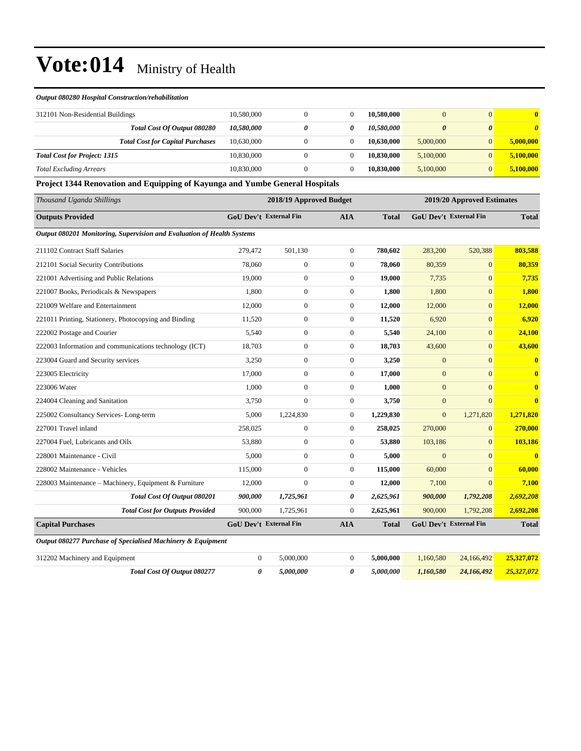#### *Output 080280 Hospital Construction/rehabilitation*

| 312101 Non-Residential Buildings    |                                         | 10,580,000 |  | 10.580,000 |           |   |           |
|-------------------------------------|-----------------------------------------|------------|--|------------|-----------|---|-----------|
|                                     | Total Cost Of Output 080280             | 10,580,000 |  | 10.580.000 |           | 0 | 0         |
|                                     | <b>Total Cost for Capital Purchases</b> | 10.630,000 |  | 10.630,000 | 5,000,000 |   | 5,000,000 |
| <b>Total Cost for Project: 1315</b> |                                         | 10.830,000 |  | 10.830,000 | 5,100,000 |   | 5,100,000 |
| <b>Total Excluding Arrears</b>      |                                         | 10,830,000 |  | 10.830,000 | 5,100,000 |   | 5,100,000 |

**Project 1344 Renovation and Equipping of Kayunga and Yumbe General Hospitals**

| Thousand Uganda Shillings                                              |                | 2018/19 Approved Budget       |                  |              |                  | 2019/20 Approved Estimates    |                         |  |
|------------------------------------------------------------------------|----------------|-------------------------------|------------------|--------------|------------------|-------------------------------|-------------------------|--|
| <b>Outputs Provided</b>                                                |                | <b>GoU Dev't External Fin</b> | <b>AIA</b>       | <b>Total</b> |                  | <b>GoU Dev't External Fin</b> | <b>Total</b>            |  |
| Output 080201 Monitoring, Supervision and Evaluation of Health Systems |                |                               |                  |              |                  |                               |                         |  |
| 211102 Contract Staff Salaries                                         | 279,472        | 501,130                       | $\theta$         | 780,602      | 283,200          | 520,388                       | 803,588                 |  |
| 212101 Social Security Contributions                                   | 78,060         | $\mathbf{0}$                  | $\theta$         | 78.060       | 80,359           | $\Omega$                      | 80,359                  |  |
| 221001 Advertising and Public Relations                                | 19,000         | $\boldsymbol{0}$              | $\theta$         | 19,000       | 7,735            | $\overline{0}$                | 7,735                   |  |
| 221007 Books, Periodicals & Newspapers                                 | 1,800          | $\boldsymbol{0}$              | $\theta$         | 1,800        | 1,800            | $\overline{0}$                | 1.800                   |  |
| 221009 Welfare and Entertainment                                       | 12,000         | $\boldsymbol{0}$              | $\overline{0}$   | 12,000       | 12,000           | $\overline{0}$                | 12,000                  |  |
| 221011 Printing, Stationery, Photocopying and Binding                  | 11,520         | $\boldsymbol{0}$              | $\boldsymbol{0}$ | 11,520       | 6,920            | $\boldsymbol{0}$              | 6,920                   |  |
| 222002 Postage and Courier                                             | 5,540          | $\boldsymbol{0}$              | $\theta$         | 5,540        | 24,100           | $\overline{0}$                | 24,100                  |  |
| 222003 Information and communications technology (ICT)                 | 18,703         | $\boldsymbol{0}$              | $\boldsymbol{0}$ | 18,703       | 43,600           | $\boldsymbol{0}$              | 43,600                  |  |
| 223004 Guard and Security services                                     | 3,250          | $\boldsymbol{0}$              | $\theta$         | 3,250        | $\mathbf{0}$     | $\overline{0}$                | $\overline{\mathbf{0}}$ |  |
| 223005 Electricity                                                     | 17,000         | $\overline{0}$                | $\theta$         | 17,000       | $\overline{0}$   | $\Omega$                      | $\overline{\mathbf{0}}$ |  |
| 223006 Water                                                           | 1,000          | $\boldsymbol{0}$              | $\theta$         | 1,000        | $\overline{0}$   | $\Omega$                      | $\overline{\mathbf{0}}$ |  |
| 224004 Cleaning and Sanitation                                         | 3,750          | $\boldsymbol{0}$              | $\boldsymbol{0}$ | 3,750        | $\boldsymbol{0}$ | $\overline{0}$                | $\mathbf{0}$            |  |
| 225002 Consultancy Services-Long-term                                  | 5,000          | 1,224,830                     | $\theta$         | 1,229,830    | $\overline{0}$   | 1,271,820                     | 1,271,820               |  |
| 227001 Travel inland                                                   | 258,025        | $\boldsymbol{0}$              | $\boldsymbol{0}$ | 258,025      | 270,000          | $\mathbf{0}$                  | 270,000                 |  |
| 227004 Fuel. Lubricants and Oils                                       | 53.880         | $\boldsymbol{0}$              | $\theta$         | 53,880       | 103,186          | $\mathbf{0}$                  | 103,186                 |  |
| 228001 Maintenance - Civil                                             | 5.000          | $\overline{0}$                | $\overline{0}$   | 5,000        | $\overline{0}$   | $\overline{0}$                | $\overline{\mathbf{0}}$ |  |
| 228002 Maintenance - Vehicles                                          | 115,000        | $\mathbf{0}$                  | $\overline{0}$   | 115,000      | 60,000           | $\overline{0}$                | 60,000                  |  |
| 228003 Maintenance - Machinery, Equipment & Furniture                  | 12,000         | $\mathbf{0}$                  | $\mathbf{0}$     | 12,000       | 7,100            | $\overline{0}$                | 7,100                   |  |
| Total Cost Of Output 080201                                            | 900,000        | 1,725,961                     | 0                | 2,625,961    | 900,000          | 1,792,208                     | 2,692,208               |  |
| <b>Total Cost for Outputs Provided</b>                                 | 900,000        | 1,725,961                     | $\theta$         | 2,625,961    | 900,000          | 1,792,208                     | 2,692,208               |  |
| <b>Capital Purchases</b>                                               |                | <b>GoU Dev't External Fin</b> | <b>AIA</b>       | <b>Total</b> |                  | <b>GoU Dev't External Fin</b> | <b>Total</b>            |  |
| Output 080277 Purchase of Specialised Machinery & Equipment            |                |                               |                  |              |                  |                               |                         |  |
| 312202 Machinery and Equipment                                         | $\overline{0}$ | 5,000,000                     | $\theta$         | 5,000,000    | 1,160,580        | 24,166,492                    | 25,327,072              |  |
| Total Cost Of Output 080277                                            | 0              | 5,000,000                     | 0                | 5,000,000    | 1,160,580        | 24,166,492                    | 25,327,072              |  |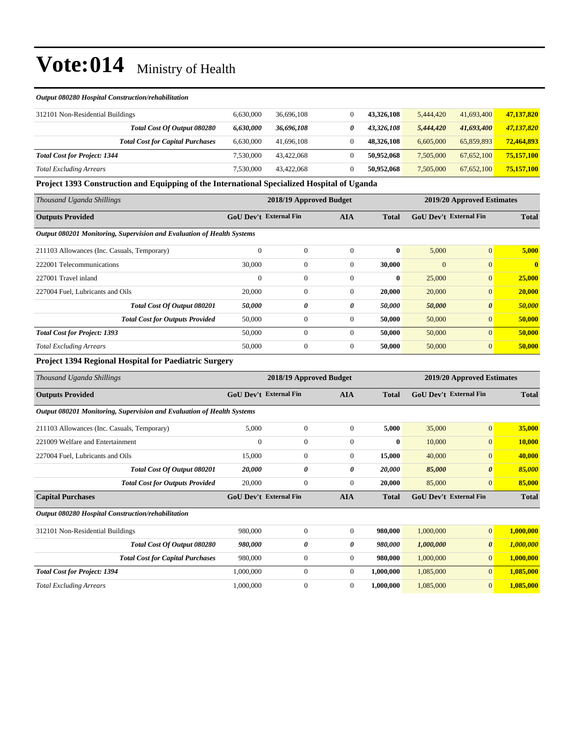#### *Output 080280 Hospital Construction/rehabilitation*

| 312101 Non-Residential Buildings    |                                         | 6.630,000 | 36,696,108 | 43,326,108 | 5.444,420 | 41,693,400 | 47,137,820 |
|-------------------------------------|-----------------------------------------|-----------|------------|------------|-----------|------------|------------|
|                                     | Total Cost Of Output 080280             | 6,630,000 | 36,696,108 | 43.326.108 | 5.444,420 | 41,693,400 | 47,137,820 |
|                                     | <b>Total Cost for Capital Purchases</b> | 6.630,000 | 41,696,108 | 48.326.108 | 6.605,000 | 65,859,893 | 72,464,893 |
| <b>Total Cost for Project: 1344</b> |                                         | 7.530.000 | 43.422.068 | 50.952.068 | 7.505,000 | 67,652,100 | 75,157,100 |
| <b>Total Excluding Arrears</b>      |                                         | 7,530,000 | 43.422.068 | 50.952.068 | 7.505,000 | 67,652,100 | 75,157,100 |

**Project 1393 Construction and Equipping of the International Specialized Hospital of Uganda**

| Thousand Uganda Shillings                                              | 2018/19 Approved Budget<br>2019/20 Approved Estimates |              |                |              |                               |                       |              |  |
|------------------------------------------------------------------------|-------------------------------------------------------|--------------|----------------|--------------|-------------------------------|-----------------------|--------------|--|
| <b>Outputs Provided</b>                                                | <b>GoU Dev't External Fin</b>                         | <b>AIA</b>   |                | <b>Total</b> | <b>GoU Dev't External Fin</b> |                       | <b>Total</b> |  |
| Output 080201 Monitoring, Supervision and Evaluation of Health Systems |                                                       |              |                |              |                               |                       |              |  |
| 211103 Allowances (Inc. Casuals, Temporary)                            | $\mathbf{0}$                                          | $\mathbf{0}$ | $\Omega$       | $\mathbf{0}$ | 5,000                         | $\overline{0}$        | 5,000        |  |
| 222001 Telecommunications                                              | 30,000                                                | $\mathbf{0}$ | $\Omega$       | 30,000       | $\mathbf{0}$                  | $\overline{0}$        | $\mathbf{0}$ |  |
| 227001 Travel inland                                                   | $\mathbf{0}$                                          | $\mathbf{0}$ | $\Omega$       | $\bf{0}$     | 25,000                        | $\mathbf{0}$          | 25,000       |  |
| 227004 Fuel, Lubricants and Oils                                       | 20,000                                                | $\mathbf{0}$ | $\mathbf{0}$   | 20,000       | 20,000                        | $\mathbf{0}$          | 20,000       |  |
| Total Cost Of Output 080201                                            | 50,000                                                | 0            | 0              | 50,000       | 50,000                        | $\boldsymbol{\theta}$ | 50,000       |  |
| <b>Total Cost for Outputs Provided</b>                                 | 50,000                                                | $\mathbf{0}$ | $\overline{0}$ | 50,000       | 50,000                        | $\mathbf{0}$          | 50,000       |  |
| <b>Total Cost for Project: 1393</b>                                    | 50,000                                                | $\mathbf{0}$ | $\Omega$       | 50,000       | 50,000                        | $\overline{0}$        | 50,000       |  |
| <b>Total Excluding Arrears</b>                                         | 50,000                                                | $\mathbf{0}$ | $\mathbf{0}$   | 50,000       | 50,000                        | $\overline{0}$        | 50,000       |  |

#### **Project 1394 Regional Hospital for Paediatric Surgery**

| Thousand Uganda Shillings                                              | 2018/19 Approved Budget       |                  |                |              | 2019/20 Approved Estimates    |                       |              |
|------------------------------------------------------------------------|-------------------------------|------------------|----------------|--------------|-------------------------------|-----------------------|--------------|
| <b>Outputs Provided</b>                                                | <b>GoU Dev't External Fin</b> |                  | <b>AIA</b>     | <b>Total</b> | <b>GoU Dev't External Fin</b> |                       | <b>Total</b> |
| Output 080201 Monitoring, Supervision and Evaluation of Health Systems |                               |                  |                |              |                               |                       |              |
| 211103 Allowances (Inc. Casuals, Temporary)                            | 5,000                         | $\mathbf{0}$     | $\mathbf{0}$   | 5,000        | 35,000                        | $\mathbf{0}$          | 35,000       |
| 221009 Welfare and Entertainment                                       | $\Omega$                      | $\mathbf{0}$     | $\mathbf{0}$   | $\bf{0}$     | 10,000                        | $\overline{0}$        | 10,000       |
| 227004 Fuel, Lubricants and Oils                                       | 15,000                        | $\overline{0}$   | $\mathbf{0}$   | 15,000       | 40,000                        | $\mathbf{0}$          | 40,000       |
| Total Cost Of Output 080201                                            | 20,000                        | 0                | 0              | 20,000       | 85,000                        | $\boldsymbol{\theta}$ | 85,000       |
| <b>Total Cost for Outputs Provided</b>                                 | 20,000                        | $\mathbf{0}$     | $\mathbf{0}$   | 20,000       | 85,000                        | $\overline{0}$        | 85,000       |
| <b>Capital Purchases</b>                                               | <b>GoU Dev't External Fin</b> |                  | <b>AIA</b>     | <b>Total</b> | <b>GoU Dev't External Fin</b> |                       | <b>Total</b> |
| Output 080280 Hospital Construction/rehabilitation                     |                               |                  |                |              |                               |                       |              |
| 312101 Non-Residential Buildings                                       | 980,000                       | $\mathbf{0}$     | $\overline{0}$ | 980,000      | 1,000,000                     | $\mathbf{0}$          | 1,000,000    |
| Total Cost Of Output 080280                                            | 980,000                       | 0                | 0              | 980,000      | 1,000,000                     | $\boldsymbol{\theta}$ | 1,000,000    |
| <b>Total Cost for Capital Purchases</b>                                | 980,000                       | $\mathbf{0}$     | $\mathbf{0}$   | 980,000      | 1,000,000                     | $\mathbf{0}$          | 1,000,000    |
| <b>Total Cost for Project: 1394</b>                                    | 1,000,000                     | $\mathbf{0}$     | $\mathbf{0}$   | 1,000,000    | 1,085,000                     | $\overline{0}$        | 1,085,000    |
| <b>Total Excluding Arrears</b>                                         | 1,000,000                     | $\boldsymbol{0}$ | $\mathbf{0}$   | 1,000,000    | 1,085,000                     | $\overline{0}$        | 1,085,000    |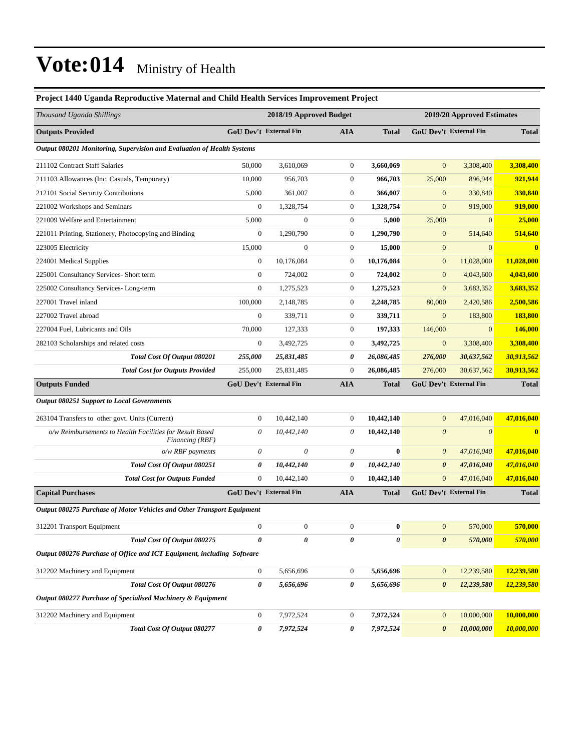### **Project 1440 Uganda Reproductive Maternal and Child Health Services Improvement Project** *Thousand Uganda Shillings* **2018/19 Approved Budget 2019/20 Approved Estimates Outputs Provided GoU Dev't External Fin AIA Total GoU Dev't External Fin Total** *Output 080201 Monitoring, Supervision and Evaluation of Health Systems* 211102 Contract Staff Salaries 50,000 3,610,069 0 **3,660,069** 0 3,308,400 **3,308,400** 211103 Allowances (Inc. Casuals, Temporary) 10,000 956,703 0 **966,703** 25,000 896,944 **921,944** 212101 Social Security Contributions 5,000 361,007 0 **366,007** 0 330,840 **330,840** 221002 Workshops and Seminars 0 1,328,754 0 **1,328,754** 0 919,000 **919,000** 221009 Welfare and Entertainment 5,000 0 0 **5,000** 25,000 0 **25,000** 221011 Printing, Stationery, Photocopying and Binding 0 1,290,790 0 **1,290,790** 0 514,640 **514,640** 223005 Electricity 15,000 0 0 **15,000** 0 0 **0** 224001 Medical Supplies 0 10,176,084 0 **10,176,084** 0 11,028,000 **11,028,000** 225001 Consultancy Services- Short term 0 724,002 0 **724,002** 0 4,043,600 **4,043,600** 225002 Consultancy Services- Long-term 0 1,275,523 0 **1,275,523** 0 3,683,352 **3,683,352** 227001 Travel inland 100,000 2,148,785 0 **2,248,785** 80,000 2,420,586 **2,500,586** 227002 Travel abroad 0 339,711 0 **339,711** 0 183,800 **183,800** 227004 Fuel, Lubricants and Oils 70,000 127,333 0 **197,333** 146,000 0 **146,000** 282103 Scholarships and related costs 0 3,492,725 0 **3,492,725** 0 3,308,400 **3,308,400** *Total Cost Of Output 080201 255,000 25,831,485 0 26,086,485 276,000 30,637,562 30,913,562 Total Cost for Outputs Provided* 255,000 25,831,485 0 **26,086,485** 276,000 30,637,562 **30,913,562 Outputs Funded GoU Dev't External Fin AIA Total GoU Dev't External Fin Total** *Output 080251 Support to Local Governments* 263104 Transfers to other govt. Units (Current) 0 10,442,140 0 **10,442,140** 0 47,016,040 **47,016,040** *o/w Reimbursements to Health Facilities for Result Based Financing (RBF) 0 10,442,140 0* **10,442,140** *0 0* **0** *o/w RBF payments 0 0 0* **0** *0 47,016,040* **47,016,040** *Total Cost Of Output 080251 0 10,442,140 0 10,442,140 0 47,016,040 47,016,040 Total Cost for Outputs Funded* 0 10,442,140 0 **10,442,140** 0 47,016,040 **47,016,040 Capital Purchases GoU Dev't External Fin AIA Total GoU Dev't External Fin Total** *Output 080275 Purchase of Motor Vehicles and Other Transport Equipment* 312201 Transport Equipment 0 0 0 **0** 0 570,000 **570,000** *Total Cost Of Output 080275 0 0 0 0 0 570,000 570,000 Output 080276 Purchase of Office and ICT Equipment, including Software* 312202 Machinery and Equipment 0 5,656,696 0 **5,656,696** 0 12,239,580 **12,239,580** *Total Cost Of Output 080276 0 5,656,696 0 5,656,696 0 12,239,580 12,239,580 Output 080277 Purchase of Specialised Machinery & Equipment* 312202 Machinery and Equipment 0 7,972,524 0 **7,972,524** 0 10,000,000 **10,000,000**

*Total Cost Of Output 080277 0 7,972,524 0 7,972,524 0 10,000,000 10,000,000*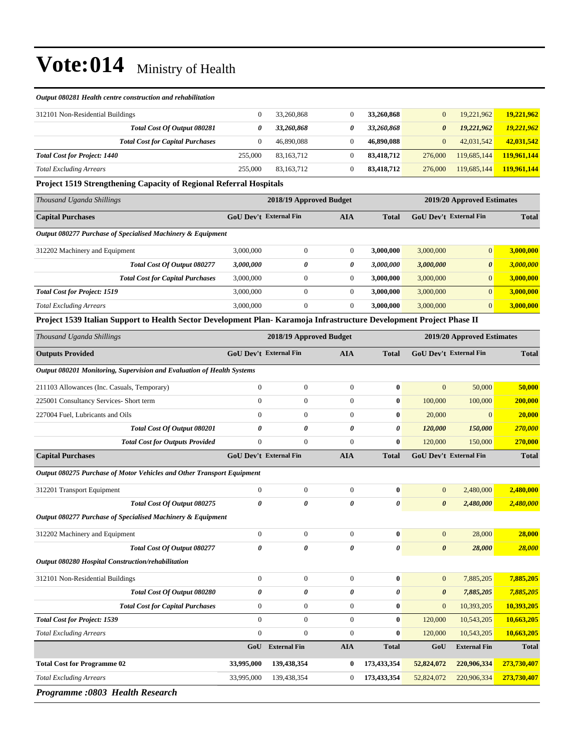#### *Output 080281 Health centre construction and rehabilitation*

| 312101 Non-Residential Buildings        |         | 33,260,868 | 33,260,868 | $\overline{0}$ | 19.221.962  | 19,221,962  |
|-----------------------------------------|---------|------------|------------|----------------|-------------|-------------|
| Total Cost Of Output 080281             |         | 33,260,868 | 33,260,868 | $\theta$       | 19.221.962  | 19,221,962  |
| <b>Total Cost for Capital Purchases</b> |         | 46,890,088 | 46,890,088 |                | 42,031,542  | 42,031,542  |
| <b>Total Cost for Project: 1440</b>     | 255,000 | 83.163.712 | 83.418.712 | 276,000        | 119,685,144 | 119,961,144 |
| <b>Total Excluding Arrears</b>          | 255,000 | 83.163.712 | 83.418.712 | 276,000        | 119,685,144 | 119,961,144 |

#### **Project 1519 Strengthening Capacity of Regional Referral Hospitals**

| Thousand Uganda Shillings                                   |                                                      | 2018/19 Approved Budget | 2019/20 Approved Estimates |           |                               |                |              |
|-------------------------------------------------------------|------------------------------------------------------|-------------------------|----------------------------|-----------|-------------------------------|----------------|--------------|
| <b>Capital Purchases</b>                                    | <b>GoU Dev't External Fin</b><br>AIA<br><b>Total</b> |                         |                            |           | <b>GoU</b> Dev't External Fin |                | <b>Total</b> |
| Output 080277 Purchase of Specialised Machinery & Equipment |                                                      |                         |                            |           |                               |                |              |
| 312202 Machinery and Equipment                              | 3,000,000                                            | $\boldsymbol{0}$        | $\mathbf{0}$               | 3,000,000 | 3,000,000                     | $\overline{0}$ | 3,000,000    |
| <b>Total Cost Of Output 080277</b>                          | 3,000,000                                            | 0                       | 0                          | 3.000.000 | 3,000,000                     | 0              | 3,000,000    |
| <b>Total Cost for Capital Purchases</b>                     | 3,000,000                                            | $\Omega$                | $\mathbf{0}$               | 3,000,000 | 3,000,000                     | $\overline{0}$ | 3,000,000    |
| <b>Total Cost for Project: 1519</b>                         | 3,000,000                                            | $\Omega$                | $\theta$                   | 3,000,000 | 3,000,000                     | $\Omega$       | 3,000,000    |
| <b>Total Excluding Arrears</b>                              | 3,000,000                                            | $\boldsymbol{0}$        | $\mathbf{0}$               | 3,000,000 | 3,000,000                     | $\overline{0}$ | 3,000,000    |

#### **Project 1539 Italian Support to Health Sector Development Plan- Karamoja Infrastructure Development Project Phase II**

| Thousand Uganda Shillings                                              |                  | 2018/19 Approved Budget       |                |              |                       | 2019/20 Approved Estimates    |              |  |  |
|------------------------------------------------------------------------|------------------|-------------------------------|----------------|--------------|-----------------------|-------------------------------|--------------|--|--|
| <b>Outputs Provided</b>                                                |                  | <b>GoU Dev't External Fin</b> | <b>AIA</b>     | <b>Total</b> |                       | <b>GoU Dev't External Fin</b> | <b>Total</b> |  |  |
| Output 080201 Monitoring, Supervision and Evaluation of Health Systems |                  |                               |                |              |                       |                               |              |  |  |
| 211103 Allowances (Inc. Casuals, Temporary)                            | $\overline{0}$   | $\mathbf{0}$                  | $\Omega$       | $\bf{0}$     | $\Omega$              | 50,000                        | 50,000       |  |  |
| 225001 Consultancy Services- Short term                                | $\mathbf{0}$     | $\mathbf{0}$                  | $\mathbf{0}$   | $\bf{0}$     | 100,000               | 100,000                       | 200,000      |  |  |
| 227004 Fuel, Lubricants and Oils                                       | $\Omega$         | $\boldsymbol{0}$              | $\mathbf{0}$   | $\bf{0}$     | 20,000                | $\Omega$                      | 20,000       |  |  |
| Total Cost Of Output 080201                                            | 0                | 0                             | 0              | 0            | 120,000               | 150,000                       | 270,000      |  |  |
| <b>Total Cost for Outputs Provided</b>                                 | $\overline{0}$   | $\mathbf{0}$                  | $\mathbf{0}$   | $\bf{0}$     | 120,000               | 150,000                       | 270,000      |  |  |
| <b>Capital Purchases</b>                                               |                  | <b>GoU Dev't External Fin</b> | <b>AIA</b>     | <b>Total</b> |                       | <b>GoU Dev't External Fin</b> | <b>Total</b> |  |  |
| Output 080275 Purchase of Motor Vehicles and Other Transport Equipment |                  |                               |                |              |                       |                               |              |  |  |
| 312201 Transport Equipment                                             | $\overline{0}$   | $\boldsymbol{0}$              | $\overline{0}$ | $\bf{0}$     | $\mathbf{0}$          | 2,480,000                     | 2,480,000    |  |  |
| <b>Total Cost Of Output 080275</b>                                     | 0                | $\theta$                      | $\theta$       | 0            | $\boldsymbol{\theta}$ | 2,480,000                     | 2,480,000    |  |  |
| Output 080277 Purchase of Specialised Machinery & Equipment            |                  |                               |                |              |                       |                               |              |  |  |
| 312202 Machinery and Equipment                                         | $\boldsymbol{0}$ | $\boldsymbol{0}$              | $\mathbf{0}$   | $\bf{0}$     | $\mathbf{0}$          | 28,000                        | 28,000       |  |  |
| Total Cost Of Output 080277                                            | 0                | $\theta$                      | 0              | 0            | $\boldsymbol{\theta}$ | 28,000                        | 28,000       |  |  |
| Output 080280 Hospital Construction/rehabilitation                     |                  |                               |                |              |                       |                               |              |  |  |
| 312101 Non-Residential Buildings                                       | $\overline{0}$   | $\boldsymbol{0}$              | $\overline{0}$ | $\bf{0}$     | $\mathbf{0}$          | 7,885,205                     | 7,885,205    |  |  |
| Total Cost Of Output 080280                                            | $\theta$         | $\theta$                      | $\theta$       | 0            | $\boldsymbol{\theta}$ | 7,885,205                     | 7,885,205    |  |  |
| <b>Total Cost for Capital Purchases</b>                                | $\overline{0}$   | $\boldsymbol{0}$              | $\mathbf{0}$   | $\bf{0}$     | $\overline{0}$        | 10,393,205                    | 10,393,205   |  |  |
| <b>Total Cost for Project: 1539</b>                                    | $\Omega$         | $\mathbf{0}$                  | $\Omega$       | $\bf{0}$     | 120,000               | 10,543,205                    | 10,663,205   |  |  |
| <b>Total Excluding Arrears</b>                                         | $\overline{0}$   | $\mathbf{0}$                  | $\mathbf{0}$   | $\bf{0}$     | 120,000               | 10,543,205                    | 10,663,205   |  |  |
|                                                                        |                  | GoU External Fin              | <b>AIA</b>     | <b>Total</b> | GoU                   | <b>External Fin</b>           | <b>Total</b> |  |  |
| <b>Total Cost for Programme 02</b>                                     | 33,995,000       | 139,438,354                   | $\bf{0}$       | 173,433,354  | 52,824,072            | 220,906,334                   | 273,730,407  |  |  |
| <b>Total Excluding Arrears</b>                                         | 33,995,000       | 139,438,354                   | $\mathbf{0}$   | 173,433,354  | 52,824,072            | 220,906,334                   | 273,730,407  |  |  |
| Drogramme .0202 Health Desearch                                        |                  |                               |                |              |                       |                               |              |  |  |

*Programme :0803 Health Research*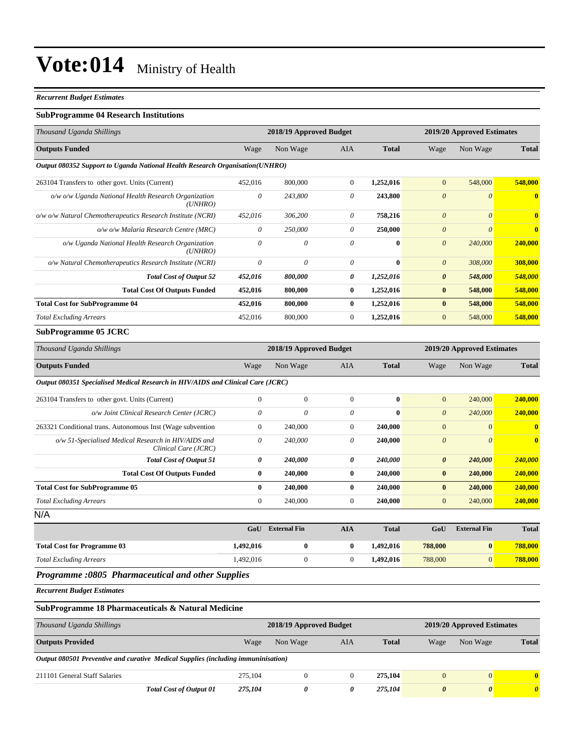#### *Recurrent Budget Estimates*

#### **SubProgramme 04 Research Institutions**

| Thousand Uganda Shillings                                                       |                                                       | 2018/19 Approved Budget |                           |              |                       | 2019/20 Approved Estimates |              |  |
|---------------------------------------------------------------------------------|-------------------------------------------------------|-------------------------|---------------------------|--------------|-----------------------|----------------------------|--------------|--|
| <b>Outputs Funded</b>                                                           | Wage                                                  | Non Wage                | AIA                       | <b>Total</b> | Wage                  | Non Wage                   | <b>Total</b> |  |
| Output 080352 Support to Uganda National Health Research Organisation(UNHRO)    |                                                       |                         |                           |              |                       |                            |              |  |
| 263104 Transfers to other govt. Units (Current)                                 | 452,016                                               | 800,000                 | $\overline{0}$            | 1,252,016    | $\mathbf{0}$          | 548,000                    | 548,000      |  |
| o/w o/w Uganda National Health Research Organization<br>(UNHRO)                 | $\theta$                                              | 243,800                 | $\theta$                  | 243,800      | $\boldsymbol{\theta}$ | $\theta$                   | $\bf{0}$     |  |
| o/w o/w Natural Chemotherapeutics Research Institute (NCRI)                     | 452,016                                               | 306,200                 | $\boldsymbol{\mathit{0}}$ | 758,216      | $\boldsymbol{\theta}$ | $\boldsymbol{\theta}$      | $\mathbf{0}$ |  |
| o/w o/w Malaria Research Centre (MRC)                                           | $\theta$                                              | 250,000                 | $\theta$                  | 250,000      | $\boldsymbol{\theta}$ | $\theta$                   | $\bf{0}$     |  |
| o/w Uganda National Health Research Organization<br>(UNHRO)                     | $\theta$                                              | $\theta$                | $\theta$                  | $\bf{0}$     | $\boldsymbol{\theta}$ | 240,000                    | 240,000      |  |
| o/w Natural Chemotherapeutics Research Institute (NCRI)                         | $\theta$                                              | $\theta$                | $\boldsymbol{\mathit{0}}$ | $\bf{0}$     | $\boldsymbol{\theta}$ | 308,000                    | 308,000      |  |
| <b>Total Cost of Output 52</b>                                                  | 452,016                                               | 800,000                 | 0                         | 1,252,016    | $\boldsymbol{\theta}$ | 548,000                    | 548,000      |  |
| <b>Total Cost Of Outputs Funded</b>                                             | 452,016                                               | 800,000                 | $\bf{0}$                  | 1,252,016    | $\bf{0}$              | 548,000                    | 548,000      |  |
| <b>Total Cost for SubProgramme 04</b>                                           | 452,016                                               | 800,000                 | $\bf{0}$                  | 1,252,016    | $\bf{0}$              | 548,000                    | 548,000      |  |
| <b>Total Excluding Arrears</b>                                                  | 452,016                                               | 800,000                 | $\boldsymbol{0}$          | 1,252,016    | $\mathbf{0}$          | 548,000                    | 548,000      |  |
| <b>SubProgramme 05 JCRC</b>                                                     |                                                       |                         |                           |              |                       |                            |              |  |
| Thousand Uganda Shillings                                                       | 2018/19 Approved Budget<br>2019/20 Approved Estimates |                         |                           |              |                       |                            |              |  |
| <b>Outputs Funded</b>                                                           | Wage                                                  | Non Wage                | AIA                       | <b>Total</b> | Wage                  | Non Wage                   | <b>Total</b> |  |
| Output 080351 Specialised Medical Research in HIV/AIDS and Clinical Care (JCRC) |                                                       |                         |                           |              |                       |                            |              |  |
| 263104 Transfers to other govt. Units (Current)                                 | $\boldsymbol{0}$                                      | $\mathbf{0}$            | $\overline{0}$            | $\bf{0}$     | $\mathbf{0}$          | 240,000                    | 240,000      |  |
| o/w Joint Clinical Research Center (JCRC)                                       | $\theta$                                              | 0                       | $\theta$                  | $\bf{0}$     | $\theta$              | 240,000                    | 240,000      |  |
| 263321 Conditional trans. Autonomous Inst (Wage subvention                      | $\mathbf{0}$                                          | 240,000                 | $\boldsymbol{0}$          | 240,000      | $\mathbf{0}$          | $\mathbf{0}$               | $\mathbf{0}$ |  |
| o/w 51-Specialised Medical Research in HIV/AIDS and<br>Clinical Care (JCRC)     | $\boldsymbol{\theta}$                                 | 240,000                 | 0                         | 240,000      | $\boldsymbol{\theta}$ | $\theta$                   | $\mathbf{0}$ |  |
| <b>Total Cost of Output 51</b>                                                  | $\boldsymbol{\theta}$                                 | 240,000                 | 0                         | 240,000      | $\pmb{\theta}$        | 240,000                    | 240,000      |  |
| <b>Total Cost Of Outputs Funded</b>                                             | $\bf{0}$                                              | 240,000                 | $\bf{0}$                  | 240,000      | $\bf{0}$              | 240,000                    | 240,000      |  |
| <b>Total Cost for SubProgramme 05</b>                                           | $\bf{0}$                                              | 240,000                 | $\bf{0}$                  | 240,000      | $\bf{0}$              | 240,000                    | 240,000      |  |
| <b>Total Excluding Arrears</b>                                                  | $\mathbf{0}$                                          | 240,000                 | $\boldsymbol{0}$          | 240,000      | $\mathbf{0}$          | 240,000                    | 240,000      |  |
| N/A                                                                             |                                                       |                         |                           |              |                       |                            |              |  |
|                                                                                 | GoU                                                   | <b>External Fin</b>     | <b>AIA</b>                | <b>Total</b> | GoU                   | <b>External Fin</b>        | <b>Total</b> |  |
| <b>Total Cost for Programme 03</b>                                              | 1,492,016                                             | $\pmb{0}$               | $\bf{0}$                  | 1,492,016    | 788,000               | $\boldsymbol{0}$           | 788,000      |  |
| <b>Total Excluding Arrears</b>                                                  | 1,492,016                                             | $\boldsymbol{0}$        | $\boldsymbol{0}$          | 1,492,016    | 788,000               | $\mathbf{0}$               | 788,000      |  |
| <b>Programme :0805 Pharmaceutical and other Supplies</b>                        |                                                       |                         |                           |              |                       |                            |              |  |
| <b>Recurrent Budget Estimates</b>                                               |                                                       |                         |                           |              |                       |                            |              |  |
| SubProgramme 18 Pharmaceuticals & Natural Medicine                              |                                                       |                         |                           |              |                       |                            |              |  |

| Thousand Uganda Shillings                                                         | 2018/19 Approved Budget |          |          |              | 2019/20 Approved Estimates |                       |              |  |
|-----------------------------------------------------------------------------------|-------------------------|----------|----------|--------------|----------------------------|-----------------------|--------------|--|
| <b>Outputs Provided</b>                                                           | Wage                    | Non Wage | AIA      | <b>Total</b> | Wage                       | Non Wage              | <b>Total</b> |  |
| Output 080501 Preventive and curative Medical Supplies (including immuninisation) |                         |          |          |              |                            |                       |              |  |
| 211101 General Staff Salaries                                                     | 275.104                 |          | $\Omega$ | 275,104      | $\mathbf{0}$               |                       | $\mathbf{0}$ |  |
| <b>Total Cost of Output 01</b>                                                    | 275,104                 | 0        | 0        | 275,104      | $\boldsymbol{\theta}$      | $\boldsymbol{\theta}$ | $\theta$     |  |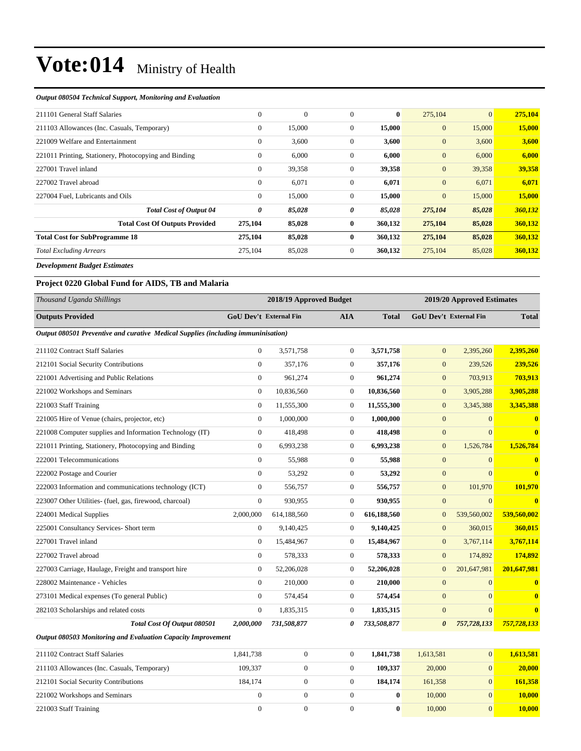#### *Output 080504 Technical Support, Monitoring and Evaluation*

| 211101 General Staff Salaries                         | $\overline{0}$ | $\boldsymbol{0}$ | $\Omega$       | $\bf{0}$ | 275,104          | $\overline{0}$ | 275,104 |
|-------------------------------------------------------|----------------|------------------|----------------|----------|------------------|----------------|---------|
| 211103 Allowances (Inc. Casuals, Temporary)           | $\theta$       | 15,000           | $\mathbf{0}$   | 15,000   | $\mathbf{0}$     | 15,000         | 15,000  |
| 221009 Welfare and Entertainment                      | $\overline{0}$ | 3,600            | $\overline{0}$ | 3,600    | $\mathbf{0}$     | 3,600          | 3,600   |
| 221011 Printing, Stationery, Photocopying and Binding | $\overline{0}$ | 6,000            | $\mathbf{0}$   | 6,000    | $\boldsymbol{0}$ | 6,000          | 6,000   |
| 227001 Travel inland                                  | $\overline{0}$ | 39,358           | $\overline{0}$ | 39,358   | $\mathbf{0}$     | 39,358         | 39,358  |
| 227002 Travel abroad                                  | $\overline{0}$ | 6,071            | $\mathbf{0}$   | 6,071    | $\mathbf{0}$     | 6,071          | 6,071   |
| 227004 Fuel, Lubricants and Oils                      | $\mathbf{0}$   | 15,000           | $\overline{0}$ | 15,000   | $\mathbf{0}$     | 15,000         | 15,000  |
| <b>Total Cost of Output 04</b>                        | 0              | 85,028           | 0              | 85,028   | 275,104          | 85,028         | 360,132 |
| <b>Total Cost Of Outputs Provided</b>                 | 275,104        | 85,028           | $\bf{0}$       | 360,132  | 275,104          | 85,028         | 360,132 |
| <b>Total Cost for SubProgramme 18</b>                 | 275,104        | 85,028           | 0              | 360,132  | 275,104          | 85,028         | 360,132 |
| <b>Total Excluding Arrears</b>                        | 275,104        | 85,028           | $\overline{0}$ | 360,132  | 275,104          | 85,028         | 360,132 |
|                                                       |                |                  |                |          |                  |                |         |

*Development Budget Estimates*

### **Project 0220 Global Fund for AIDS, TB and Malaria**

| Thousand Uganda Shillings                                                         |                               | 2018/19 Approved Budget |                  |              | 2019/20 Approved Estimates |                               |              |
|-----------------------------------------------------------------------------------|-------------------------------|-------------------------|------------------|--------------|----------------------------|-------------------------------|--------------|
| <b>Outputs Provided</b>                                                           | <b>GoU Dev't External Fin</b> |                         | <b>AIA</b>       | <b>Total</b> |                            | <b>GoU Dev't External Fin</b> | <b>Total</b> |
| Output 080501 Preventive and curative Medical Supplies (including immuninisation) |                               |                         |                  |              |                            |                               |              |
| 211102 Contract Staff Salaries                                                    | $\mathbf{0}$                  | 3,571,758               | $\mathbf{0}$     | 3,571,758    | $\mathbf{0}$               | 2,395,260                     | 2,395,260    |
| 212101 Social Security Contributions                                              | $\Omega$                      | 357,176                 | $\Omega$         | 357,176      | $\overline{0}$             | 239,526                       | 239,526      |
| 221001 Advertising and Public Relations                                           | $\mathbf{0}$                  | 961,274                 | 0                | 961,274      | $\mathbf{0}$               | 703,913                       | 703,913      |
| 221002 Workshops and Seminars                                                     | $\mathbf{0}$                  | 10,836,560              | $\overline{0}$   | 10,836,560   | $\mathbf{0}$               | 3,905,288                     | 3,905,288    |
| 221003 Staff Training                                                             | $\mathbf{0}$                  | 11,555,300              | $\overline{0}$   | 11,555,300   | $\mathbf{0}$               | 3,345,388                     | 3,345,388    |
| 221005 Hire of Venue (chairs, projector, etc)                                     | $\theta$                      | 1,000,000               | $\overline{0}$   | 1,000,000    | $\overline{0}$             | $\Omega$                      | $\mathbf{0}$ |
| 221008 Computer supplies and Information Technology (IT)                          | $\mathbf{0}$                  | 418,498                 | $\overline{0}$   | 418,498      | $\overline{0}$             | $\Omega$                      | $\mathbf{0}$ |
| 221011 Printing, Stationery, Photocopying and Binding                             | $\mathbf{0}$                  | 6,993,238               | $\overline{0}$   | 6,993,238    | $\mathbf{0}$               | 1,526,784                     | 1,526,784    |
| 222001 Telecommunications                                                         | $\Omega$                      | 55,988                  | $\overline{0}$   | 55,988       | $\overline{0}$             | $\overline{0}$                | $\mathbf{0}$ |
| 222002 Postage and Courier                                                        | $\theta$                      | 53,292                  | 0                | 53,292       | $\mathbf{0}$               | $\overline{0}$                | $\mathbf{0}$ |
| 222003 Information and communications technology (ICT)                            | $\mathbf{0}$                  | 556,757                 | $\overline{0}$   | 556,757      | $\mathbf{0}$               | 101,970                       | 101,970      |
| 223007 Other Utilities- (fuel, gas, firewood, charcoal)                           | $\theta$                      | 930,955                 | $\overline{0}$   | 930,955      | $\mathbf{0}$               | $\overline{0}$                | $\mathbf{0}$ |
| 224001 Medical Supplies                                                           | 2,000,000                     | 614,188,560             | $\boldsymbol{0}$ | 616,188,560  | $\mathbf{0}$               | 539,560,002                   | 539,560,002  |
| 225001 Consultancy Services- Short term                                           | $\mathbf{0}$                  | 9,140,425               | $\Omega$         | 9,140,425    | $\mathbf{0}$               | 360,015                       | 360,015      |
| 227001 Travel inland                                                              | $\mathbf{0}$                  | 15,484,967              | $\overline{0}$   | 15,484,967   | $\mathbf{0}$               | 3,767,114                     | 3,767,114    |
| 227002 Travel abroad                                                              | $\mathbf{0}$                  | 578,333                 | $\overline{0}$   | 578,333      | $\mathbf{0}$               | 174,892                       | 174,892      |
| 227003 Carriage, Haulage, Freight and transport hire                              | $\mathbf{0}$                  | 52,206,028              | $\overline{0}$   | 52,206,028   | $\overline{0}$             | 201,647,981                   | 201,647,981  |
| 228002 Maintenance - Vehicles                                                     | $\overline{0}$                | 210,000                 | $\overline{0}$   | 210,000      | $\mathbf{0}$               | $\overline{0}$                | $\mathbf{0}$ |
| 273101 Medical expenses (To general Public)                                       | $\mathbf{0}$                  | 574,454                 | $\overline{0}$   | 574,454      | $\overline{0}$             | $\overline{0}$                | $\mathbf{0}$ |
| 282103 Scholarships and related costs                                             | $\mathbf{0}$                  | 1,835,315               | 0                | 1,835,315    | $\mathbf{0}$               | $\overline{0}$                | $\mathbf{0}$ |
| Total Cost Of Output 080501                                                       | 2,000,000                     | 731,508,877             | 0                | 733,508,877  | $\boldsymbol{\theta}$      | 757,728,133                   | 757,728,133  |
| Output 080503 Monitoring and Evaluation Capacity Improvement                      |                               |                         |                  |              |                            |                               |              |

| 211102 Contract Staff Salaries              | 1.841.738 |  | 1.841.738 | 1.613.581 | 1.613.581 |
|---------------------------------------------|-----------|--|-----------|-----------|-----------|
| 211103 Allowances (Inc. Casuals, Temporary) | 109.337   |  | 109.337   | 20,000    | 20,000    |
| 212101 Social Security Contributions        | 184.174   |  | 184.174   | 161.358   | 161.358   |
| 221002 Workshops and Seminars               |           |  |           | 10.000    | 10.000    |
| 221003 Staff Training                       |           |  |           | 10,000    | 10.000    |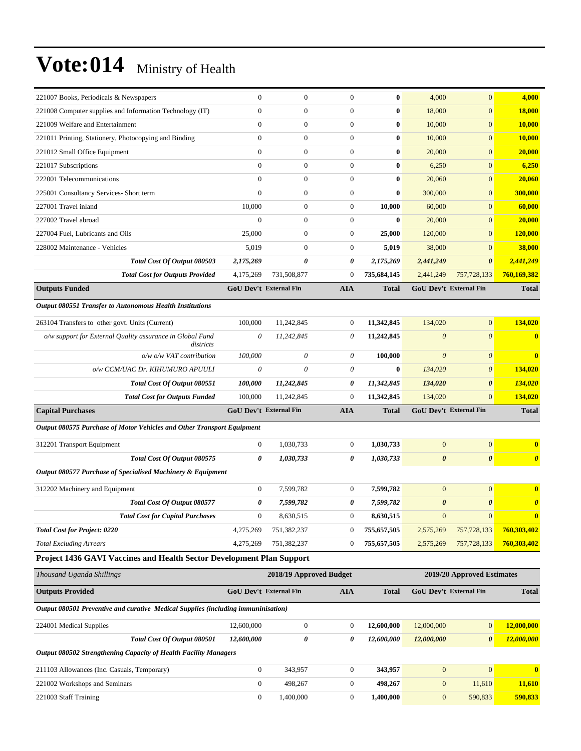| 221007 Books, Periodicals & Newspapers                                            | $\mathbf{0}$                  | $\mathbf{0}$            | $\mathbf{0}$     | $\bf{0}$     | 4,000                 | $\mathbf{0}$                  | 4,000                 |
|-----------------------------------------------------------------------------------|-------------------------------|-------------------------|------------------|--------------|-----------------------|-------------------------------|-----------------------|
| 221008 Computer supplies and Information Technology (IT)                          | $\mathbf{0}$                  | $\mathbf{0}$            | $\theta$         | $\bf{0}$     | 18,000                | $\mathbf{0}$                  | 18,000                |
| 221009 Welfare and Entertainment                                                  | $\mathbf{0}$                  | $\mathbf{0}$            | $\mathbf{0}$     | $\bf{0}$     | 10,000                | $\mathbf{0}$                  | <b>10,000</b>         |
| 221011 Printing, Stationery, Photocopying and Binding                             | $\mathbf{0}$                  | $\mathbf{0}$            | $\theta$         | $\bf{0}$     | 10,000                | $\mathbf{0}$                  | 10,000                |
| 221012 Small Office Equipment                                                     | $\mathbf{0}$                  | $\mathbf{0}$            | $\mathbf{0}$     | $\bf{0}$     | 20,000                | $\mathbf{0}$                  | 20,000                |
| 221017 Subscriptions                                                              | $\overline{0}$                | $\mathbf{0}$            | $\mathbf{0}$     | $\bf{0}$     | 6,250                 | $\mathbf{0}$                  | 6,250                 |
| 222001 Telecommunications                                                         | $\overline{0}$                | $\mathbf{0}$            | $\mathbf{0}$     | $\bf{0}$     | 20,060                | $\mathbf{0}$                  | 20,060                |
| 225001 Consultancy Services- Short term                                           | $\theta$                      | $\mathbf{0}$            | $\mathbf{0}$     | $\bf{0}$     | 300,000               | $\mathbf{0}$                  | 300,000               |
| 227001 Travel inland                                                              | 10,000                        | $\mathbf{0}$            | $\boldsymbol{0}$ | 10,000       | 60,000                | $\mathbf{0}$                  | 60,000                |
| 227002 Travel abroad                                                              | $\mathbf{0}$                  | $\mathbf{0}$            | $\boldsymbol{0}$ | $\bf{0}$     | 20,000                | $\mathbf{0}$                  | 20,000                |
| 227004 Fuel, Lubricants and Oils                                                  | 25,000                        | $\mathbf{0}$            | $\mathbf{0}$     | 25,000       | 120,000               | $\mathbf{0}$                  | 120,000               |
| 228002 Maintenance - Vehicles                                                     | 5,019                         | $\mathbf{0}$            | $\boldsymbol{0}$ | 5,019        | 38,000                | $\mathbf{0}$                  | 38,000                |
| Total Cost Of Output 080503                                                       | 2,175,269                     | 0                       | 0                | 2,175,269    | 2,441,249             | $\boldsymbol{\theta}$         | 2,441,249             |
| <b>Total Cost for Outputs Provided</b>                                            | 4,175,269                     | 731,508,877             | $\mathbf{0}$     | 735,684,145  | 2,441,249             | 757,728,133                   | 760,169,382           |
| <b>Outputs Funded</b>                                                             | <b>GoU Dev't External Fin</b> |                         | <b>AIA</b>       | <b>Total</b> |                       | GoU Dev't External Fin        | <b>Total</b>          |
| <b>Output 080551 Transfer to Autonomous Health Institutions</b>                   |                               |                         |                  |              |                       |                               |                       |
| 263104 Transfers to other govt. Units (Current)                                   | 100,000                       | 11,242,845              | $\boldsymbol{0}$ | 11,342,845   | 134,020               | $\mathbf{0}$                  | 134,020               |
| o/w support for External Quality assurance in Global Fund                         | 0                             | 11,242,845              | $\theta$         | 11,242,845   | $\boldsymbol{\theta}$ | $\theta$                      | $\mathbf{0}$          |
| districts                                                                         |                               |                         |                  |              |                       |                               |                       |
| $o/w$ $o/w$ VAT contribution                                                      | 100,000                       | $\theta$                | $\theta$         | 100,000      | $\boldsymbol{\theta}$ | $\theta$                      | $\bf{0}$              |
| o/w CCM/UAC Dr. KIHUMURO APUULI                                                   | $\theta$                      | $\theta$                | $\theta$         | $\bf{0}$     | 134,020               | $\boldsymbol{\theta}$         | 134,020               |
| Total Cost Of Output 080551                                                       | 100,000                       | 11,242,845              | 0                | 11,342,845   | 134,020               | $\boldsymbol{\theta}$         | 134,020               |
| <b>Total Cost for Outputs Funded</b>                                              | 100,000                       | 11,242,845              | $\theta$         | 11,342,845   | 134,020               | $\Omega$                      | 134,020               |
| <b>Capital Purchases</b>                                                          | <b>GoU Dev't External Fin</b> |                         | <b>AIA</b>       | <b>Total</b> |                       | GoU Dev't External Fin        | <b>Total</b>          |
| Output 080575 Purchase of Motor Vehicles and Other Transport Equipment            |                               |                         |                  |              |                       |                               |                       |
| 312201 Transport Equipment                                                        | $\mathbf{0}$                  | 1,030,733               | $\mathbf{0}$     | 1,030,733    | $\overline{0}$        | $\mathbf{0}$                  | $\bf{0}$              |
| Total Cost Of Output 080575                                                       | 0                             | 1,030,733               | 0                | 1,030,733    | $\boldsymbol{\theta}$ | $\boldsymbol{\theta}$         | $\boldsymbol{\theta}$ |
| Output 080577 Purchase of Specialised Machinery & Equipment                       |                               |                         |                  |              |                       |                               |                       |
| 312202 Machinery and Equipment                                                    | $\boldsymbol{0}$              | 7.599.782               | $\boldsymbol{0}$ | 7,599,782    | $\boldsymbol{0}$      | $\mathbf{0}$                  | $\bf{0}$              |
| <b>Total Cost Of Output 080577</b>                                                | 0                             | 7,599,782               | 0                | 7,599,782    | $\boldsymbol{\theta}$ | $\boldsymbol{\theta}$         | $\boldsymbol{\theta}$ |
| <b>Total Cost for Capital Purchases</b>                                           | $\boldsymbol{0}$              | 8,630,515               | $\boldsymbol{0}$ | 8,630,515    | $\mathbf{0}$          | $\mathbf{0}$                  | $\bf{0}$              |
| <b>Total Cost for Project: 0220</b>                                               | 4,275,269                     | 751,382,237             | $\boldsymbol{0}$ | 755,657,505  | 2,575,269             | 757,728,133                   | 760,303,402           |
| <b>Total Excluding Arrears</b>                                                    | 4,275,269                     | 751,382,237             | $\mathbf{0}$     | 755,657,505  | 2,575,269             | 757,728,133                   | 760,303,402           |
| Project 1436 GAVI Vaccines and Health Sector Development Plan Support             |                               |                         |                  |              |                       |                               |                       |
| Thousand Uganda Shillings                                                         |                               | 2018/19 Approved Budget |                  |              |                       | 2019/20 Approved Estimates    |                       |
| <b>Outputs Provided</b>                                                           | GoU Dev't External Fin        |                         | <b>AIA</b>       | <b>Total</b> |                       | <b>GoU Dev't External Fin</b> | <b>Total</b>          |
| Output 080501 Preventive and curative Medical Supplies (including immuninisation) |                               |                         |                  |              |                       |                               |                       |
| 224001 Medical Supplies                                                           | 12,600,000                    | $\boldsymbol{0}$        | $\boldsymbol{0}$ | 12,600,000   | 12,000,000            | $\mathbf{0}$                  | 12,000,000            |
| Total Cost Of Output 080501                                                       | 12,600,000                    | $\boldsymbol{\theta}$   | 0                | 12,600,000   | 12,000,000            | $\boldsymbol{\theta}$         | 12,000,000            |
| Output 080502 Strengthening Capacity of Health Facility Managers                  |                               |                         |                  |              |                       |                               |                       |
| 211103 Allowances (Inc. Casuals, Temporary)                                       |                               |                         |                  |              |                       |                               |                       |
|                                                                                   | $\boldsymbol{0}$              | 343,957                 | $\boldsymbol{0}$ | 343,957      | $\mathbf{0}$          | $\mathbf{0}$                  | $\bf{0}$              |
| 221002 Workshops and Seminars                                                     | $\boldsymbol{0}$              | 498,267                 | $\boldsymbol{0}$ | 498,267      | $\boldsymbol{0}$      | 11,610                        | 11,610                |
| 221003 Staff Training                                                             | $\boldsymbol{0}$              | 1,400,000               | $\boldsymbol{0}$ | 1,400,000    | $\boldsymbol{0}$      | 590,833                       | 590,833               |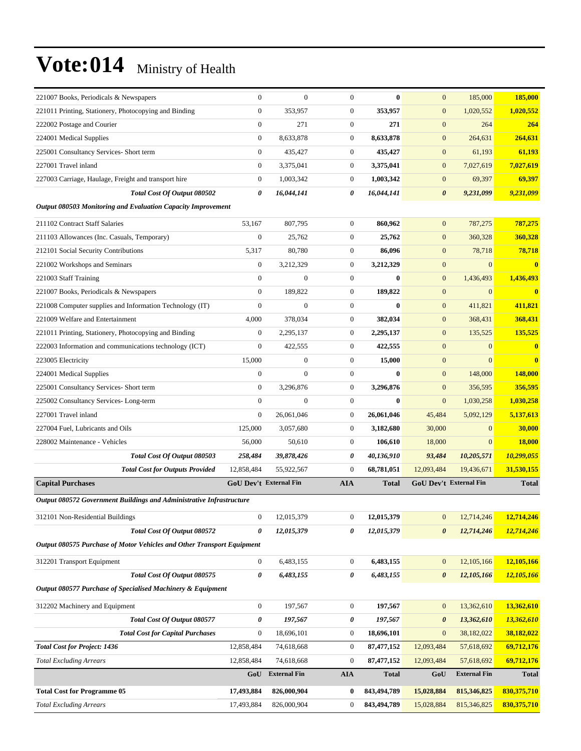| 221007 Books, Periodicals & Newspapers                                 | $\theta$                      | $\mathbf{0}$        | $\mathbf{0}$     | $\bf{0}$     | $\mathbf{0}$          | 185,000                       | 185,000          |
|------------------------------------------------------------------------|-------------------------------|---------------------|------------------|--------------|-----------------------|-------------------------------|------------------|
| 221011 Printing, Stationery, Photocopying and Binding                  | $\mathbf{0}$                  | 353,957             | $\boldsymbol{0}$ | 353,957      | $\mathbf{0}$          | 1,020,552                     | 1,020,552        |
| 222002 Postage and Courier                                             | $\boldsymbol{0}$              | 271                 | $\boldsymbol{0}$ | 271          | $\mathbf{0}$          | 264                           | 264              |
| 224001 Medical Supplies                                                | $\mathbf{0}$                  | 8,633,878           | $\boldsymbol{0}$ | 8.633.878    | $\mathbf{0}$          | 264,631                       | 264,631          |
| 225001 Consultancy Services- Short term                                | $\boldsymbol{0}$              | 435,427             | 0                | 435,427      | $\mathbf{0}$          | 61,193                        | 61,193           |
| 227001 Travel inland                                                   | $\theta$                      | 3,375,041           | $\boldsymbol{0}$ | 3,375,041    | $\mathbf{0}$          | 7,027,619                     | 7,027,619        |
| 227003 Carriage, Haulage, Freight and transport hire                   | $\boldsymbol{0}$              | 1,003,342           | $\boldsymbol{0}$ | 1,003,342    | $\mathbf{0}$          | 69,397                        | 69,397           |
| Total Cost Of Output 080502                                            | $\boldsymbol{\theta}$         | 16,044,141          | 0                | 16,044,141   | $\boldsymbol{\theta}$ | 9,231,099                     | 9,231,099        |
| Output 080503 Monitoring and Evaluation Capacity Improvement           |                               |                     |                  |              |                       |                               |                  |
| 211102 Contract Staff Salaries                                         | 53,167                        | 807,795             | $\boldsymbol{0}$ | 860,962      | $\mathbf{0}$          | 787,275                       | 787,275          |
| 211103 Allowances (Inc. Casuals, Temporary)                            | $\mathbf{0}$                  | 25,762              | $\boldsymbol{0}$ | 25,762       | $\mathbf{0}$          | 360,328                       | 360,328          |
| 212101 Social Security Contributions                                   | 5,317                         | 80,780              | $\boldsymbol{0}$ | 86,096       | $\mathbf{0}$          | 78,718                        | 78,718           |
| 221002 Workshops and Seminars                                          | $\boldsymbol{0}$              | 3,212,329           | $\boldsymbol{0}$ | 3,212,329    | $\mathbf{0}$          | $\mathbf{0}$                  | $\mathbf{0}$     |
| 221003 Staff Training                                                  | $\boldsymbol{0}$              | $\overline{0}$      | $\boldsymbol{0}$ | $\bf{0}$     | $\mathbf{0}$          | 1,436,493                     | 1,436,493        |
| 221007 Books, Periodicals & Newspapers                                 | $\boldsymbol{0}$              | 189,822             | $\boldsymbol{0}$ | 189,822      | $\mathbf{0}$          | $\mathbf{0}$                  | $\boldsymbol{0}$ |
| 221008 Computer supplies and Information Technology (IT)               | $\mathbf{0}$                  | $\boldsymbol{0}$    | $\boldsymbol{0}$ | $\bf{0}$     | $\mathbf{0}$          | 411,821                       | 411,821          |
| 221009 Welfare and Entertainment                                       | 4,000                         | 378,034             | $\boldsymbol{0}$ | 382,034      | $\boldsymbol{0}$      | 368,431                       | 368,431          |
| 221011 Printing, Stationery, Photocopying and Binding                  | $\mathbf{0}$                  | 2,295,137           | $\boldsymbol{0}$ | 2,295,137    | $\mathbf{0}$          | 135,525                       | 135,525          |
| 222003 Information and communications technology (ICT)                 | $\mathbf{0}$                  | 422,555             | $\boldsymbol{0}$ | 422,555      | $\mathbf{0}$          | $\mathbf{0}$                  | $\bf{0}$         |
| 223005 Electricity                                                     | 15,000                        | $\boldsymbol{0}$    | $\boldsymbol{0}$ | 15,000       | $\mathbf{0}$          | $\mathbf{0}$                  | $\bf{0}$         |
| 224001 Medical Supplies                                                | $\mathbf{0}$                  | $\overline{0}$      | $\boldsymbol{0}$ | $\bf{0}$     | $\mathbf{0}$          | 148,000                       | 148,000          |
| 225001 Consultancy Services- Short term                                | $\mathbf{0}$                  | 3,296,876           | $\boldsymbol{0}$ | 3,296,876    | $\mathbf{0}$          | 356,595                       | 356,595          |
| 225002 Consultancy Services-Long-term                                  | $\mathbf{0}$                  | $\mathbf{0}$        | $\boldsymbol{0}$ | $\bf{0}$     | $\mathbf{0}$          | 1,030,258                     | 1,030,258        |
| 227001 Travel inland                                                   | $\mathbf{0}$                  | 26,061,046          | $\boldsymbol{0}$ | 26,061,046   | 45,484                | 5,092,129                     | 5,137,613        |
| 227004 Fuel, Lubricants and Oils                                       | 125,000                       | 3,057,680           | $\boldsymbol{0}$ | 3,182,680    | 30,000                | $\mathbf{0}$                  | 30,000           |
| 228002 Maintenance - Vehicles                                          | 56,000                        | 50,610              | 0                | 106,610      | 18,000                | $\mathbf{0}$                  | <b>18,000</b>    |
| Total Cost Of Output 080503                                            | 258,484                       | 39,878,426          | 0                | 40,136,910   | 93,484                | 10,205,571                    | 10,299,055       |
| <b>Total Cost for Outputs Provided</b>                                 | 12,858,484                    | 55,922,567          | $\mathbf{0}$     | 68,781,051   | 12,093,484            | 19,436,671                    | 31,530,155       |
| <b>Capital Purchases</b>                                               | <b>GoU Dev't External Fin</b> |                     | <b>AIA</b>       | <b>Total</b> |                       | <b>GoU Dev't External Fin</b> | <b>Total</b>     |
| Output 080572 Government Buildings and Administrative Infrastructure   |                               |                     |                  |              |                       |                               |                  |
| 312101 Non-Residential Buildings                                       | $\boldsymbol{0}$              | 12,015,379          | $\boldsymbol{0}$ | 12,015,379   | $\mathbf{0}$          | 12,714,246                    | 12,714,246       |
| Total Cost Of Output 080572                                            | 0                             | 12,015,379          | 0                | 12,015,379   | $\boldsymbol{\theta}$ | 12,714,246                    | 12,714,246       |
| Output 080575 Purchase of Motor Vehicles and Other Transport Equipment |                               |                     |                  |              |                       |                               |                  |
| 312201 Transport Equipment                                             | $\boldsymbol{0}$              | 6,483,155           | 0                | 6,483,155    | $\mathbf{0}$          | 12,105,166                    | 12,105,166       |
| Total Cost Of Output 080575                                            | $\boldsymbol{\theta}$         | 6,483,155           | 0                | 6,483,155    | $\boldsymbol{\theta}$ | 12,105,166                    | 12,105,166       |
| Output 080577 Purchase of Specialised Machinery & Equipment            |                               |                     |                  |              |                       |                               |                  |
|                                                                        |                               |                     |                  |              |                       |                               |                  |
| 312202 Machinery and Equipment                                         | $\boldsymbol{0}$              | 197,567             | $\boldsymbol{0}$ | 197,567      | $\mathbf{0}$          | 13,362,610                    | 13,362,610       |
| Total Cost Of Output 080577                                            | 0                             | 197,567             | 0                | 197,567      | $\boldsymbol{\theta}$ | 13,362,610                    | 13,362,610       |
| <b>Total Cost for Capital Purchases</b>                                | $\boldsymbol{0}$              | 18,696,101          | 0                | 18,696,101   | $\boldsymbol{0}$      | 38,182,022                    | 38,182,022       |
| <b>Total Cost for Project: 1436</b>                                    | 12,858,484                    | 74,618,668          | 0                | 87,477,152   | 12,093,484            | 57,618,692                    | 69,712,176       |
| <b>Total Excluding Arrears</b>                                         | 12,858,484                    | 74,618,668          | $\boldsymbol{0}$ | 87,477,152   | 12,093,484            | 57,618,692                    | 69,712,176       |
|                                                                        | GoU                           | <b>External Fin</b> | <b>AIA</b>       | <b>Total</b> | GoU                   | <b>External Fin</b>           | <b>Total</b>     |
| <b>Total Cost for Programme 05</b>                                     | 17,493,884                    | 826,000,904         | 0                | 843,494,789  | 15,028,884            | 815,346,825                   | 830,375,710      |
| <b>Total Excluding Arrears</b>                                         | 17,493,884                    | 826,000,904         | 0                | 843,494,789  | 15,028,884            | 815,346,825                   | 830,375,710      |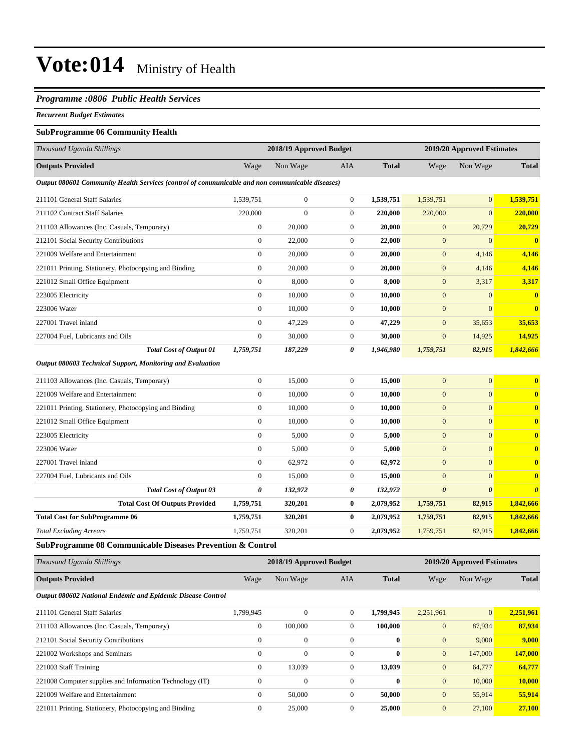#### *Programme :0806 Public Health Services*

#### *Recurrent Budget Estimates*

#### **SubProgramme 06 Community Health**

| Thousand Uganda Shillings                                                                       |                       | 2018/19 Approved Budget |                  |              |                       | 2019/20 Approved Estimates |                         |  |
|-------------------------------------------------------------------------------------------------|-----------------------|-------------------------|------------------|--------------|-----------------------|----------------------------|-------------------------|--|
| <b>Outputs Provided</b>                                                                         | Wage                  | Non Wage                | <b>AIA</b>       | <b>Total</b> | Wage                  | Non Wage                   | <b>Total</b>            |  |
| Output 080601 Community Health Services (control of communicable and non communicable diseases) |                       |                         |                  |              |                       |                            |                         |  |
| 211101 General Staff Salaries                                                                   | 1,539,751             | $\overline{0}$          | $\boldsymbol{0}$ | 1,539,751    | 1,539,751             | $\mathbf{0}$               | 1,539,751               |  |
| 211102 Contract Staff Salaries                                                                  | 220,000               | $\boldsymbol{0}$        | $\mathbf{0}$     | 220,000      | 220,000               | $\overline{0}$             | 220,000                 |  |
| 211103 Allowances (Inc. Casuals, Temporary)                                                     | $\mathbf{0}$          | 20,000                  | $\mathbf{0}$     | 20,000       | $\mathbf{0}$          | 20,729                     | 20,729                  |  |
| 212101 Social Security Contributions                                                            | $\mathbf{0}$          | 22,000                  | $\mathbf{0}$     | 22,000       | $\mathbf{0}$          | $\mathbf{0}$               | $\overline{\mathbf{0}}$ |  |
| 221009 Welfare and Entertainment                                                                | $\mathbf{0}$          | 20,000                  | $\mathbf{0}$     | 20,000       | $\mathbf{0}$          | 4,146                      | 4,146                   |  |
| 221011 Printing, Stationery, Photocopying and Binding                                           | $\mathbf{0}$          | 20,000                  | $\mathbf{0}$     | 20,000       | $\mathbf{0}$          | 4,146                      | 4,146                   |  |
| 221012 Small Office Equipment                                                                   | $\mathbf{0}$          | 8,000                   | $\mathbf{0}$     | 8,000        | $\mathbf{0}$          | 3,317                      | 3,317                   |  |
| 223005 Electricity                                                                              | $\mathbf{0}$          | 10,000                  | $\overline{0}$   | 10,000       | $\mathbf{0}$          | $\mathbf{0}$               | $\mathbf{0}$            |  |
| 223006 Water                                                                                    | $\mathbf{0}$          | 10,000                  | $\overline{0}$   | 10,000       | $\mathbf{0}$          | $\Omega$                   | $\mathbf{0}$            |  |
| 227001 Travel inland                                                                            | $\mathbf{0}$          | 47,229                  | $\boldsymbol{0}$ | 47,229       | $\mathbf{0}$          | 35,653                     | 35,653                  |  |
| 227004 Fuel, Lubricants and Oils                                                                | $\mathbf{0}$          | 30,000                  | $\mathbf{0}$     | 30,000       | $\mathbf{0}$          | 14,925                     | 14,925                  |  |
| <b>Total Cost of Output 01</b>                                                                  | 1,759,751             | 187,229                 | 0                | 1,946,980    | 1,759,751             | 82,915                     | 1,842,666               |  |
| Output 080603 Technical Support, Monitoring and Evaluation                                      |                       |                         |                  |              |                       |                            |                         |  |
| 211103 Allowances (Inc. Casuals, Temporary)                                                     | $\mathbf{0}$          | 15,000                  | $\mathbf{0}$     | 15,000       | $\mathbf{0}$          | $\mathbf{0}$               | $\bf{0}$                |  |
| 221009 Welfare and Entertainment                                                                | $\mathbf{0}$          | 10,000                  | $\overline{0}$   | 10,000       | $\mathbf{0}$          | $\overline{0}$             | $\bf{0}$                |  |
| 221011 Printing, Stationery, Photocopying and Binding                                           | $\mathbf{0}$          | 10,000                  | $\overline{0}$   | 10,000       | $\mathbf{0}$          | $\overline{0}$             | $\overline{\mathbf{0}}$ |  |
| 221012 Small Office Equipment                                                                   | $\mathbf{0}$          | 10,000                  | $\boldsymbol{0}$ | 10,000       | $\mathbf{0}$          | $\mathbf{0}$               | $\bf{0}$                |  |
| 223005 Electricity                                                                              | $\mathbf{0}$          | 5,000                   | $\mathbf{0}$     | 5,000        | $\mathbf{0}$          | $\overline{0}$             | $\bf{0}$                |  |
| 223006 Water                                                                                    | $\mathbf{0}$          | 5,000                   | $\mathbf{0}$     | 5,000        | $\mathbf{0}$          | $\mathbf{0}$               | $\bf{0}$                |  |
| 227001 Travel inland                                                                            | $\mathbf{0}$          | 62,972                  | $\overline{0}$   | 62,972       | $\mathbf{0}$          | $\overline{0}$             | $\overline{\mathbf{0}}$ |  |
| 227004 Fuel, Lubricants and Oils                                                                | $\mathbf{0}$          | 15,000                  | $\mathbf{0}$     | 15,000       | $\mathbf{0}$          | $\Omega$                   | $\bf{0}$                |  |
| <b>Total Cost of Output 03</b>                                                                  | $\boldsymbol{\theta}$ | 132,972                 | 0                | 132,972      | $\boldsymbol{\theta}$ | $\boldsymbol{\theta}$      | $\boldsymbol{\theta}$   |  |
| <b>Total Cost Of Outputs Provided</b>                                                           | 1,759,751             | 320,201                 | $\bf{0}$         | 2,079,952    | 1,759,751             | 82,915                     | 1,842,666               |  |
| <b>Total Cost for SubProgramme 06</b>                                                           | 1,759,751             | 320,201                 | $\bf{0}$         | 2,079,952    | 1,759,751             | 82,915                     | 1,842,666               |  |
| <b>Total Excluding Arrears</b>                                                                  | 1,759,751             | 320,201                 | $\overline{0}$   | 2,079,952    | 1,759,751             | 82,915                     | 1,842,666               |  |
| SubProgramme 08 Communicable Diseases Prevention & Control                                      |                       |                         |                  |              |                       |                            |                         |  |
| Thousand Uganda Shillings                                                                       |                       | 2018/19 Approved Budget |                  |              |                       | 2019/20 Approved Estimates |                         |  |
| <b>Outputs Provided</b>                                                                         | Wage                  | Non Wage                | AIA              | <b>Total</b> | Wage                  | Non Wage                   | <b>Total</b>            |  |
| Output 080602 National Endemic and Epidemic Disease Control                                     |                       |                         |                  |              |                       |                            |                         |  |

| 211101 General Staff Salaries                            | 1.799.945 | $\mathbf{0}$ | $\Omega$ | 1.799.945    | 2,251,961      | $\overline{0}$ | 2.251.961 |
|----------------------------------------------------------|-----------|--------------|----------|--------------|----------------|----------------|-----------|
| 211103 Allowances (Inc. Casuals, Temporary)              | $\Omega$  | 100,000      | 0        | 100.000      | $\overline{0}$ | 87.934         | 87,934    |
| 212101 Social Security Contributions                     | $\Omega$  | $\mathbf{0}$ | 0        | $\mathbf{0}$ | $\overline{0}$ | 9.000          | 9.000     |
| 221002 Workshops and Seminars                            | $\Omega$  | $\mathbf{0}$ | 0        | $\mathbf{0}$ | $\overline{0}$ | 147,000        | 147,000   |
| 221003 Staff Training                                    | $\Omega$  | 13.039       | $\Omega$ | 13,039       | $\overline{0}$ | 64,777         | 64,777    |
| 221008 Computer supplies and Information Technology (IT) | $\Omega$  | $\mathbf{0}$ | 0        | $\mathbf{0}$ | $\overline{0}$ | 10,000         | 10.000    |
| 221009 Welfare and Entertainment                         |           | 50,000       | 0        | 50,000       | $\overline{0}$ | 55.914         | 55.914    |
| 221011 Printing, Stationery, Photocopying and Binding    |           | 25,000       |          | 25,000       | $\Omega$       | 27,100         | 27,100    |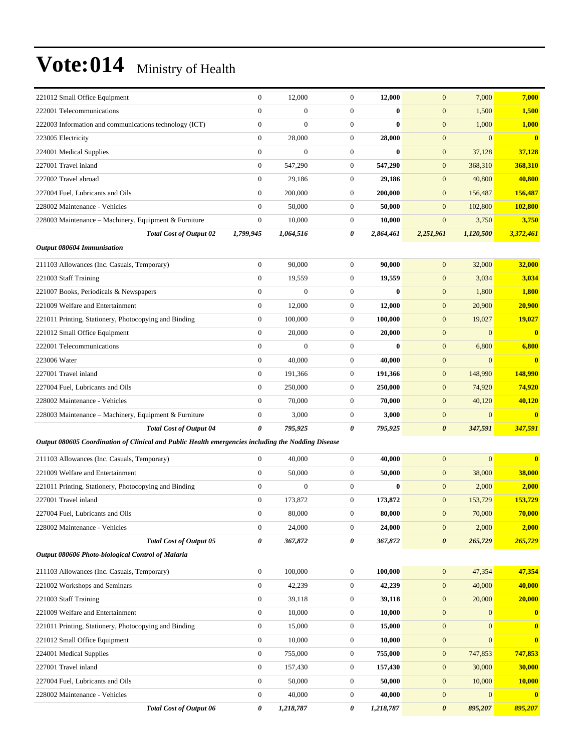| 221012 Small Office Equipment                                                                      | $\mathbf{0}$     | 12,000           | $\boldsymbol{0}$ | 12,000    | $\mathbf{0}$          | 7,000          | 7,000         |
|----------------------------------------------------------------------------------------------------|------------------|------------------|------------------|-----------|-----------------------|----------------|---------------|
| 222001 Telecommunications                                                                          | $\overline{0}$   | $\overline{0}$   | $\boldsymbol{0}$ | $\bf{0}$  | $\mathbf{0}$          | 1,500          | 1,500         |
| 222003 Information and communications technology (ICT)                                             | $\boldsymbol{0}$ | $\overline{0}$   | $\boldsymbol{0}$ | $\bf{0}$  | $\mathbf{0}$          | 1,000          | 1,000         |
| 223005 Electricity                                                                                 | $\boldsymbol{0}$ | 28,000           | $\boldsymbol{0}$ | 28,000    | $\mathbf{0}$          | $\Omega$       | $\mathbf{0}$  |
| 224001 Medical Supplies                                                                            | $\overline{0}$   | $\overline{0}$   | $\boldsymbol{0}$ | $\bf{0}$  | $\mathbf{0}$          | 37,128         | 37,128        |
| 227001 Travel inland                                                                               | $\mathbf{0}$     | 547,290          | $\boldsymbol{0}$ | 547,290   | $\mathbf{0}$          | 368,310        | 368,310       |
| 227002 Travel abroad                                                                               | $\overline{0}$   | 29,186           | $\boldsymbol{0}$ | 29,186    | $\mathbf{0}$          | 40,800         | 40,800        |
| 227004 Fuel, Lubricants and Oils                                                                   | $\mathbf{0}$     | 200,000          | $\boldsymbol{0}$ | 200,000   | $\mathbf{0}$          | 156,487        | 156,487       |
| 228002 Maintenance - Vehicles                                                                      | $\mathbf{0}$     | 50,000           | $\boldsymbol{0}$ | 50,000    | $\mathbf{0}$          | 102,800        | 102,800       |
| 228003 Maintenance – Machinery, Equipment & Furniture                                              | $\boldsymbol{0}$ | 10,000           | $\boldsymbol{0}$ | 10,000    | $\mathbf{0}$          | 3,750          | 3,750         |
| <b>Total Cost of Output 02</b>                                                                     | 1,799,945        | 1,064,516        | 0                | 2,864,461 | 2,251,961             | 1,120,500      | 3,372,461     |
| Output 080604 Immunisation                                                                         |                  |                  |                  |           |                       |                |               |
| 211103 Allowances (Inc. Casuals, Temporary)                                                        | $\boldsymbol{0}$ | 90,000           | $\boldsymbol{0}$ | 90,000    | $\mathbf{0}$          | 32,000         | 32,000        |
| 221003 Staff Training                                                                              | $\overline{0}$   | 19,559           | $\boldsymbol{0}$ | 19,559    | $\mathbf{0}$          | 3,034          | 3,034         |
| 221007 Books, Periodicals & Newspapers                                                             | $\boldsymbol{0}$ | $\mathbf{0}$     | $\boldsymbol{0}$ | $\bf{0}$  | $\mathbf{0}$          | 1,800          | 1,800         |
| 221009 Welfare and Entertainment                                                                   | $\boldsymbol{0}$ | 12,000           | $\boldsymbol{0}$ | 12,000    | $\mathbf{0}$          | 20,900         | 20,900        |
| 221011 Printing, Stationery, Photocopying and Binding                                              | $\mathbf{0}$     | 100,000          | $\boldsymbol{0}$ | 100,000   | $\mathbf{0}$          | 19,027         | 19,027        |
| 221012 Small Office Equipment                                                                      | $\mathbf{0}$     | 20,000           | $\boldsymbol{0}$ | 20,000    | $\mathbf{0}$          | $\mathbf{0}$   | $\mathbf{0}$  |
| 222001 Telecommunications                                                                          | $\overline{0}$   | $\boldsymbol{0}$ | $\boldsymbol{0}$ | $\bf{0}$  | $\mathbf{0}$          | 6,800          | 6,800         |
| 223006 Water                                                                                       | $\mathbf{0}$     | 40,000           | $\boldsymbol{0}$ | 40,000    | $\mathbf{0}$          | $\overline{0}$ | $\mathbf{0}$  |
| 227001 Travel inland                                                                               | $\boldsymbol{0}$ | 191,366          | $\boldsymbol{0}$ | 191,366   | $\mathbf{0}$          | 148,990        | 148,990       |
| 227004 Fuel, Lubricants and Oils                                                                   | $\mathbf{0}$     | 250,000          | $\boldsymbol{0}$ | 250,000   | $\mathbf{0}$          | 74,920         | 74,920        |
| 228002 Maintenance - Vehicles                                                                      | $\mathbf{0}$     | 70,000           | $\boldsymbol{0}$ | 70,000    | $\mathbf{0}$          | 40,120         | 40,120        |
| 228003 Maintenance – Machinery, Equipment & Furniture                                              | $\boldsymbol{0}$ | 3,000            | $\boldsymbol{0}$ | 3,000     | $\mathbf{0}$          | $\mathbf{0}$   | $\bf{0}$      |
| <b>Total Cost of Output 04</b>                                                                     | 0                | 795,925          | 0                | 795,925   | $\boldsymbol{\theta}$ | 347,591        | 347,591       |
| Output 080605 Coordination of Clinical and Public Health emergencies including the Nodding Disease |                  |                  |                  |           |                       |                |               |
| 211103 Allowances (Inc. Casuals, Temporary)                                                        | $\boldsymbol{0}$ | 40,000           | $\boldsymbol{0}$ | 40,000    | $\mathbf{0}$          | $\mathbf{0}$   | $\mathbf{0}$  |
| 221009 Welfare and Entertainment                                                                   | $\mathbf{0}$     | 50,000           | $\boldsymbol{0}$ | 50,000    | $\mathbf{0}$          | 38,000         | 38,000        |
| 221011 Printing, Stationery, Photocopying and Binding                                              | $\mathbf{0}$     | $\overline{0}$   | $\boldsymbol{0}$ | $\bf{0}$  | $\mathbf{0}$          | 2,000          | 2,000         |
| 227001 Travel inland                                                                               | $\mathbf{0}$     | 173,872          | $\boldsymbol{0}$ | 173,872   | $\mathbf{0}$          | 153,729        | 153,729       |
| 227004 Fuel, Lubricants and Oils                                                                   | $\boldsymbol{0}$ | 80,000           | $\boldsymbol{0}$ | 80,000    | $\mathbf{0}$          | 70,000         | 70,000        |
| 228002 Maintenance - Vehicles                                                                      | $\boldsymbol{0}$ | 24,000           | $\boldsymbol{0}$ | 24,000    | $\boldsymbol{0}$      | 2,000          | 2,000         |
| <b>Total Cost of Output 05</b>                                                                     | 0                | 367,872          | $\pmb{\theta}$   | 367,872   | $\boldsymbol{\theta}$ | 265,729        | 265,729       |
| Output 080606 Photo-biological Control of Malaria                                                  |                  |                  |                  |           |                       |                |               |
| 211103 Allowances (Inc. Casuals, Temporary)                                                        | $\boldsymbol{0}$ | 100,000          | $\boldsymbol{0}$ | 100,000   | $\mathbf{0}$          | 47,354         | 47,354        |
| 221002 Workshops and Seminars                                                                      | $\boldsymbol{0}$ | 42,239           | $\boldsymbol{0}$ | 42,239    | $\boldsymbol{0}$      | 40,000         | 40,000        |
| 221003 Staff Training                                                                              | $\boldsymbol{0}$ | 39,118           | $\boldsymbol{0}$ | 39,118    | $\mathbf{0}$          | 20,000         | 20,000        |
| 221009 Welfare and Entertainment                                                                   | $\boldsymbol{0}$ | 10,000           | $\boldsymbol{0}$ | 10,000    | $\boldsymbol{0}$      | $\mathbf{0}$   | $\bf{0}$      |
| 221011 Printing, Stationery, Photocopying and Binding                                              | $\boldsymbol{0}$ | 15,000           | $\boldsymbol{0}$ | 15,000    | $\mathbf{0}$          | $\mathbf{0}$   | $\mathbf{0}$  |
| 221012 Small Office Equipment                                                                      | $\boldsymbol{0}$ | 10,000           | $\boldsymbol{0}$ | 10,000    | $\boldsymbol{0}$      | $\Omega$       | $\bf{0}$      |
| 224001 Medical Supplies                                                                            | $\mathbf{0}$     | 755,000          | $\boldsymbol{0}$ | 755,000   | $\boldsymbol{0}$      | 747,853        | 747,853       |
| 227001 Travel inland                                                                               | $\mathbf{0}$     | 157,430          | $\boldsymbol{0}$ | 157,430   | $\mathbf{0}$          | 30,000         | 30,000        |
| 227004 Fuel, Lubricants and Oils                                                                   | $\boldsymbol{0}$ | 50,000           | $\boldsymbol{0}$ | 50,000    | $\boldsymbol{0}$      | 10,000         | <b>10,000</b> |
| 228002 Maintenance - Vehicles                                                                      | $\mathbf{0}$     | 40,000           | $\boldsymbol{0}$ | 40,000    | $\boldsymbol{0}$      | $\mathbf{0}$   | $\bf{0}$      |
| <b>Total Cost of Output 06</b>                                                                     | 0                | 1,218,787        | $\pmb{\theta}$   | 1,218,787 | $\boldsymbol{\theta}$ | 895,207        | 895,207       |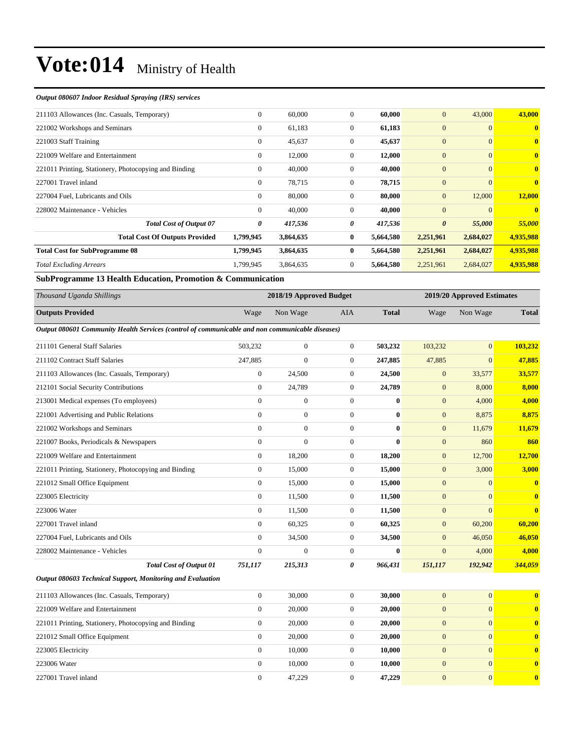#### *Output 080607 Indoor Residual Spraying (IRS) services*

| $\mathbf{0}$ | 60,000    | $\mathbf{0}$ | 60,000    | $\mathbf{0}$          | 43,000         | 43,000       |
|--------------|-----------|--------------|-----------|-----------------------|----------------|--------------|
| $\mathbf{0}$ | 61,183    | $\mathbf{0}$ | 61,183    | $\overline{0}$        | $\overline{0}$ | $\mathbf{0}$ |
| $\mathbf{0}$ | 45,637    | $\mathbf{0}$ | 45,637    | $\mathbf{0}$          | $\overline{0}$ | $\mathbf{0}$ |
| $\mathbf{0}$ | 12,000    | $\mathbf{0}$ | 12,000    | $\overline{0}$        | $\overline{0}$ | $\mathbf{0}$ |
| $\mathbf{0}$ | 40,000    | $\Omega$     | 40,000    | $\overline{0}$        | $\overline{0}$ | $\mathbf{0}$ |
| $\mathbf{0}$ | 78,715    | $\mathbf{0}$ | 78,715    | $\mathbf{0}$          | $\overline{0}$ | $\mathbf{0}$ |
| $\mathbf{0}$ | 80,000    | $\mathbf{0}$ | 80,000    | $\mathbf{0}$          | 12,000         | 12,000       |
| $\mathbf{0}$ | 40,000    | $\mathbf{0}$ | 40,000    | $\mathbf{0}$          | $\Omega$       | $\mathbf{0}$ |
| 0            | 417,536   | 0            | 417,536   | $\boldsymbol{\theta}$ | 55,000         | 55,000       |
| 1,799,945    | 3,864,635 | $\bf{0}$     | 5,664,580 | 2,251,961             | 2,684,027      | 4,935,988    |
| 1,799,945    | 3,864,635 | $\bf{0}$     | 5,664,580 | 2,251,961             | 2,684,027      | 4,935,988    |
| 1.799.945    | 3,864,635 | $\mathbf{0}$ | 5,664,580 | 2,251,961             | 2,684,027      | 4,935,988    |
|              |           |              |           |                       |                |              |

**SubProgramme 13 Health Education, Promotion & Communication**

| Subriggiannie is fieann Education, Fromotion & Communication                                    |                  |                         |                  |              |                            |                |                         |  |
|-------------------------------------------------------------------------------------------------|------------------|-------------------------|------------------|--------------|----------------------------|----------------|-------------------------|--|
| Thousand Uganda Shillings                                                                       |                  | 2018/19 Approved Budget |                  |              | 2019/20 Approved Estimates |                |                         |  |
| <b>Outputs Provided</b>                                                                         | Wage             | Non Wage                | <b>AIA</b>       | <b>Total</b> | Wage                       | Non Wage       | <b>Total</b>            |  |
| Output 080601 Community Health Services (control of communicable and non communicable diseases) |                  |                         |                  |              |                            |                |                         |  |
| 211101 General Staff Salaries                                                                   | 503,232          | $\mathbf{0}$            | $\overline{0}$   | 503,232      | 103,232                    | $\mathbf{0}$   | 103,232                 |  |
| 211102 Contract Staff Salaries                                                                  | 247,885          | $\boldsymbol{0}$        | $\boldsymbol{0}$ | 247,885      | 47,885                     | $\mathbf{0}$   | 47,885                  |  |
| 211103 Allowances (Inc. Casuals, Temporary)                                                     | $\boldsymbol{0}$ | 24,500                  | $\theta$         | 24,500       | $\mathbf{0}$               | 33,577         | 33,577                  |  |
| 212101 Social Security Contributions                                                            | $\overline{0}$   | 24,789                  | $\boldsymbol{0}$ | 24,789       | $\mathbf{0}$               | 8,000          | 8,000                   |  |
| 213001 Medical expenses (To employees)                                                          | $\boldsymbol{0}$ | $\mathbf{0}$            | $\boldsymbol{0}$ | 0            | $\mathbf{0}$               | 4,000          | 4,000                   |  |
| 221001 Advertising and Public Relations                                                         | $\overline{0}$   | $\boldsymbol{0}$        | $\overline{0}$   | $\bf{0}$     | $\mathbf{0}$               | 8,875          | 8,875                   |  |
| 221002 Workshops and Seminars                                                                   | $\mathbf{0}$     | $\overline{0}$          | $\theta$         | $\bf{0}$     | $\overline{0}$             | 11,679         | 11,679                  |  |
| 221007 Books, Periodicals & Newspapers                                                          | $\overline{0}$   | $\overline{0}$          | $\theta$         | $\bf{0}$     | $\mathbf{0}$               | 860            | 860                     |  |
| 221009 Welfare and Entertainment                                                                | $\overline{0}$   | 18,200                  | $\overline{0}$   | 18,200       | $\mathbf{0}$               | 12,700         | 12,700                  |  |
| 221011 Printing, Stationery, Photocopying and Binding                                           | $\overline{0}$   | 15,000                  | $\theta$         | 15,000       | $\overline{0}$             | 3,000          | 3,000                   |  |
| 221012 Small Office Equipment                                                                   | $\overline{0}$   | 15,000                  | $\theta$         | 15,000       | $\overline{0}$             | $\mathbf{0}$   | $\overline{\mathbf{0}}$ |  |
| 223005 Electricity                                                                              | $\overline{0}$   | 11,500                  | $\theta$         | 11,500       | $\overline{0}$             | $\mathbf{0}$   | $\overline{\mathbf{0}}$ |  |
| 223006 Water                                                                                    | $\Omega$         | 11,500                  | $\theta$         | 11,500       | $\mathbf{0}$               | $\Omega$       | $\overline{\mathbf{0}}$ |  |
| 227001 Travel inland                                                                            | $\overline{0}$   | 60,325                  | $\theta$         | 60,325       | $\overline{0}$             | 60,200         | 60,200                  |  |
| 227004 Fuel, Lubricants and Oils                                                                | $\Omega$         | 34,500                  | $\overline{0}$   | 34,500       | $\overline{0}$             | 46,050         | 46,050                  |  |
| 228002 Maintenance - Vehicles                                                                   | $\overline{0}$   | $\boldsymbol{0}$        | $\theta$         | $\bf{0}$     | $\overline{0}$             | 4,000          | 4,000                   |  |
| <b>Total Cost of Output 01</b>                                                                  | 751,117          | 215,313                 | 0                | 966,431      | 151,117                    | 192,942        | 344,059                 |  |
| Output 080603 Technical Support, Monitoring and Evaluation                                      |                  |                         |                  |              |                            |                |                         |  |
| 211103 Allowances (Inc. Casuals, Temporary)                                                     | $\overline{0}$   | 30,000                  | $\overline{0}$   | 30,000       | $\overline{0}$             | $\overline{0}$ | $\overline{\mathbf{0}}$ |  |
| 221009 Welfare and Entertainment                                                                | $\overline{0}$   | 20,000                  | $\theta$         | 20,000       | $\overline{0}$             | $\mathbf{0}$   | $\bf{0}$                |  |
| 221011 Printing, Stationery, Photocopying and Binding                                           | $\mathbf{0}$     | 20,000                  | $\boldsymbol{0}$ | 20,000       | $\mathbf{0}$               | $\mathbf{0}$   | $\bf{0}$                |  |
| 221012 Small Office Equipment                                                                   | $\boldsymbol{0}$ | 20,000                  | $\overline{0}$   | 20,000       | $\mathbf{0}$               | $\overline{0}$ | $\bf{0}$                |  |
| 223005 Electricity                                                                              | $\mathbf{0}$     | 10,000                  | $\theta$         | 10,000       | $\overline{0}$             | $\mathbf{0}$   | $\bf{0}$                |  |

223006 Water 0 10,000 0 **10,000** 0 0 **0** 227001 Travel inland 0 47,229 0 **47,229** 0 0 **0**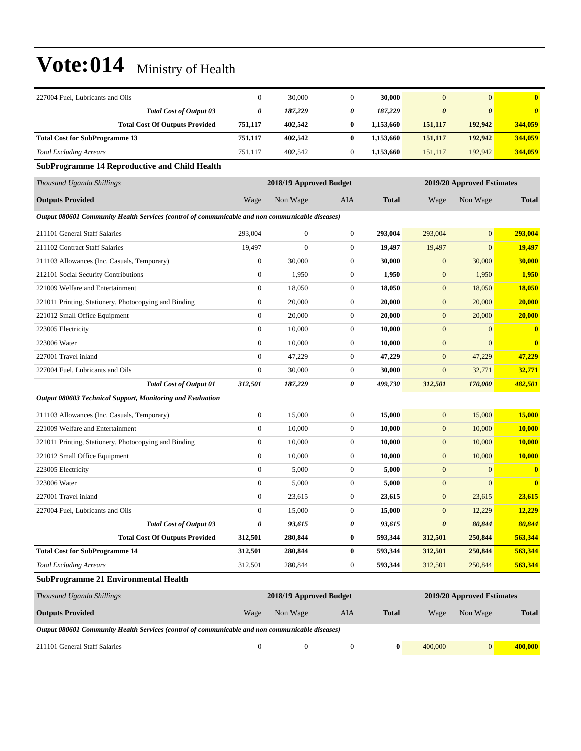| 227004 Fuel, Lubricants and Oils                                                                | $\mathbf{0}$     | 30,000                  | $\boldsymbol{0}$ | 30,000       | $\overline{0}$        | $\mathbf{0}$               | $\mathbf{0}$          |
|-------------------------------------------------------------------------------------------------|------------------|-------------------------|------------------|--------------|-----------------------|----------------------------|-----------------------|
| Total Cost of Output 03                                                                         | $\pmb{\theta}$   | 187,229                 | 0                | 187,229      | $\boldsymbol{\theta}$ | $\boldsymbol{\theta}$      | $\boldsymbol{\theta}$ |
| <b>Total Cost Of Outputs Provided</b>                                                           | 751,117          | 402,542                 | $\bf{0}$         | 1,153,660    | 151,117               | 192,942                    | 344,059               |
| <b>Total Cost for SubProgramme 13</b>                                                           | 751,117          | 402,542                 | $\bf{0}$         | 1,153,660    | 151,117               | 192,942                    | 344,059               |
| <b>Total Excluding Arrears</b>                                                                  | 751,117          | 402,542                 | $\boldsymbol{0}$ | 1,153,660    | 151,117               | 192,942                    | 344,059               |
| <b>SubProgramme 14 Reproductive and Child Health</b>                                            |                  |                         |                  |              |                       |                            |                       |
| Thousand Uganda Shillings                                                                       |                  | 2018/19 Approved Budget |                  |              |                       | 2019/20 Approved Estimates |                       |
| <b>Outputs Provided</b>                                                                         | Wage             | Non Wage                | AIA              | <b>Total</b> | Wage                  | Non Wage                   | <b>Total</b>          |
| Output 080601 Community Health Services (control of communicable and non communicable diseases) |                  |                         |                  |              |                       |                            |                       |
| 211101 General Staff Salaries                                                                   | 293,004          | $\mathbf{0}$            | $\boldsymbol{0}$ | 293,004      | 293,004               | $\mathbf{0}$               | 293,004               |
| 211102 Contract Staff Salaries                                                                  | 19,497           | $\mathbf{0}$            | $\boldsymbol{0}$ | 19,497       | 19,497                | $\mathbf{0}$               | 19,497                |
| 211103 Allowances (Inc. Casuals, Temporary)                                                     | $\boldsymbol{0}$ | 30,000                  | $\boldsymbol{0}$ | 30,000       | $\mathbf{0}$          | 30,000                     | 30,000                |
| 212101 Social Security Contributions                                                            | $\boldsymbol{0}$ | 1,950                   | $\boldsymbol{0}$ | 1,950        | $\boldsymbol{0}$      | 1,950                      | 1,950                 |
| 221009 Welfare and Entertainment                                                                | $\boldsymbol{0}$ | 18,050                  | $\boldsymbol{0}$ | 18,050       | $\mathbf{0}$          | 18,050                     | <b>18,050</b>         |
| 221011 Printing, Stationery, Photocopying and Binding                                           | $\boldsymbol{0}$ | 20,000                  | $\boldsymbol{0}$ | 20,000       | $\boldsymbol{0}$      | 20,000                     | 20,000                |
| 221012 Small Office Equipment                                                                   | $\boldsymbol{0}$ | 20,000                  | $\boldsymbol{0}$ | 20,000       | $\mathbf{0}$          | 20,000                     | 20,000                |
| 223005 Electricity                                                                              | $\boldsymbol{0}$ | 10,000                  | $\boldsymbol{0}$ | 10,000       | $\mathbf{0}$          | $\mathbf{0}$               | $\bf{0}$              |
| 223006 Water                                                                                    | $\boldsymbol{0}$ | 10,000                  | $\boldsymbol{0}$ | 10,000       | $\mathbf{0}$          | $\Omega$                   |                       |
| 227001 Travel inland                                                                            | $\boldsymbol{0}$ | 47,229                  | $\boldsymbol{0}$ | 47,229       | $\mathbf{0}$          | 47,229                     | 47,229                |
| 227004 Fuel, Lubricants and Oils                                                                | $\boldsymbol{0}$ | 30,000                  | $\boldsymbol{0}$ | 30,000       | $\mathbf{0}$          | 32,771                     | 32,771                |
| <b>Total Cost of Output 01</b>                                                                  | 312,501          | 187,229                 | 0                | 499,730      | 312,501               | 170,000                    | 482,501               |
| Output 080603 Technical Support, Monitoring and Evaluation                                      |                  |                         |                  |              |                       |                            |                       |
| 211103 Allowances (Inc. Casuals, Temporary)                                                     | $\boldsymbol{0}$ | 15,000                  | $\boldsymbol{0}$ | 15,000       | $\mathbf{0}$          | 15,000                     | 15,000                |
| 221009 Welfare and Entertainment                                                                | $\boldsymbol{0}$ | 10,000                  | $\boldsymbol{0}$ | 10,000       | $\boldsymbol{0}$      | 10,000                     | 10,000                |
| 221011 Printing, Stationery, Photocopying and Binding                                           | $\boldsymbol{0}$ | 10,000                  | $\boldsymbol{0}$ | 10,000       | $\mathbf{0}$          | 10,000                     | <b>10,000</b>         |
| 221012 Small Office Equipment                                                                   | $\overline{0}$   | 10,000                  | $\boldsymbol{0}$ | 10,000       | $\mathbf{0}$          | 10,000                     | 10,000                |
| 223005 Electricity                                                                              | $\boldsymbol{0}$ | 5,000                   | $\boldsymbol{0}$ | 5,000        | $\mathbf{0}$          | $\mathbf{0}$               | $\bf{0}$              |
| 223006 Water                                                                                    | $\boldsymbol{0}$ | 5,000                   | $\boldsymbol{0}$ | 5,000        | $\mathbf{0}$          | $\mathbf{0}$               | $\bf{0}$              |
| 227001 Travel inland                                                                            | $\boldsymbol{0}$ | 23,615                  | $\boldsymbol{0}$ | 23,615       | $\mathbf{0}$          | 23,615                     | 23,615                |
| 227004 Fuel, Lubricants and Oils                                                                | $\boldsymbol{0}$ | 15,000                  | $\boldsymbol{0}$ | 15,000       | $\mathbf{0}$          | 12,229                     | <u>12,229</u>         |
| <b>Total Cost of Output 03</b>                                                                  | 0                | 93,615                  | 0                | 93,615       | 0                     | 80,844                     | 80,844                |
| <b>Total Cost Of Outputs Provided</b>                                                           | 312,501          | 280,844                 | $\bf{0}$         | 593,344      | 312,501               | 250,844                    | 563,344               |
| <b>Total Cost for SubProgramme 14</b>                                                           | 312,501          | 280,844                 | $\bf{0}$         | 593,344      | 312,501               | 250,844                    | 563,344               |
| <b>Total Excluding Arrears</b>                                                                  | 312,501          | 280,844                 | $\boldsymbol{0}$ | 593,344      | 312,501               | 250,844                    | 563,344               |
| <b>SubProgramme 21 Environmental Health</b>                                                     |                  |                         |                  |              |                       |                            |                       |
| Thousand Uganda Shillings                                                                       |                  | 2018/19 Approved Budget |                  |              |                       | 2019/20 Approved Estimates |                       |
| <b>Outputs Provided</b>                                                                         | Wage             | Non Wage                | AIA              | <b>Total</b> | Wage                  | Non Wage                   | <b>Total</b>          |
| Output 080601 Community Health Services (control of communicable and non communicable diseases) |                  |                         |                  |              |                       |                            |                       |
| 211101 General Staff Salaries                                                                   | $\boldsymbol{0}$ | $\boldsymbol{0}$        | $\boldsymbol{0}$ | $\bf{0}$     | 400,000               | 0                          | 400,000               |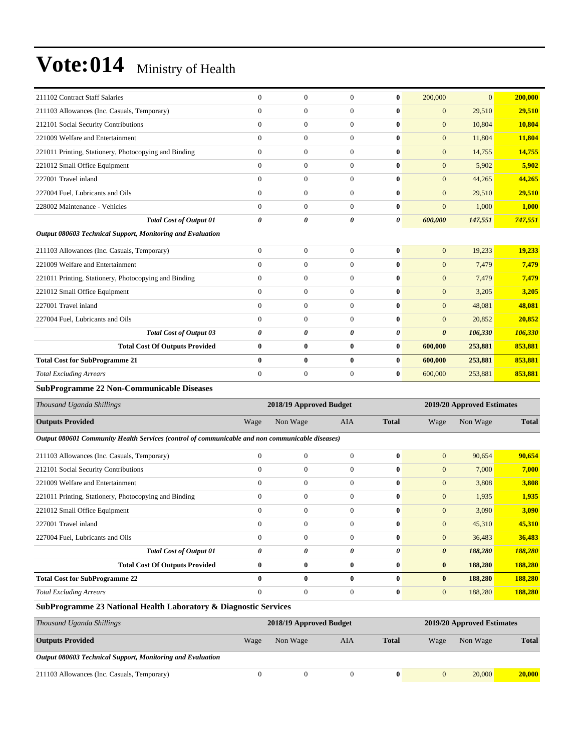| 211102 Contract Staff Salaries                                                                  | $\mathbf{0}$     | $\boldsymbol{0}$        | $\boldsymbol{0}$ | $\bf{0}$     | 200,000               | $\mathbf{0}$               | 200,000      |
|-------------------------------------------------------------------------------------------------|------------------|-------------------------|------------------|--------------|-----------------------|----------------------------|--------------|
| 211103 Allowances (Inc. Casuals, Temporary)                                                     | $\overline{0}$   | $\overline{0}$          | $\boldsymbol{0}$ | $\bf{0}$     | $\mathbf{0}$          | 29,510                     | 29,510       |
| 212101 Social Security Contributions                                                            | $\mathbf{0}$     | $\boldsymbol{0}$        | $\boldsymbol{0}$ | $\bf{0}$     | $\mathbf{0}$          | 10,804                     | 10,804       |
| 221009 Welfare and Entertainment                                                                | $\mathbf{0}$     | $\mathbf{0}$            | $\boldsymbol{0}$ | $\bf{0}$     | $\mathbf{0}$          | 11,804                     | 11,804       |
| 221011 Printing, Stationery, Photocopying and Binding                                           | $\boldsymbol{0}$ | $\boldsymbol{0}$        | $\boldsymbol{0}$ | $\bf{0}$     | $\mathbf{0}$          | 14,755                     | 14,755       |
| 221012 Small Office Equipment                                                                   | $\overline{0}$   | $\boldsymbol{0}$        | $\boldsymbol{0}$ | $\bf{0}$     | $\mathbf{0}$          | 5,902                      | 5,902        |
| 227001 Travel inland                                                                            | $\overline{0}$   | $\overline{0}$          | $\boldsymbol{0}$ | $\bf{0}$     | $\mathbf{0}$          | 44,265                     | 44,265       |
| 227004 Fuel, Lubricants and Oils                                                                | $\overline{0}$   | $\boldsymbol{0}$        | $\boldsymbol{0}$ | $\bf{0}$     | $\mathbf{0}$          | 29,510                     | 29,510       |
| 228002 Maintenance - Vehicles                                                                   | $\mathbf{0}$     | $\mathbf{0}$            | $\boldsymbol{0}$ | $\bf{0}$     | $\mathbf{0}$          | 1,000                      | 1,000        |
| <b>Total Cost of Output 01</b>                                                                  | 0                | 0                       | 0                | 0            | 600,000               | 147,551                    | 747,551      |
| Output 080603 Technical Support, Monitoring and Evaluation                                      |                  |                         |                  |              |                       |                            |              |
| 211103 Allowances (Inc. Casuals, Temporary)                                                     | $\overline{0}$   | $\boldsymbol{0}$        | $\boldsymbol{0}$ | $\bf{0}$     | $\mathbf{0}$          | 19,233                     | 19,233       |
| 221009 Welfare and Entertainment                                                                | $\overline{0}$   | $\overline{0}$          | $\boldsymbol{0}$ | $\bf{0}$     | $\mathbf{0}$          | 7,479                      | 7,479        |
| 221011 Printing, Stationery, Photocopying and Binding                                           | $\boldsymbol{0}$ | $\boldsymbol{0}$        | $\boldsymbol{0}$ | $\bf{0}$     | $\mathbf{0}$          | 7,479                      | 7,479        |
| 221012 Small Office Equipment                                                                   | $\boldsymbol{0}$ | $\boldsymbol{0}$        | $\boldsymbol{0}$ | $\bf{0}$     | $\mathbf{0}$          | 3,205                      | 3,205        |
| 227001 Travel inland                                                                            | $\overline{0}$   | $\boldsymbol{0}$        | $\boldsymbol{0}$ | $\bf{0}$     | $\mathbf{0}$          | 48,081                     | 48,081       |
| 227004 Fuel, Lubricants and Oils                                                                | $\mathbf{0}$     | $\mathbf{0}$            | $\boldsymbol{0}$ | $\bf{0}$     | $\mathbf{0}$          | 20,852                     | 20,852       |
| <b>Total Cost of Output 03</b>                                                                  | 0                | 0                       | 0                | 0            | $\boldsymbol{\theta}$ | 106,330                    | 106,330      |
| <b>Total Cost Of Outputs Provided</b>                                                           | $\bf{0}$         | $\bf{0}$                | $\pmb{0}$        | $\bf{0}$     | 600,000               | 253,881                    | 853,881      |
| <b>Total Cost for SubProgramme 21</b>                                                           | $\bf{0}$         | $\bf{0}$                | $\bf{0}$         | $\bf{0}$     | 600,000               | 253,881                    | 853,881      |
| <b>Total Excluding Arrears</b>                                                                  | $\overline{0}$   | $\boldsymbol{0}$        | $\boldsymbol{0}$ | $\bf{0}$     | 600,000               | 253,881                    | 853,881      |
| SubProgramme 22 Non-Communicable Diseases                                                       |                  |                         |                  |              |                       |                            |              |
| Thousand Uganda Shillings                                                                       |                  | 2018/19 Approved Budget |                  |              |                       | 2019/20 Approved Estimates |              |
| <b>Outputs Provided</b>                                                                         | Wage             | Non Wage                | AIA              | <b>Total</b> | Wage                  | Non Wage                   | <b>Total</b> |
| Output 080601 Community Health Services (control of communicable and non communicable diseases) |                  |                         |                  |              |                       |                            |              |
|                                                                                                 |                  |                         |                  |              |                       |                            |              |
| 211103 Allowances (Inc. Casuals, Temporary)                                                     | $\overline{0}$   | $\mathbf{0}$            | $\boldsymbol{0}$ | $\bf{0}$     | $\mathbf{0}$          | 90,654                     | 90,654       |
| 212101 Social Security Contributions                                                            | $\overline{0}$   | $\overline{0}$          | $\boldsymbol{0}$ | $\bf{0}$     | $\mathbf{0}$          | 7,000                      | 7,000        |
| 221009 Welfare and Entertainment                                                                | $\overline{0}$   | $\boldsymbol{0}$        | $\boldsymbol{0}$ | $\bf{0}$     | $\mathbf{0}$          | 3,808                      | 3,808        |
| 221011 Printing, Stationery, Photocopying and Binding                                           | $\boldsymbol{0}$ | $\boldsymbol{0}$        | $\boldsymbol{0}$ | $\bf{0}$     | $\mathbf{0}$          | 1,935                      | 1,935        |
| 221012 Small Office Equipment                                                                   | $\boldsymbol{0}$ | $\boldsymbol{0}$        | $\boldsymbol{0}$ | $\bf{0}$     | $\mathbf{0}$          | 3,090                      | 3,090        |
| 227001 Travel inland                                                                            | $\boldsymbol{0}$ | $\boldsymbol{0}$        | $\boldsymbol{0}$ | $\bf{0}$     | $\mathbf{0}$          | 45,310                     | 45,310       |
| 227004 Fuel, Lubricants and Oils                                                                | $\boldsymbol{0}$ | $\boldsymbol{0}$        | $\boldsymbol{0}$ | $\bf{0}$     | $\boldsymbol{0}$      | 36,483                     | 36,483       |
| Total Cost of Output 01                                                                         | 0                | 0                       | 0                | 0            | $\boldsymbol{\theta}$ | 188,280                    | 188,280      |
| <b>Total Cost Of Outputs Provided</b>                                                           | $\bf{0}$         | $\bf{0}$                | $\boldsymbol{0}$ | $\bf{0}$     | $\bf{0}$              | 188,280                    | 188,280      |
| <b>Total Cost for SubProgramme 22</b>                                                           | $\bf{0}$         | $\bf{0}$                | $\bf{0}$         | $\bf{0}$     | $\bf{0}$              | 188,280                    | 188,280      |
| <b>Total Excluding Arrears</b>                                                                  | $\boldsymbol{0}$ | $\boldsymbol{0}$        | $\boldsymbol{0}$ | $\bf{0}$     | $\mathbf{0}$          | 188,280                    | 188,280      |
| SubProgramme 23 National Health Laboratory & Diagnostic Services                                |                  |                         |                  |              |                       |                            |              |
| Thousand Uganda Shillings                                                                       |                  | 2018/19 Approved Budget |                  |              |                       | 2019/20 Approved Estimates |              |

| Thousana Uganaa Shiilings                                  |      | 2018/19 Approved Budget |     |              | <b>2019/20 Approved Esumates</b> |          |              |  |
|------------------------------------------------------------|------|-------------------------|-----|--------------|----------------------------------|----------|--------------|--|
| <b>Outputs Provided</b>                                    | Wage | Non Wage                | AIA | <b>Total</b> | Wage                             | Non Wage | <b>Total</b> |  |
| Output 080603 Technical Support, Monitoring and Evaluation |      |                         |     |              |                                  |          |              |  |
| 211103 Allowances (Inc. Casuals, Temporary)                |      |                         |     |              |                                  | 20,000   | 20,000       |  |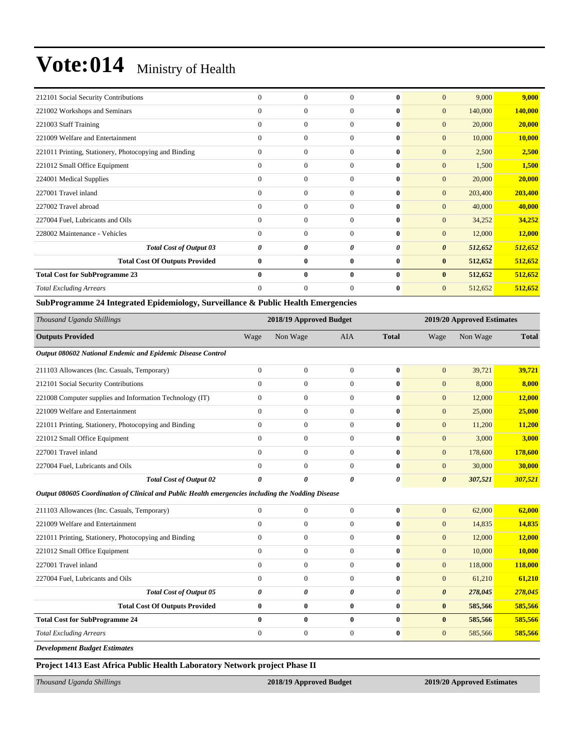| 212101 Social Security Contributions                  | $\Omega$       | $\mathbf{0}$     | $\Omega$     | $\mathbf{0}$ | $\mathbf{0}$          | 9,000   | 9,000   |
|-------------------------------------------------------|----------------|------------------|--------------|--------------|-----------------------|---------|---------|
| 221002 Workshops and Seminars                         | $\mathbf{0}$   | $\mathbf{0}$     | $\mathbf{0}$ | $\mathbf{0}$ | $\overline{0}$        | 140,000 | 140,000 |
| 221003 Staff Training                                 | $\mathbf{0}$   | $\mathbf{0}$     | $\Omega$     | $\mathbf{0}$ | $\overline{0}$        | 20,000  | 20,000  |
| 221009 Welfare and Entertainment                      | $\mathbf{0}$   | $\mathbf{0}$     | $\mathbf{0}$ | $\mathbf{0}$ | $\overline{0}$        | 10,000  | 10,000  |
| 221011 Printing, Stationery, Photocopying and Binding | $\overline{0}$ | $\mathbf{0}$     | $\mathbf{0}$ | $\mathbf{0}$ | $\overline{0}$        | 2,500   | 2,500   |
| 221012 Small Office Equipment                         | $\mathbf{0}$   | $\boldsymbol{0}$ | $\mathbf{0}$ | $\bf{0}$     | $\mathbf{0}$          | 1,500   | 1,500   |
| 224001 Medical Supplies                               | $\mathbf{0}$   | $\mathbf{0}$     | $\Omega$     | $\mathbf{0}$ | $\overline{0}$        | 20,000  | 20,000  |
| 227001 Travel inland                                  | $\mathbf{0}$   | $\mathbf{0}$     | $\mathbf{0}$ | $\mathbf{0}$ | $\overline{0}$        | 203,400 | 203,400 |
| 227002 Travel abroad                                  | $\Omega$       | $\overline{0}$   | $\Omega$     | $\mathbf{0}$ | $\overline{0}$        | 40,000  | 40,000  |
| 227004 Fuel, Lubricants and Oils                      | $\Omega$       | $\overline{0}$   | $\Omega$     | $\mathbf{0}$ | $\overline{0}$        | 34,252  | 34,252  |
| 228002 Maintenance - Vehicles                         | $\overline{0}$ | $\overline{0}$   | $\mathbf{0}$ | $\bf{0}$     | $\overline{0}$        | 12,000  | 12,000  |
| <b>Total Cost of Output 03</b>                        | 0              | 0                | 0            | 0            | $\boldsymbol{\theta}$ | 512,652 | 512,652 |
| <b>Total Cost Of Outputs Provided</b>                 | $\bf{0}$       | $\bf{0}$         | $\bf{0}$     | $\bf{0}$     | $\bf{0}$              | 512,652 | 512,652 |
| <b>Total Cost for SubProgramme 23</b>                 | $\bf{0}$       | $\bf{0}$         | $\bf{0}$     | $\mathbf{0}$ | $\bf{0}$              | 512,652 | 512,652 |
| <b>Total Excluding Arrears</b>                        | $\Omega$       | $\overline{0}$   | $\Omega$     | $\mathbf{0}$ | $\overline{0}$        | 512,652 | 512,652 |

#### **SubProgramme 24 Integrated Epidemiology, Surveillance & Public Health Emergencies**

| Thousand Uganda Shillings                                                                          |                | 2018/19 Approved Budget |                |              |                       | 2019/20 Approved Estimates |               |  |  |
|----------------------------------------------------------------------------------------------------|----------------|-------------------------|----------------|--------------|-----------------------|----------------------------|---------------|--|--|
| <b>Outputs Provided</b>                                                                            | Wage           | Non Wage                | AIA            | <b>Total</b> | Wage                  | Non Wage                   | <b>Total</b>  |  |  |
| Output 080602 National Endemic and Epidemic Disease Control                                        |                |                         |                |              |                       |                            |               |  |  |
| 211103 Allowances (Inc. Casuals, Temporary)                                                        | $\overline{0}$ | $\boldsymbol{0}$        | $\Omega$       | $\bf{0}$     | $\mathbf{0}$          | 39,721                     | 39,721        |  |  |
| 212101 Social Security Contributions                                                               | $\overline{0}$ | $\mathbf{0}$            | $\mathbf{0}$   | $\mathbf{0}$ | $\mathbf{0}$          | 8,000                      | 8,000         |  |  |
| 221008 Computer supplies and Information Technology (IT)                                           | $\mathbf{0}$   | $\mathbf{0}$            | $\mathbf{0}$   | $\bf{0}$     | $\mathbf{0}$          | 12,000                     | <b>12,000</b> |  |  |
| 221009 Welfare and Entertainment                                                                   | $\mathbf{0}$   | $\boldsymbol{0}$        | $\Omega$       | $\bf{0}$     | $\mathbf{0}$          | 25,000                     | 25,000        |  |  |
| 221011 Printing, Stationery, Photocopying and Binding                                              | $\Omega$       | $\theta$                | $\Omega$       | $\bf{0}$     | $\mathbf{0}$          | 11,200                     | 11,200        |  |  |
| 221012 Small Office Equipment                                                                      | $\overline{0}$ | $\mathbf{0}$            | $\overline{0}$ | $\bf{0}$     | $\mathbf{0}$          | 3,000                      | 3,000         |  |  |
| 227001 Travel inland                                                                               | $\overline{0}$ | $\boldsymbol{0}$        | $\mathbf{0}$   | $\bf{0}$     | $\overline{0}$        | 178,600                    | 178,600       |  |  |
| 227004 Fuel, Lubricants and Oils                                                                   | $\Omega$       | $\Omega$                | $\Omega$       | $\bf{0}$     | $\mathbf{0}$          | 30,000                     | 30,000        |  |  |
| <b>Total Cost of Output 02</b>                                                                     | 0              | 0                       | 0              | 0            | $\boldsymbol{\theta}$ | 307,521                    | 307,521       |  |  |
| Output 080605 Coordination of Clinical and Public Health emergencies including the Nodding Disease |                |                         |                |              |                       |                            |               |  |  |

| <b>Total Excluding Arrears</b>                        | $\Omega$     | $\mathbf{0}$   | $\Omega$     | $\bf{0}$     | $\overline{0}$        | 585,566 | 585,566 |
|-------------------------------------------------------|--------------|----------------|--------------|--------------|-----------------------|---------|---------|
| <b>Total Cost for SubProgramme 24</b>                 | 0            | $\mathbf{0}$   | 0            | $\mathbf{0}$ | $\bf{0}$              | 585,566 | 585,566 |
| <b>Total Cost Of Outputs Provided</b>                 | $\mathbf{0}$ | $\mathbf{0}$   | $\mathbf{0}$ | $\mathbf{0}$ | $\bf{0}$              | 585,566 | 585,566 |
| <b>Total Cost of Output 05</b>                        | 0            | 0              | 0            | 0            | $\boldsymbol{\theta}$ | 278,045 | 278,045 |
| 227004 Fuel, Lubricants and Oils                      | $\Omega$     | $\mathbf{0}$   | $\Omega$     | $\bf{0}$     | $\overline{0}$        | 61,210  | 61,210  |
| 227001 Travel inland                                  | $\Omega$     | $\overline{0}$ | $\mathbf{0}$ | $\mathbf{0}$ | $\overline{0}$        | 118,000 | 118,000 |
| 221012 Small Office Equipment                         | $\Omega$     | $\mathbf{0}$   | $\Omega$     | $\mathbf{0}$ | $\overline{0}$        | 10,000  | 10.000  |
| 221011 Printing, Stationery, Photocopying and Binding | $\Omega$     | $\mathbf{0}$   | $\Omega$     | $\mathbf{0}$ | $\overline{0}$        | 12,000  | 12,000  |
| 221009 Welfare and Entertainment                      | $\Omega$     | $\mathbf{0}$   | $\Omega$     | $\mathbf{0}$ | $\overline{0}$        | 14,835  | 14,835  |
| 211103 Allowances (Inc. Casuals, Temporary)           |              | $\Omega$       |              | 0            | $\Omega$              | 62,000  | 62,000  |

*Development Budget Estimates*

**Project 1413 East Africa Public Health Laboratory Network project Phase II** 

*Thousand Uganda Shillings* **2018/19 Approved Budget 2019/20 Approved Estimates**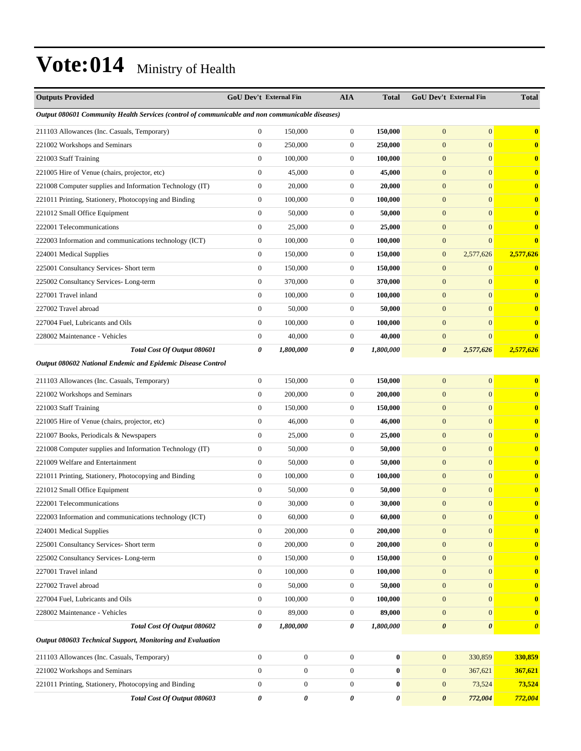| <b>Outputs Provided</b>                                                                         | <b>GoU Dev't External Fin</b> |                  | <b>AIA</b>       | <b>Total</b> | <b>GoU Dev't External Fin</b> |                       | <b>Total</b>          |
|-------------------------------------------------------------------------------------------------|-------------------------------|------------------|------------------|--------------|-------------------------------|-----------------------|-----------------------|
| Output 080601 Community Health Services (control of communicable and non communicable diseases) |                               |                  |                  |              |                               |                       |                       |
| 211103 Allowances (Inc. Casuals, Temporary)                                                     | $\boldsymbol{0}$              | 150,000          | $\boldsymbol{0}$ | 150,000      | $\overline{0}$                | $\boldsymbol{0}$      | 0                     |
| 221002 Workshops and Seminars                                                                   | $\overline{0}$                | 250,000          | $\boldsymbol{0}$ | 250,000      | $\overline{0}$                | $\mathbf{0}$          | $\bf{0}$              |
| 221003 Staff Training                                                                           | $\mathbf{0}$                  | 100,000          | $\boldsymbol{0}$ | 100,000      | $\mathbf{0}$                  | $\boldsymbol{0}$      | $\bf{0}$              |
| 221005 Hire of Venue (chairs, projector, etc)                                                   | $\boldsymbol{0}$              | 45,000           | $\boldsymbol{0}$ | 45,000       | $\overline{0}$                | $\boldsymbol{0}$      | $\bf{0}$              |
| 221008 Computer supplies and Information Technology (IT)                                        | $\boldsymbol{0}$              | 20,000           | $\boldsymbol{0}$ | 20,000       | $\mathbf{0}$                  | $\boldsymbol{0}$      | $\bf{0}$              |
| 221011 Printing, Stationery, Photocopying and Binding                                           | $\boldsymbol{0}$              | 100,000          | $\boldsymbol{0}$ | 100,000      | $\overline{0}$                | $\boldsymbol{0}$      | $\bf{0}$              |
| 221012 Small Office Equipment                                                                   | $\mathbf{0}$                  | 50,000           | $\boldsymbol{0}$ | 50,000       | $\overline{0}$                | $\mathbf{0}$          | $\bf{0}$              |
| 222001 Telecommunications                                                                       | $\mathbf{0}$                  | 25,000           | $\boldsymbol{0}$ | 25,000       | $\mathbf{0}$                  | $\boldsymbol{0}$      | $\bf{0}$              |
| 222003 Information and communications technology (ICT)                                          | $\boldsymbol{0}$              | 100,000          | $\boldsymbol{0}$ | 100,000      | $\overline{0}$                | $\overline{0}$        | $\mathbf{0}$          |
| 224001 Medical Supplies                                                                         | $\mathbf{0}$                  | 150,000          | $\boldsymbol{0}$ | 150,000      | $\mathbf{0}$                  | 2,577,626             | 2,577,626             |
| 225001 Consultancy Services- Short term                                                         | $\boldsymbol{0}$              | 150,000          | 0                | 150,000      | $\overline{0}$                | $\boldsymbol{0}$      |                       |
| 225002 Consultancy Services-Long-term                                                           | $\mathbf{0}$                  | 370,000          | $\boldsymbol{0}$ | 370,000      | $\overline{0}$                | $\boldsymbol{0}$      | $\bf{0}$              |
| 227001 Travel inland                                                                            | $\mathbf{0}$                  | 100,000          | $\boldsymbol{0}$ | 100,000      | $\mathbf{0}$                  | $\boldsymbol{0}$      | $\bf{0}$              |
| 227002 Travel abroad                                                                            | $\boldsymbol{0}$              | 50,000           | $\boldsymbol{0}$ | 50,000       | $\overline{0}$                | $\boldsymbol{0}$      | $\bf{0}$              |
| 227004 Fuel, Lubricants and Oils                                                                | $\boldsymbol{0}$              | 100,000          | $\boldsymbol{0}$ | 100,000      | $\mathbf{0}$                  | $\boldsymbol{0}$      | $\bf{0}$              |
| 228002 Maintenance - Vehicles                                                                   | $\mathbf{0}$                  | 40,000           | $\boldsymbol{0}$ | 40,000       | $\overline{0}$                | $\overline{0}$        | 0                     |
| Total Cost Of Output 080601                                                                     | 0                             | 1,800,000        | 0                | 1,800,000    | 0                             | 2,577,626             | 2,577,626             |
| Output 080602 National Endemic and Epidemic Disease Control                                     |                               |                  |                  |              |                               |                       |                       |
| 211103 Allowances (Inc. Casuals, Temporary)                                                     | $\boldsymbol{0}$              | 150,000          | $\boldsymbol{0}$ | 150,000      | $\mathbf{0}$                  | $\boldsymbol{0}$      | $\bf{0}$              |
| 221002 Workshops and Seminars                                                                   | $\boldsymbol{0}$              | 200,000          | $\boldsymbol{0}$ | 200,000      | $\overline{0}$                | $\boldsymbol{0}$      | $\bf{0}$              |
| 221003 Staff Training                                                                           | $\mathbf{0}$                  | 150,000          | $\boldsymbol{0}$ | 150,000      | $\mathbf{0}$                  | $\boldsymbol{0}$      | $\bf{0}$              |
| 221005 Hire of Venue (chairs, projector, etc)                                                   | $\boldsymbol{0}$              | 46,000           | $\boldsymbol{0}$ | 46,000       | $\overline{0}$                | $\mathbf{0}$          | $\bf{0}$              |
| 221007 Books, Periodicals & Newspapers                                                          | $\boldsymbol{0}$              | 25,000           | $\boldsymbol{0}$ | 25,000       | $\overline{0}$                | $\boldsymbol{0}$      | $\bf{0}$              |
| 221008 Computer supplies and Information Technology (IT)                                        | $\boldsymbol{0}$              | 50,000           | $\boldsymbol{0}$ | 50,000       | $\mathbf{0}$                  | $\boldsymbol{0}$      | $\bf{0}$              |
| 221009 Welfare and Entertainment                                                                | $\boldsymbol{0}$              | 50,000           | $\boldsymbol{0}$ | 50,000       | $\overline{0}$                | $\boldsymbol{0}$      | $\bf{0}$              |
| 221011 Printing, Stationery, Photocopying and Binding                                           | $\boldsymbol{0}$              | 100,000          | $\boldsymbol{0}$ | 100,000      | $\mathbf{0}$                  | $\mathbf{0}$          | $\bf{0}$              |
| 221012 Small Office Equipment                                                                   | $\mathbf{0}$                  | 50,000           | $\boldsymbol{0}$ | 50,000       | $\overline{0}$                | $\boldsymbol{0}$      | $\bf{0}$              |
| 222001 Telecommunications                                                                       | $\mathbf{0}$                  | 30,000           | $\boldsymbol{0}$ | 30,000       | $\Omega$                      | $\overline{0}$        | $\bf{0}$              |
| 222003 Information and communications technology (ICT)                                          | $\boldsymbol{0}$              | 60,000           | $\boldsymbol{0}$ | 60,000       | $\mathbf{0}$                  | $\mathbf{0}$          | $\bf{0}$              |
| 224001 Medical Supplies                                                                         | $\boldsymbol{0}$              | 200,000          | $\boldsymbol{0}$ | 200,000      | $\mathbf{0}$                  | $\mathbf{0}$          | $\bf{0}$              |
| 225001 Consultancy Services- Short term                                                         | $\boldsymbol{0}$              | 200,000          | $\boldsymbol{0}$ | 200,000      | $\boldsymbol{0}$              | $\mathbf{0}$          | $\bf{0}$              |
| 225002 Consultancy Services-Long-term                                                           | $\boldsymbol{0}$              | 150,000          | $\boldsymbol{0}$ | 150,000      | $\mathbf{0}$                  | $\mathbf{0}$          | $\bf{0}$              |
| 227001 Travel inland                                                                            | $\boldsymbol{0}$              | 100,000          | $\boldsymbol{0}$ | 100,000      | $\mathbf{0}$                  | $\boldsymbol{0}$      | $\bf{0}$              |
| 227002 Travel abroad                                                                            | $\boldsymbol{0}$              | 50,000           | $\boldsymbol{0}$ | 50,000       | $\boldsymbol{0}$              | $\mathbf{0}$          | $\bf{0}$              |
| 227004 Fuel, Lubricants and Oils                                                                | $\boldsymbol{0}$              | 100,000          | $\boldsymbol{0}$ | 100,000      | $\mathbf{0}$                  | $\overline{0}$        | $\bf{0}$              |
| 228002 Maintenance - Vehicles                                                                   | $\boldsymbol{0}$              | 89,000           | $\boldsymbol{0}$ | 89,000       | $\mathbf{0}$                  | $\mathbf{0}$          | $\bf{0}$              |
| Total Cost Of Output 080602                                                                     | 0                             | 1,800,000        | 0                | 1,800,000    | $\boldsymbol{\theta}$         | $\boldsymbol{\theta}$ | $\boldsymbol{\theta}$ |
| Output 080603 Technical Support, Monitoring and Evaluation                                      |                               |                  |                  |              |                               |                       |                       |
| 211103 Allowances (Inc. Casuals, Temporary)                                                     | $\boldsymbol{0}$              | $\boldsymbol{0}$ | $\boldsymbol{0}$ | $\pmb{0}$    | $\boldsymbol{0}$              | 330,859               | 330,859               |
| 221002 Workshops and Seminars                                                                   | $\boldsymbol{0}$              | $\boldsymbol{0}$ | $\boldsymbol{0}$ | $\pmb{0}$    | $\mathbf{0}$                  | 367,621               | 367,621               |
| 221011 Printing, Stationery, Photocopying and Binding                                           | $\boldsymbol{0}$              | $\boldsymbol{0}$ | $\boldsymbol{0}$ | $\bf{0}$     | $\boldsymbol{0}$              | 73,524                | 73,524                |
| Total Cost Of Output 080603                                                                     | 0                             | 0                | 0                | 0            | 0                             | 772,004               | 772,004               |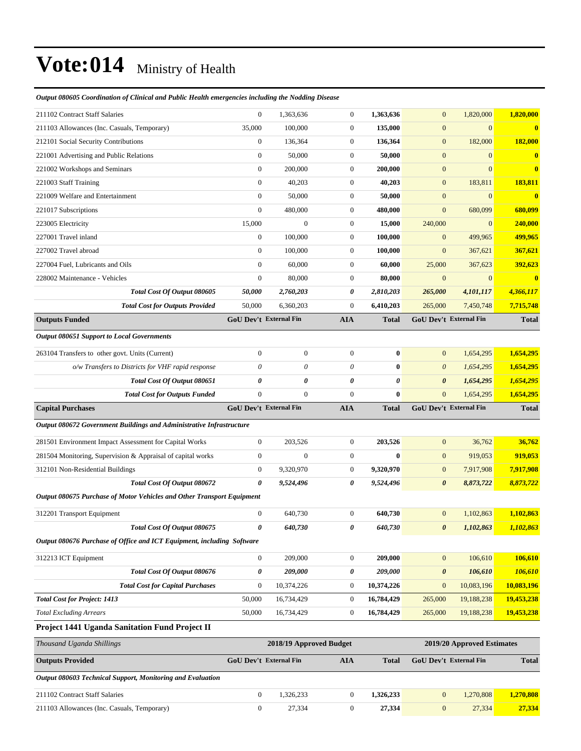| Output 080605 Coordination of Clinical and Public Health emergencies including the Nodding Disease |  |  |  |  |
|----------------------------------------------------------------------------------------------------|--|--|--|--|
|                                                                                                    |  |  |  |  |

| 211102 Contract Staff Salaries                                              | $\boldsymbol{0}$              | 1,363,636               | $\boldsymbol{0}$      | 1,363,636             | $\mathbf{0}$           | 1,820,000                  | 1,820,000             |
|-----------------------------------------------------------------------------|-------------------------------|-------------------------|-----------------------|-----------------------|------------------------|----------------------------|-----------------------|
| 211103 Allowances (Inc. Casuals, Temporary)                                 | 35,000                        | 100,000                 | $\boldsymbol{0}$      | 135,000               | $\mathbf{0}$           | $\mathbf{0}$               | $\mathbf{0}$          |
| 212101 Social Security Contributions                                        | $\boldsymbol{0}$              | 136,364                 | $\boldsymbol{0}$      | 136,364               | $\mathbf{0}$           | 182,000                    | 182,000               |
| 221001 Advertising and Public Relations                                     | $\boldsymbol{0}$              | 50,000                  | $\boldsymbol{0}$      | 50,000                | $\mathbf{0}$           | $\overline{0}$             | $\bf{0}$              |
| 221002 Workshops and Seminars                                               | $\boldsymbol{0}$              | 200,000                 | $\boldsymbol{0}$      | 200,000               | $\boldsymbol{0}$       | $\overline{0}$             | $\mathbf{0}$          |
| 221003 Staff Training                                                       | $\overline{0}$                | 40,203                  | $\boldsymbol{0}$      | 40,203                | $\mathbf{0}$           | 183,811                    | 183,811               |
| 221009 Welfare and Entertainment                                            | $\boldsymbol{0}$              | 50,000                  | $\boldsymbol{0}$      | 50,000                | $\mathbf{0}$           | $\boldsymbol{0}$           | $\mathbf{0}$          |
| 221017 Subscriptions                                                        | $\boldsymbol{0}$              | 480,000                 | $\boldsymbol{0}$      | 480,000               | $\boldsymbol{0}$       | 680,099                    | 680,099               |
| 223005 Electricity                                                          | 15,000                        | $\overline{0}$          | $\boldsymbol{0}$      | 15,000                | 240,000                | $\boldsymbol{0}$           | 240,000               |
| 227001 Travel inland                                                        | $\boldsymbol{0}$              | 100,000                 | $\boldsymbol{0}$      | 100,000               | $\boldsymbol{0}$       | 499,965                    | 499,965               |
| 227002 Travel abroad                                                        | $\boldsymbol{0}$              | 100,000                 | $\boldsymbol{0}$      | 100,000               | $\mathbf{0}$           | 367,621                    | 367,621               |
| 227004 Fuel, Lubricants and Oils                                            | $\boldsymbol{0}$              | 60,000                  | $\boldsymbol{0}$      | 60,000                | 25,000                 | 367,623                    | 392,623               |
| 228002 Maintenance - Vehicles                                               | $\boldsymbol{0}$              | 80,000                  | $\boldsymbol{0}$      | 80,000                | $\boldsymbol{0}$       | $\mathbf{0}$               | $\mathbf{0}$          |
| Total Cost Of Output 080605                                                 | 50,000                        | 2,760,203               | 0                     | 2,810,203             | 265,000                | 4,101,117                  | 4,366,117             |
| <b>Total Cost for Outputs Provided</b>                                      | 50,000                        | 6,360,203               | $\boldsymbol{0}$      | 6,410,203             | 265,000                | 7,450,748                  | 7,715,748             |
| <b>Outputs Funded</b>                                                       | <b>GoU Dev't External Fin</b> |                         | <b>AIA</b>            | <b>Total</b>          | GoU Dev't External Fin |                            | <b>Total</b>          |
| <b>Output 080651 Support to Local Governments</b>                           |                               |                         |                       |                       |                        |                            |                       |
| 263104 Transfers to other govt. Units (Current)                             | $\boldsymbol{0}$              | $\boldsymbol{0}$        | $\boldsymbol{0}$      | $\bf{0}$              | $\mathbf{0}$           | 1,654,295                  | 1,654,295             |
| o/w Transfers to Districts for VHF rapid response                           | 0                             | 0                       | $\boldsymbol{\theta}$ | $\bf{0}$              | $\boldsymbol{0}$       | 1,654,295                  | 1,654,295             |
| Total Cost Of Output 080651                                                 | 0                             | 0                       | 0                     | 0                     | $\boldsymbol{\theta}$  | 1,654,295                  | 1,654,295             |
| <b>Total Cost for Outputs Funded</b>                                        | $\boldsymbol{0}$              | $\mathbf{0}$            | $\boldsymbol{0}$      | $\bf{0}$              | $\mathbf{0}$           | 1,654,295                  | 1,654,295             |
| <b>Capital Purchases</b>                                                    | GoU Dev't External Fin        |                         | AIA                   | <b>Total</b>          | GoU Dev't External Fin |                            | <b>Total</b>          |
| <b>Output 080672 Government Buildings and Administrative Infrastructure</b> |                               |                         |                       |                       |                        |                            |                       |
| 281501 Environment Impact Assessment for Capital Works                      | $\boldsymbol{0}$              | 203,526                 | $\boldsymbol{0}$      | 203,526               | $\mathbf{0}$           | 36,762                     | 36,762                |
| 281504 Monitoring, Supervision & Appraisal of capital works                 | $\boldsymbol{0}$              | $\boldsymbol{0}$        | $\boldsymbol{0}$      | $\bf{0}$              | $\mathbf{0}$           | 919,053                    | 919,053               |
| 312101 Non-Residential Buildings                                            | $\boldsymbol{0}$              | 9,320,970               | $\mathbf{0}$          | 9,320,970             | $\mathbf{0}$           | 7,917,908                  | 7,917,908             |
| Total Cost Of Output 080672                                                 | 0                             | 9,524,496               | 0                     | 9,524,496             | $\boldsymbol{\theta}$  | 8,873,722                  | 8,873,722             |
| Output 080675 Purchase of Motor Vehicles and Other Transport Equipment      |                               |                         |                       |                       |                        |                            |                       |
| 312201 Transport Equipment                                                  | $\boldsymbol{0}$              | 640,730                 | $\mathbf{0}$          | 640,730               | $\mathbf{0}$           | 1,102,863                  | 1,102,863             |
| Total Cost Of Output 080675                                                 | 0                             | 640,730                 | 0                     | 640,730               | 0                      | 1,102,863                  | 1,102,863             |
| Output 080676 Purchase of Office and ICT Equipment, including Software      |                               |                         |                       |                       |                        |                            |                       |
|                                                                             | $\boldsymbol{0}$              |                         | $\boldsymbol{0}$      |                       |                        | 106,610                    | 106,610               |
| 312213 ICT Equipment<br>Total Cost Of Output 080676                         |                               | 209,000                 |                       | 209,000               | $\boldsymbol{0}$       |                            |                       |
| <b>Total Cost for Capital Purchases</b>                                     | 0<br>$\boldsymbol{0}$         | 209,000<br>10,374,226   | 0<br>$\boldsymbol{0}$ | 209,000<br>10,374,226 | $\boldsymbol{\theta}$  | 106,610<br>10,083,196      | 106,610<br>10,083,196 |
| <b>Total Cost for Project: 1413</b>                                         | 50,000                        | 16,734,429              | $\boldsymbol{0}$      | 16,784,429            | $\mathbf{0}$           | 19,188,238                 | 19,453,238            |
| <b>Total Excluding Arrears</b>                                              | 50,000                        |                         | $\boldsymbol{0}$      | 16,784,429            | 265,000                | 19,188,238                 | 19,453,238            |
|                                                                             |                               | 16,734,429              |                       |                       | 265,000                |                            |                       |
| Project 1441 Uganda Sanitation Fund Project II                              |                               |                         |                       |                       |                        |                            |                       |
| Thousand Uganda Shillings                                                   |                               | 2018/19 Approved Budget |                       |                       |                        | 2019/20 Approved Estimates |                       |
| <b>Outputs Provided</b>                                                     | GoU Dev't External Fin        |                         | <b>AIA</b>            | <b>Total</b>          | GoU Dev't External Fin |                            | <b>Total</b>          |
| Output 080603 Technical Support, Monitoring and Evaluation                  |                               |                         |                       |                       |                        |                            |                       |
|                                                                             |                               |                         |                       |                       |                        |                            |                       |
| 211102 Contract Staff Salaries                                              | $\boldsymbol{0}$              | 1,326,233               | $\boldsymbol{0}$      | 1,326,233             | $\boldsymbol{0}$       | 1,270,808                  | 1,270,808             |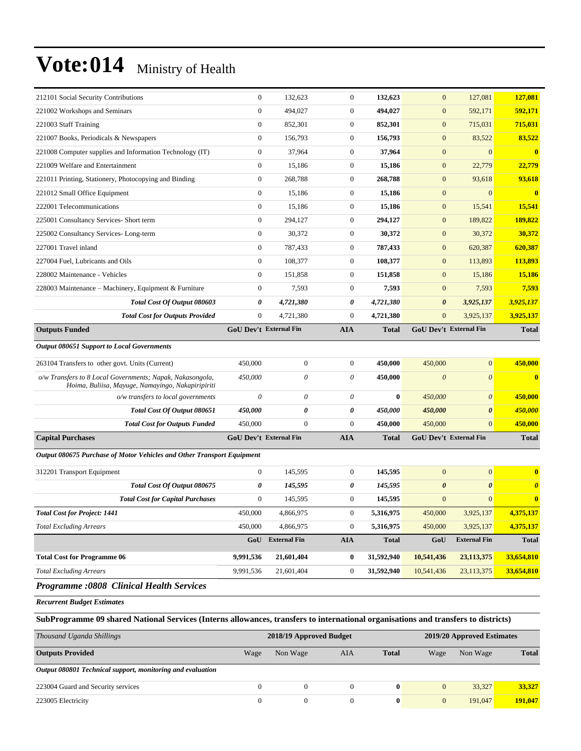| 212101 Social Security Contributions                                                                                               | $\boldsymbol{0}$ | 132,623                       | $\boldsymbol{0}$ | 132,623      | $\mathbf{0}$          | 127,081                    | 127,081                 |
|------------------------------------------------------------------------------------------------------------------------------------|------------------|-------------------------------|------------------|--------------|-----------------------|----------------------------|-------------------------|
| 221002 Workshops and Seminars                                                                                                      | $\overline{0}$   | 494,027                       | $\boldsymbol{0}$ | 494,027      | $\mathbf{0}$          | 592,171                    | 592,171                 |
| 221003 Staff Training                                                                                                              | $\boldsymbol{0}$ | 852,301                       | $\mathbf{0}$     | 852,301      | $\mathbf{0}$          | 715,031                    | 715,031                 |
| 221007 Books, Periodicals & Newspapers                                                                                             | $\boldsymbol{0}$ | 156,793                       | $\boldsymbol{0}$ | 156,793      | $\boldsymbol{0}$      | 83,522                     | 83,522                  |
| 221008 Computer supplies and Information Technology (IT)                                                                           | $\boldsymbol{0}$ | 37,964                        | $\boldsymbol{0}$ | 37,964       | $\boldsymbol{0}$      | $\mathbf{0}$               | $\bf{0}$                |
| 221009 Welfare and Entertainment                                                                                                   | $\boldsymbol{0}$ | 15,186                        | $\boldsymbol{0}$ | 15,186       | $\boldsymbol{0}$      | 22,779                     | 22,779                  |
| 221011 Printing, Stationery, Photocopying and Binding                                                                              | $\boldsymbol{0}$ | 268,788                       | $\boldsymbol{0}$ | 268,788      | $\boldsymbol{0}$      | 93,618                     | 93,618                  |
| 221012 Small Office Equipment                                                                                                      | $\boldsymbol{0}$ | 15,186                        | $\mathbf{0}$     | 15,186       | $\boldsymbol{0}$      | $\boldsymbol{0}$           | $\overline{\mathbf{0}}$ |
| 222001 Telecommunications                                                                                                          | $\boldsymbol{0}$ | 15,186                        | $\mathbf{0}$     | 15,186       | $\boldsymbol{0}$      | 15,541                     | 15,541                  |
| 225001 Consultancy Services- Short term                                                                                            | $\mathbf{0}$     | 294,127                       | $\mathbf{0}$     | 294,127      | $\boldsymbol{0}$      | 189,822                    | 189,822                 |
| 225002 Consultancy Services-Long-term                                                                                              | $\boldsymbol{0}$ | 30,372                        | $\boldsymbol{0}$ | 30,372       | $\boldsymbol{0}$      | 30,372                     | 30,372                  |
| 227001 Travel inland                                                                                                               | $\boldsymbol{0}$ | 787,433                       | $\boldsymbol{0}$ | 787,433      | $\mathbf{0}$          | 620,387                    | 620,387                 |
| 227004 Fuel, Lubricants and Oils                                                                                                   | $\boldsymbol{0}$ | 108,377                       | $\mathbf{0}$     | 108,377      | $\mathbf{0}$          | 113,893                    | 113,893                 |
| 228002 Maintenance - Vehicles                                                                                                      | $\boldsymbol{0}$ | 151,858                       | $\boldsymbol{0}$ | 151,858      | $\boldsymbol{0}$      | 15,186                     | 15,186                  |
| 228003 Maintenance - Machinery, Equipment & Furniture                                                                              | $\boldsymbol{0}$ | 7,593                         | $\boldsymbol{0}$ | 7,593        | $\mathbf{0}$          | 7,593                      | 7,593                   |
| Total Cost Of Output 080603                                                                                                        | 0                | 4,721,380                     | 0                | 4,721,380    | $\boldsymbol{\theta}$ | 3,925,137                  | 3,925,137               |
| <b>Total Cost for Outputs Provided</b>                                                                                             | $\boldsymbol{0}$ | 4,721,380                     | $\boldsymbol{0}$ | 4,721,380    | $\mathbf{0}$          | 3,925,137                  | 3,925,137               |
| <b>Outputs Funded</b>                                                                                                              |                  | <b>GoU Dev't External Fin</b> | AIA              | <b>Total</b> |                       | GoU Dev't External Fin     | <b>Total</b>            |
| <b>Output 080651 Support to Local Governments</b>                                                                                  |                  |                               |                  |              |                       |                            |                         |
| 263104 Transfers to other govt. Units (Current)                                                                                    | 450,000          | $\boldsymbol{0}$              | $\boldsymbol{0}$ | 450,000      | 450,000               | $\mathbf{0}$               | 450,000                 |
| o/w Transfers to 8 Local Governments; Napak, Nakasongola,<br>Hoima, Buliisa, Mayuge, Namayingo, Nakapiripiriti                     | 450,000          | $\theta$                      | 0                | 450,000      | $\boldsymbol{0}$      | $\theta$                   | $\bf{0}$                |
| o/w transfers to local governments                                                                                                 | $\theta$         | $\boldsymbol{\theta}$         | 0                | $\bf{0}$     | 450,000               | $\boldsymbol{\theta}$      | 450,000                 |
| Total Cost Of Output 080651                                                                                                        | 450,000          | 0                             | 0                | 450,000      | 450,000               | $\boldsymbol{\theta}$      | 450,000                 |
| <b>Total Cost for Outputs Funded</b>                                                                                               | 450,000          | $\boldsymbol{0}$              | $\boldsymbol{0}$ | 450,000      | 450,000               | $\mathbf{0}$               | 450,000                 |
| <b>Capital Purchases</b>                                                                                                           |                  | <b>GoU Dev't External Fin</b> | <b>AIA</b>       | <b>Total</b> |                       | GoU Dev't External Fin     | <b>Total</b>            |
| Output 080675 Purchase of Motor Vehicles and Other Transport Equipment                                                             |                  |                               |                  |              |                       |                            |                         |
| 312201 Transport Equipment                                                                                                         | $\boldsymbol{0}$ | 145,595                       | $\mathbf{0}$     | 145,595      | $\mathbf{0}$          | $\boldsymbol{0}$           | $\bf{0}$                |
| Total Cost Of Output 080675                                                                                                        | 0                | 145,595                       | 0                | 145,595      | $\boldsymbol{\theta}$ | $\boldsymbol{\theta}$      | $\boldsymbol{\theta}$   |
| <b>Total Cost for Capital Purchases</b>                                                                                            | $\mathbf{0}$     | 145,595                       | $\boldsymbol{0}$ | 145,595      | $\mathbf{0}$          | $\overline{0}$             | $\bf{0}$                |
| <b>Total Cost for Project: 1441</b>                                                                                                | 450,000          | 4,866,975                     | 0                | 5,316,975    | 450,000               | 3,925,137                  | 4,375,137               |
| <b>Total Excluding Arrears</b>                                                                                                     | 450,000          | 4,866,975                     | $\boldsymbol{0}$ | 5,316,975    | 450,000               | 3,925,137                  | 4,375,137               |
|                                                                                                                                    | GoU              | <b>External Fin</b>           | <b>AIA</b>       | <b>Total</b> | GoU                   | <b>External Fin</b>        | <b>Total</b>            |
| <b>Total Cost for Programme 06</b>                                                                                                 | 9,991,536        | 21,601,404                    | $\bf{0}$         | 31,592,940   | 10,541,436            | 23, 113, 375               | 33,654,810              |
| <b>Total Excluding Arrears</b>                                                                                                     | 9,991,536        | 21,601,404                    | $\boldsymbol{0}$ | 31,592,940   | 10,541,436            | 23,113,375                 | 33,654,810              |
| <b>Programme :0808 Clinical Health Services</b>                                                                                    |                  |                               |                  |              |                       |                            |                         |
| <b>Recurrent Budget Estimates</b>                                                                                                  |                  |                               |                  |              |                       |                            |                         |
| SubProgramme 09 shared National Services (Interns allowances, transfers to international organisations and transfers to districts) |                  |                               |                  |              |                       |                            |                         |
| Thousand Uganda Shillings                                                                                                          |                  | 2018/19 Approved Budget       |                  |              |                       | 2019/20 Approved Estimates |                         |
| <b>Outputs Provided</b>                                                                                                            | Wage             | Non Wage                      | AIA              | <b>Total</b> | Wage                  | Non Wage                   | <b>Total</b>            |

*Output 080801 Technical support, monitoring and evaluation*  223004 Guard and Security services 0 0 0 **0** 0 33,327 **33,327** 223005 Electricity 0 0 0 **0** 0 191,047 **191,047**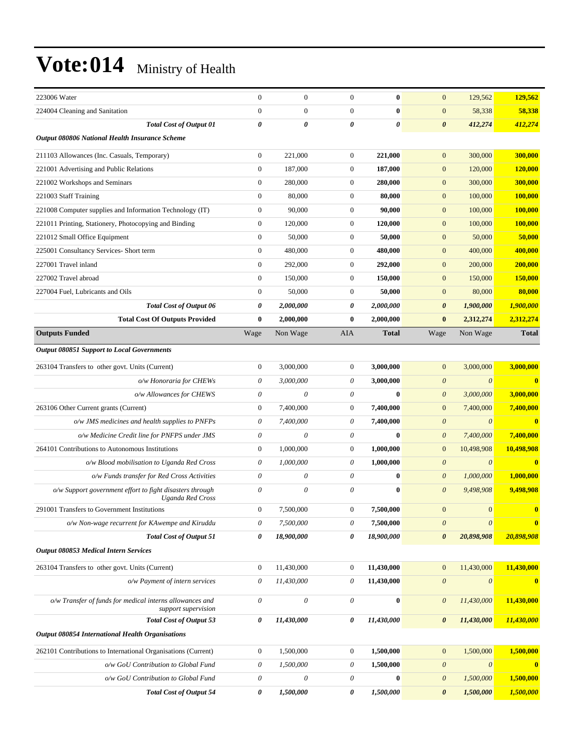| 223006 Water                                                                    | $\mathbf{0}$              | $\boldsymbol{0}$          | $\boldsymbol{0}$          | $\bf{0}$              | $\mathbf{0}$          | 129,562               | 129,562        |
|---------------------------------------------------------------------------------|---------------------------|---------------------------|---------------------------|-----------------------|-----------------------|-----------------------|----------------|
| 224004 Cleaning and Sanitation                                                  | $\overline{0}$            | $\overline{0}$            | $\boldsymbol{0}$          | $\bf{0}$              | $\mathbf{0}$          | 58,338                | 58,338         |
| <b>Total Cost of Output 01</b>                                                  | 0                         | $\boldsymbol{\theta}$     | 0                         | $\boldsymbol{\theta}$ | $\boldsymbol{\theta}$ | 412,274               | 412,274        |
| Output 080806 National Health Insurance Scheme                                  |                           |                           |                           |                       |                       |                       |                |
| 211103 Allowances (Inc. Casuals, Temporary)                                     | $\boldsymbol{0}$          | 221,000                   | $\boldsymbol{0}$          | 221,000               | $\mathbf{0}$          | 300,000               | 300,000        |
| 221001 Advertising and Public Relations                                         | $\mathbf{0}$              | 187,000                   | $\boldsymbol{0}$          | 187,000               | $\mathbf{0}$          | 120,000               | <b>120,000</b> |
| 221002 Workshops and Seminars                                                   | $\boldsymbol{0}$          | 280,000                   | $\boldsymbol{0}$          | 280,000               | $\mathbf{0}$          | 300,000               | 300,000        |
| 221003 Staff Training                                                           | $\mathbf{0}$              | 80,000                    | $\boldsymbol{0}$          | 80,000                | $\mathbf{0}$          | 100,000               | <b>100,000</b> |
| 221008 Computer supplies and Information Technology (IT)                        | $\boldsymbol{0}$          | 90,000                    | $\boldsymbol{0}$          | 90,000                | $\mathbf{0}$          | 100,000               | 100,000        |
| 221011 Printing, Stationery, Photocopying and Binding                           | $\boldsymbol{0}$          | 120,000                   | $\boldsymbol{0}$          | 120,000               | $\mathbf{0}$          | 100,000               | 100,000        |
| 221012 Small Office Equipment                                                   | $\boldsymbol{0}$          | 50,000                    | $\boldsymbol{0}$          | 50,000                | $\mathbf{0}$          | 50,000                | 50,000         |
| 225001 Consultancy Services- Short term                                         | $\boldsymbol{0}$          | 480,000                   | $\boldsymbol{0}$          | 480,000               | $\mathbf{0}$          | 400,000               | 400,000        |
| 227001 Travel inland                                                            | $\overline{0}$            | 292,000                   | $\boldsymbol{0}$          | 292,000               | $\mathbf{0}$          | 200,000               | 200,000        |
| 227002 Travel abroad                                                            | $\boldsymbol{0}$          | 150,000                   | $\boldsymbol{0}$          | 150,000               | $\mathbf{0}$          | 150,000               | 150,000        |
| 227004 Fuel, Lubricants and Oils                                                | $\boldsymbol{0}$          | 50,000                    | $\boldsymbol{0}$          | 50,000                | $\mathbf{0}$          | 80,000                | 80,000         |
| Total Cost of Output 06                                                         | 0                         | 2,000,000                 | 0                         | 2,000,000             | $\boldsymbol{\theta}$ | 1,900,000             | 1,900,000      |
| <b>Total Cost Of Outputs Provided</b>                                           | $\bf{0}$                  | 2,000,000                 | 0                         | 2,000,000             | $\bf{0}$              | 2,312,274             | 2,312,274      |
| <b>Outputs Funded</b>                                                           | Wage                      | Non Wage                  | <b>AIA</b>                | <b>Total</b>          | Wage                  | Non Wage              | <b>Total</b>   |
| <b>Output 080851 Support to Local Governments</b>                               |                           |                           |                           |                       |                       |                       |                |
| 263104 Transfers to other govt. Units (Current)                                 | $\boldsymbol{0}$          | 3,000,000                 | $\boldsymbol{0}$          | 3,000,000             | $\mathbf{0}$          | 3,000,000             | 3,000,000      |
| o/w Honoraria for CHEWs                                                         | $\theta$                  | 3,000,000                 | $\theta$                  | 3,000,000             | $\boldsymbol{\theta}$ | $\boldsymbol{\theta}$ | $\mathbf{0}$   |
| o/w Allowances for CHEWS                                                        | $\theta$                  | $\theta$                  | $\theta$                  | $\bf{0}$              | $\boldsymbol{\theta}$ | 3,000,000             | 3,000,000      |
| 263106 Other Current grants (Current)                                           | $\mathbf{0}$              | 7,400,000                 | $\boldsymbol{0}$          | 7,400,000             | $\mathbf{0}$          | 7,400,000             | 7,400,000      |
| $o/w$ JMS medicines and health supplies to PNFPs                                | 0                         | 7,400,000                 | 0                         | 7,400,000             | $\boldsymbol{\theta}$ | $\theta$              |                |
| o/w Medicine Credit line for PNFPS under JMS                                    | $\theta$                  | $\theta$                  | $\theta$                  | $\bf{0}$              | $\boldsymbol{\theta}$ | 7,400,000             | 7,400,000      |
| 264101 Contributions to Autonomous Institutions                                 | $\mathbf{0}$              | 1,000,000                 | $\boldsymbol{0}$          | 1,000,000             | $\mathbf{0}$          | 10,498,908            | 10,498,908     |
| o/w Blood mobilisation to Uganda Red Cross                                      | $\theta$                  | 1,000,000                 | $\theta$                  | 1,000,000             | $\boldsymbol{\theta}$ | $\boldsymbol{\theta}$ |                |
| o/w Funds transfer for Red Cross Activities                                     | 0                         | 0                         | $\theta$                  | $\bf{0}$              | $\boldsymbol{\theta}$ | 1,000,000             | 1,000,000      |
| o/w Support government effort to fight disasters through<br>Uganda Red Cross    | 0                         | $\theta$                  | $\theta$                  | $\bf{0}$              | $\boldsymbol{\theta}$ | 9,498,908             | 9,498,908      |
| 291001 Transfers to Government Institutions                                     | $\boldsymbol{0}$          | 7,500,000                 | $\boldsymbol{0}$          | 7,500,000             | $\mathbf{0}$          | 0                     |                |
| o/w Non-wage recurrent for KAwempe and Kiruddu                                  | $\theta$                  | 7,500,000                 | $\boldsymbol{\mathit{0}}$ | 7,500,000             | $\boldsymbol{\theta}$ | $\boldsymbol{\theta}$ | $\bf{0}$       |
| <b>Total Cost of Output 51</b>                                                  | 0                         | 18,900,000                | 0                         | 18,900,000            | $\boldsymbol{\theta}$ | 20,898,908            | 20,898,908     |
| Output 080853 Medical Intern Services                                           |                           |                           |                           |                       |                       |                       |                |
| 263104 Transfers to other govt. Units (Current)                                 | 0                         | 11,430,000                | $\boldsymbol{0}$          | 11,430,000            | $\boldsymbol{0}$      | 11,430,000            | 11,430,000     |
| o/w Payment of intern services                                                  | $\theta$                  | 11,430,000                | $\boldsymbol{\mathit{0}}$ | 11,430,000            | $\boldsymbol{\theta}$ | $\boldsymbol{\theta}$ | $\bf{0}$       |
| o/w Transfer of funds for medical interns allowances and<br>support supervision | $\theta$                  | $\boldsymbol{\theta}$     | $\boldsymbol{\mathit{0}}$ | $\bf{0}$              | $\boldsymbol{\theta}$ | 11,430,000            | 11,430,000     |
| Total Cost of Output 53                                                         | 0                         | 11,430,000                | 0                         | 11,430,000            | 0                     | 11,430,000            | 11,430,000     |
| <b>Output 080854 International Health Organisations</b>                         |                           |                           |                           |                       |                       |                       |                |
| 262101 Contributions to International Organisations (Current)                   | $\boldsymbol{0}$          | 1,500,000                 | $\boldsymbol{0}$          | 1,500,000             | $\boldsymbol{0}$      | 1,500,000             | 1,500,000      |
| o/w GoU Contribution to Global Fund                                             | $\boldsymbol{\mathit{0}}$ | 1,500,000                 | $\boldsymbol{\mathit{0}}$ | 1,500,000             | $\boldsymbol{\theta}$ | $\boldsymbol{\theta}$ | $\bf{0}$       |
| o/w GoU Contribution to Global Fund                                             | 0                         | $\boldsymbol{\mathit{0}}$ | $\boldsymbol{\mathit{0}}$ | $\bf{0}$              | $\boldsymbol{\theta}$ | 1,500,000             | 1,500,000      |
| <b>Total Cost of Output 54</b>                                                  | 0                         | 1,500,000                 | 0                         | 1,500,000             | 0                     | 1,500,000             | 1,500,000      |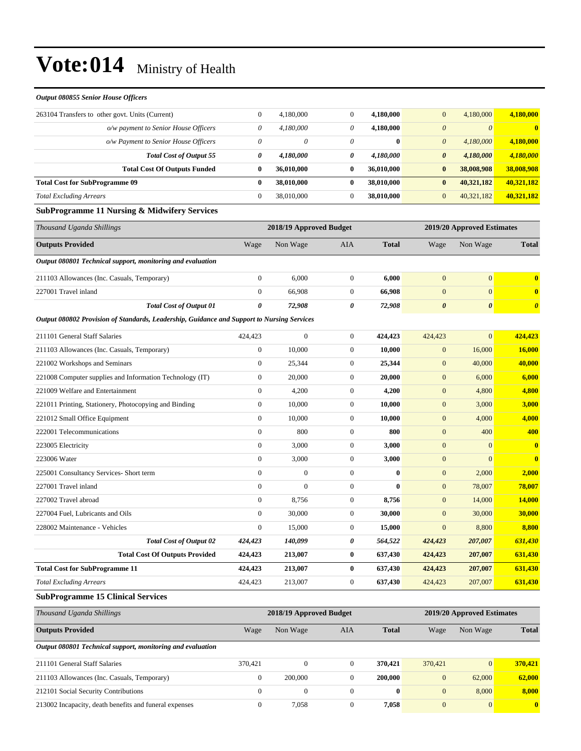| <b>Output 080855 Senior House Officers</b>                                                 |                       |                         |                  |              |                       |                            |                         |
|--------------------------------------------------------------------------------------------|-----------------------|-------------------------|------------------|--------------|-----------------------|----------------------------|-------------------------|
| 263104 Transfers to other govt. Units (Current)                                            | $\boldsymbol{0}$      | 4,180,000               | $\boldsymbol{0}$ | 4,180,000    | $\mathbf{0}$          | 4,180,000                  | 4,180,000               |
| o/w payment to Senior House Officers                                                       | $\theta$              | 4,180,000               | 0                | 4,180,000    | $\boldsymbol{\theta}$ | $\boldsymbol{\theta}$      | $\bf{0}$                |
| o/w Payment to Senior House Officers                                                       | 0                     | 0                       | 0                | $\bf{0}$     | $\boldsymbol{\theta}$ | 4,180,000                  | 4,180,000               |
| <b>Total Cost of Output 55</b>                                                             | 0                     | 4,180,000               | 0                | 4,180,000    | $\boldsymbol{\theta}$ | 4,180,000                  | 4,180,000               |
| <b>Total Cost Of Outputs Funded</b>                                                        | $\bf{0}$              | 36,010,000              | $\bf{0}$         | 36,010,000   | $\bf{0}$              | 38,008,908                 | 38,008,908              |
| <b>Total Cost for SubProgramme 09</b>                                                      | $\bf{0}$              | 38,010,000              | 0                | 38,010,000   | $\bf{0}$              | 40,321,182                 | 40,321,182              |
| <b>Total Excluding Arrears</b>                                                             | $\mathbf{0}$          | 38,010,000              | $\boldsymbol{0}$ | 38,010,000   | $\boldsymbol{0}$      | 40,321,182                 | 40,321,182              |
| <b>SubProgramme 11 Nursing &amp; Midwifery Services</b>                                    |                       |                         |                  |              |                       |                            |                         |
| Thousand Uganda Shillings                                                                  |                       | 2018/19 Approved Budget |                  |              |                       | 2019/20 Approved Estimates |                         |
| <b>Outputs Provided</b>                                                                    | Wage                  | Non Wage                | <b>AIA</b>       | <b>Total</b> | Wage                  | Non Wage                   | <b>Total</b>            |
| Output 080801 Technical support, monitoring and evaluation                                 |                       |                         |                  |              |                       |                            |                         |
| 211103 Allowances (Inc. Casuals, Temporary)                                                | $\boldsymbol{0}$      | 6,000                   | $\boldsymbol{0}$ | 6,000        | $\mathbf{0}$          | $\mathbf{0}$               | $\bf{0}$                |
| 227001 Travel inland                                                                       | $\boldsymbol{0}$      | 66,908                  | $\boldsymbol{0}$ | 66,908       | $\mathbf{0}$          | $\mathbf{0}$               | $\bf{0}$                |
| <b>Total Cost of Output 01</b>                                                             | $\boldsymbol{\theta}$ | 72,908                  | 0                | 72,908       | $\boldsymbol{\theta}$ | $\boldsymbol{\theta}$      | $\boldsymbol{\theta}$   |
| Output 080802 Provision of Standards, Leadership, Guidance and Support to Nursing Services |                       |                         |                  |              |                       |                            |                         |
| 211101 General Staff Salaries                                                              | 424,423               | $\boldsymbol{0}$        | $\boldsymbol{0}$ | 424,423      | 424,423               | $\overline{0}$             | 424,423                 |
| 211103 Allowances (Inc. Casuals, Temporary)                                                | $\boldsymbol{0}$      | 10.000                  | $\boldsymbol{0}$ | 10,000       | $\mathbf{0}$          | 16,000                     | 16,000                  |
| 221002 Workshops and Seminars                                                              | $\boldsymbol{0}$      | 25,344                  | $\boldsymbol{0}$ | 25,344       | $\mathbf{0}$          | 40,000                     | 40,000                  |
| 221008 Computer supplies and Information Technology (IT)                                   | $\boldsymbol{0}$      | 20,000                  | $\boldsymbol{0}$ | 20,000       | $\mathbf{0}$          | 6,000                      | 6,000                   |
| 221009 Welfare and Entertainment                                                           | $\boldsymbol{0}$      | 4,200                   | $\boldsymbol{0}$ | 4,200        | $\boldsymbol{0}$      | 4,800                      | 4,800                   |
| 221011 Printing, Stationery, Photocopying and Binding                                      | $\boldsymbol{0}$      | 10,000                  | $\boldsymbol{0}$ | 10,000       | $\boldsymbol{0}$      | 3,000                      | 3,000                   |
| 221012 Small Office Equipment                                                              | $\mathbf{0}$          | 10,000                  | $\boldsymbol{0}$ | 10,000       | $\boldsymbol{0}$      | 4,000                      | 4,000                   |
| 222001 Telecommunications                                                                  | $\boldsymbol{0}$      | 800                     | $\boldsymbol{0}$ | 800          | $\mathbf{0}$          | 400                        | 400                     |
| 223005 Electricity                                                                         | $\boldsymbol{0}$      | 3,000                   | $\boldsymbol{0}$ | 3,000        | $\boldsymbol{0}$      | $\mathbf{0}$               | $\bf{0}$                |
| 223006 Water                                                                               | $\boldsymbol{0}$      | 3,000                   | $\boldsymbol{0}$ | 3,000        | $\boldsymbol{0}$      | $\mathbf{0}$               | $\overline{\mathbf{0}}$ |
| 225001 Consultancy Services- Short term                                                    | $\boldsymbol{0}$      | $\boldsymbol{0}$        | $\boldsymbol{0}$ | $\bf{0}$     | $\boldsymbol{0}$      | 2,000                      | 2,000                   |
| 227001 Travel inland                                                                       | $\mathbf{0}$          | $\boldsymbol{0}$        | $\boldsymbol{0}$ | $\bf{0}$     | $\boldsymbol{0}$      | 78,007                     | 78,007                  |
| 227002 Travel abroad                                                                       | $\boldsymbol{0}$      | 8,756                   | $\boldsymbol{0}$ | 8,756        | $\mathbf{0}$          | 14,000                     | 14,000                  |
| 227004 Fuel, Lubricants and Oils                                                           | $\boldsymbol{0}$      | 30,000                  | $\mathbf{0}$     | 30,000       | $\mathbf{0}$          | 30,000                     | 30,000                  |
| 228002 Maintenance - Vehicles                                                              | $\boldsymbol{0}$      | 15,000                  | $\mathbf{0}$     | 15,000       | $\boldsymbol{0}$      | 8,800                      | 8,800                   |
| <b>Total Cost of Output 02</b>                                                             | 424,423               | 140,099                 | 0                | 564,522      | 424,423               | 207,007                    | 631,430                 |
| <b>Total Cost Of Outputs Provided</b>                                                      | 424,423               | 213,007                 | 0                | 637,430      | 424,423               | 207,007                    | 631,430                 |
| <b>Total Cost for SubProgramme 11</b>                                                      | 424,423               | 213,007                 | 0                | 637,430      | 424,423               | 207,007                    | 631,430                 |
| <b>Total Excluding Arrears</b>                                                             | 424,423               | 213,007                 | $\boldsymbol{0}$ | 637,430      | 424,423               | 207,007                    | 631,430                 |
| <b>SubProgramme 15 Clinical Services</b>                                                   |                       |                         |                  |              |                       |                            |                         |
| Thousand Uganda Shillings                                                                  |                       | 2018/19 Approved Budget |                  |              |                       | 2019/20 Approved Estimates |                         |
| <b>Outputs Provided</b>                                                                    | Wage                  | Non Wage                | AIA              | <b>Total</b> | Wage                  | Non Wage                   | <b>Total</b>            |
| Output 080801 Technical support, monitoring and evaluation                                 |                       |                         |                  |              |                       |                            |                         |
| 211101 General Staff Salaries                                                              | 370,421               | $\boldsymbol{0}$        | $\mathbf{0}$     | 370,421      | 370,421               | $\mathbf{0}$               | 370,421                 |
| 211103 Allowances (Inc. Casuals, Temporary)                                                | $\boldsymbol{0}$      | 200,000                 | $\boldsymbol{0}$ | 200,000      | $\boldsymbol{0}$      | 62,000                     | 62,000                  |
| 212101 Social Security Contributions                                                       | $\mathbf{0}$          | $\boldsymbol{0}$        | $\boldsymbol{0}$ | $\bf{0}$     | $\mathbf{0}$          | 8,000                      | 8,000                   |
| 213002 Incapacity, death benefits and funeral expenses                                     | $\boldsymbol{0}$      | 7,058                   | $\boldsymbol{0}$ | 7,058        | $\mathbf{0}$          | $\mathbf{0}$               | $\boldsymbol{0}$        |
|                                                                                            |                       |                         |                  |              |                       |                            |                         |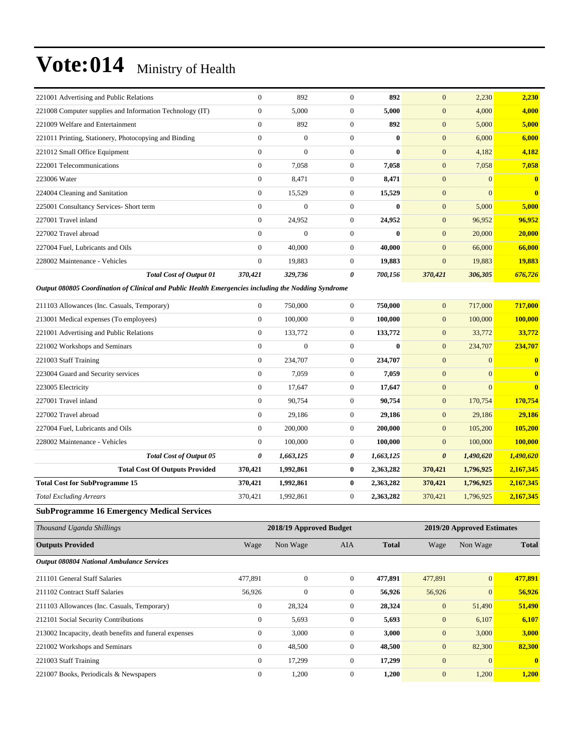| 221001 Advertising and Public Relations                                                             | $\overline{0}$   | 892            | $\mathbf{0}$          | 892          | $\overline{0}$        | 2,230          | 2,230        |
|-----------------------------------------------------------------------------------------------------|------------------|----------------|-----------------------|--------------|-----------------------|----------------|--------------|
| 221008 Computer supplies and Information Technology (IT)                                            | $\overline{0}$   | 5,000          | $\mathbf{0}$          | 5,000        | $\overline{0}$        | 4,000          | 4,000        |
| 221009 Welfare and Entertainment                                                                    | $\overline{0}$   | 892            | $\boldsymbol{0}$      | 892          | $\mathbf{0}$          | 5,000          | 5,000        |
| 221011 Printing, Stationery, Photocopying and Binding                                               | $\overline{0}$   | $\overline{0}$ | $\mathbf{0}$          | $\mathbf{0}$ | $\boldsymbol{0}$      | 6,000          | 6,000        |
| 221012 Small Office Equipment                                                                       | $\Omega$         | $\theta$       | $\Omega$              | $\bf{0}$     | $\overline{0}$        | 4,182          | 4,182        |
| 222001 Telecommunications                                                                           | $\overline{0}$   | 7,058          | $\mathbf{0}$          | 7,058        | $\overline{0}$        | 7,058          | 7,058        |
| 223006 Water                                                                                        | $\overline{0}$   | 8,471          | $\mathbf{0}$          | 8,471        | $\overline{0}$        | $\Omega$       | $\mathbf{0}$ |
| 224004 Cleaning and Sanitation                                                                      | $\boldsymbol{0}$ | 15,529         | $\boldsymbol{0}$      | 15,529       | $\boldsymbol{0}$      | $\mathbf{0}$   | $\mathbf{0}$ |
| 225001 Consultancy Services- Short term                                                             | $\overline{0}$   | $\overline{0}$ | $\boldsymbol{0}$      | $\bf{0}$     | $\mathbf{0}$          | 5,000          | 5,000        |
| 227001 Travel inland                                                                                | $\overline{0}$   | 24,952         | $\boldsymbol{0}$      | 24,952       | $\mathbf{0}$          | 96,952         | 96,952       |
| 227002 Travel abroad                                                                                | $\overline{0}$   | $\Omega$       | $\mathbf{0}$          | $\mathbf{0}$ | $\overline{0}$        | 20,000         | 20,000       |
| 227004 Fuel, Lubricants and Oils                                                                    | $\overline{0}$   | 40,000         | $\mathbf{0}$          | 40.000       | $\overline{0}$        | 66,000         | 66,000       |
| 228002 Maintenance - Vehicles                                                                       | $\overline{0}$   | 19,883         | $\boldsymbol{0}$      | 19,883       | $\mathbf{0}$          | 19,883         | 19,883       |
| <b>Total Cost of Output 01</b>                                                                      | 370,421          | 329,736        | $\boldsymbol{\theta}$ | 700,156      | 370,421               | 306,305        | 676,726      |
| Output 080805 Coordination of Clinical and Public Health Emergencies including the Nodding Syndrome |                  |                |                       |              |                       |                |              |
| 211103 Allowances (Inc. Casuals, Temporary)                                                         | $\boldsymbol{0}$ | 750,000        | $\mathbf{0}$          | 750,000      | $\overline{0}$        | 717,000        | 717,000      |
| 213001 Medical expenses (To employees)                                                              | $\boldsymbol{0}$ | 100,000        | $\boldsymbol{0}$      | 100,000      | $\boldsymbol{0}$      | 100,000        | 100,000      |
| 221001 Advertising and Public Relations                                                             | $\overline{0}$   | 133,772        | $\boldsymbol{0}$      | 133,772      | $\boldsymbol{0}$      | 33,772         | 33,772       |
| 221002 Workshops and Seminars                                                                       | $\overline{0}$   | $\theta$       | $\mathbf{0}$          | $\bf{0}$     | $\overline{0}$        | 234,707        | 234,707      |
| 221003 Staff Training                                                                               | $\overline{0}$   | 234,707        | $\boldsymbol{0}$      | 234,707      | $\boldsymbol{0}$      | $\mathbf{0}$   | $\mathbf{0}$ |
| 223004 Guard and Security services                                                                  | $\overline{0}$   | 7,059          | $\mathbf{0}$          | 7.059        | $\overline{0}$        | $\Omega$       | $\bf{0}$     |
| 223005 Electricity                                                                                  | $\overline{0}$   | 17,647         | $\boldsymbol{0}$      | 17,647       | $\mathbf{0}$          | $\overline{0}$ | $\bf{0}$     |
| 227001 Travel inland                                                                                | $\overline{0}$   | 90,754         | $\mathbf{0}$          | 90,754       | $\boldsymbol{0}$      | 170,754        | 170,754      |
| 227002 Travel abroad                                                                                | $\overline{0}$   | 29,186         | $\mathbf{0}$          | 29,186       | $\mathbf{0}$          | 29,186         | 29,186       |
| 227004 Fuel, Lubricants and Oils                                                                    | $\overline{0}$   | 200,000        | $\boldsymbol{0}$      | 200,000      | $\boldsymbol{0}$      | 105,200        | 105,200      |
| 228002 Maintenance - Vehicles                                                                       | $\overline{0}$   | 100,000        | $\mathbf{0}$          | 100,000      | $\overline{0}$        | 100,000        | 100,000      |
| <b>Total Cost of Output 05</b>                                                                      | 0                | 1,663,125      | $\pmb{\theta}$        | 1,663,125    | $\boldsymbol{\theta}$ | 1,490,620      | 1,490,620    |
| <b>Total Cost Of Outputs Provided</b>                                                               | 370,421          | 1,992,861      | $\bf{0}$              | 2,363,282    | 370,421               | 1,796,925      | 2,167,345    |
| <b>Total Cost for SubProgramme 15</b>                                                               | 370,421          | 1,992,861      | $\bf{0}$              | 2,363,282    | 370,421               | 1,796,925      | 2,167,345    |
| <b>Total Excluding Arrears</b>                                                                      | 370,421          | 1,992,861      | $\mathbf{0}$          | 2,363,282    | 370,421               | 1,796,925      | 2,167,345    |
| <b>SubProgramme 16 Emergency Medical Services</b>                                                   |                  |                |                       |              |                       |                |              |

| Thousand Uganda Shillings                              |                | 2018/19 Approved Budget | 2019/20 Approved Estimates |              |                |                |              |
|--------------------------------------------------------|----------------|-------------------------|----------------------------|--------------|----------------|----------------|--------------|
| <b>Outputs Provided</b>                                | Wage           | Non Wage                | AIA                        | <b>Total</b> | Wage           | Non Wage       | <b>Total</b> |
| <b>Output 080804 National Ambulance Services</b>       |                |                         |                            |              |                |                |              |
| 211101 General Staff Salaries                          | 477,891        | $\mathbf{0}$            | $\overline{0}$             | 477,891      | 477,891        | $\overline{0}$ | 477.891      |
| 211102 Contract Staff Salaries                         | 56,926         | $\mathbf{0}$            | $\overline{0}$             | 56,926       | 56,926         | $\Omega$       | 56,926       |
| 211103 Allowances (Inc. Casuals, Temporary)            | $\overline{0}$ | 28,324                  | $\overline{0}$             | 28,324       | $\overline{0}$ | 51,490         | 51,490       |
| 212101 Social Security Contributions                   | $\overline{0}$ | 5,693                   | $\mathbf{0}$               | 5,693        | $\mathbf{0}$   | 6,107          | 6,107        |
| 213002 Incapacity, death benefits and funeral expenses | $\overline{0}$ | 3,000                   | $\overline{0}$             | 3,000        | $\mathbf{0}$   | 3,000          | 3,000        |
| 221002 Workshops and Seminars                          | $\mathbf{0}$   | 48,500                  | $\overline{0}$             | 48,500       | $\mathbf{0}$   | 82,300         | 82,300       |
| 221003 Staff Training                                  | $\overline{0}$ | 17,299                  | $\Omega$                   | 17,299       | $\mathbf{0}$   | $\Omega$       | $\mathbf{0}$ |
| 221007 Books, Periodicals & Newspapers                 | $\mathbf{0}$   | 1,200                   | $\mathbf{0}$               | 1,200        | $\overline{0}$ | 1,200          | 1,200        |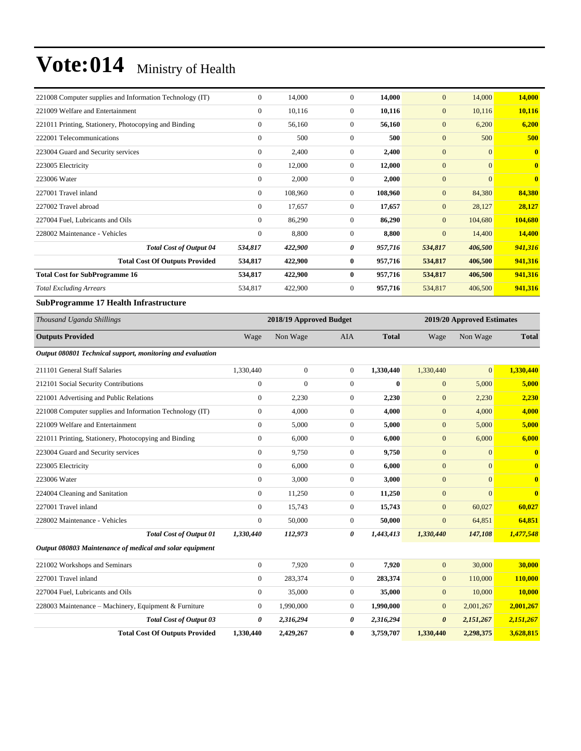| 221008 Computer supplies and Information Technology (IT) | $\mathbf{0}$   | 14,000  | $\Omega$     | 14,000  | $\mathbf{0}$   | 14,000         | 14,000                  |
|----------------------------------------------------------|----------------|---------|--------------|---------|----------------|----------------|-------------------------|
| 221009 Welfare and Entertainment                         | $\mathbf{0}$   | 10,116  | $\mathbf{0}$ | 10,116  | $\mathbf{0}$   | 10,116         | 10,116                  |
| 221011 Printing, Stationery, Photocopying and Binding    | $\mathbf{0}$   | 56,160  | $\mathbf{0}$ | 56,160  | $\mathbf{0}$   | 6,200          | 6,200                   |
| 222001 Telecommunications                                | $\mathbf{0}$   | 500     | $\mathbf{0}$ | 500     | $\mathbf{0}$   | 500            | 500                     |
| 223004 Guard and Security services                       | $\mathbf{0}$   | 2,400   | $\mathbf{0}$ | 2,400   | $\overline{0}$ | $\overline{0}$ | $\mathbf{0}$            |
| 223005 Electricity                                       | $\mathbf{0}$   | 12,000  | $\mathbf{0}$ | 12,000  | $\mathbf{0}$   | $\overline{0}$ | $\overline{\mathbf{0}}$ |
| 223006 Water                                             | $\mathbf{0}$   | 2,000   | $\mathbf{0}$ | 2,000   | $\mathbf{0}$   | $\overline{0}$ | $\overline{\mathbf{0}}$ |
| 227001 Travel inland                                     | $\mathbf{0}$   | 108,960 | $\mathbf{0}$ | 108,960 | $\mathbf{0}$   | 84,380         | 84,380                  |
| 227002 Travel abroad                                     | $\overline{0}$ | 17,657  | $\mathbf{0}$ | 17,657  | $\mathbf{0}$   | 28,127         | 28,127                  |
| 227004 Fuel, Lubricants and Oils                         | $\Omega$       | 86,290  | $\Omega$     | 86,290  | $\mathbf{0}$   | 104,680        | 104,680                 |
| 228002 Maintenance - Vehicles                            | $\mathbf{0}$   | 8,800   | $\mathbf{0}$ | 8,800   | $\mathbf{0}$   | 14,400         | 14,400                  |
| <b>Total Cost of Output 04</b>                           | 534,817        | 422,900 | 0            | 957,716 | 534,817        | 406,500        | 941,316                 |
| <b>Total Cost Of Outputs Provided</b>                    | 534,817        | 422,900 | $\bf{0}$     | 957,716 | 534,817        | 406,500        | 941,316                 |
| <b>Total Cost for SubProgramme 16</b>                    | 534,817        | 422,900 | $\bf{0}$     | 957,716 | 534,817        | 406,500        | 941,316                 |
| <b>Total Excluding Arrears</b>                           | 534,817        | 422,900 | $\mathbf{0}$ | 957,716 | 534,817        | 406,500        | 941,316                 |
| <b>SubProgramme 17 Health Infrastructure</b>             |                |         |              |         |                |                |                         |

| Thousand Uganda Shillings                                  |                | 2018/19 Approved Budget |                |              |                       | 2019/20 Approved Estimates |              |  |
|------------------------------------------------------------|----------------|-------------------------|----------------|--------------|-----------------------|----------------------------|--------------|--|
| <b>Outputs Provided</b>                                    | Wage           | Non Wage                | <b>AIA</b>     | <b>Total</b> | Wage                  | Non Wage                   | <b>Total</b> |  |
| Output 080801 Technical support, monitoring and evaluation |                |                         |                |              |                       |                            |              |  |
| 211101 General Staff Salaries                              | 1,330,440      | $\boldsymbol{0}$        | $\overline{0}$ | 1,330,440    | 1,330,440             | $\overline{0}$             | 1,330,440    |  |
| 212101 Social Security Contributions                       | $\mathbf{0}$   | $\overline{0}$          | $\mathbf{0}$   | $\bf{0}$     | $\mathbf{0}$          | 5,000                      | 5,000        |  |
| 221001 Advertising and Public Relations                    | $\overline{0}$ | 2,230                   | $\overline{0}$ | 2,230        | $\mathbf{0}$          | 2,230                      | 2,230        |  |
| 221008 Computer supplies and Information Technology (IT)   | $\overline{0}$ | 4,000                   | $\mathbf{0}$   | 4.000        | $\mathbf{0}$          | 4,000                      | 4,000        |  |
| 221009 Welfare and Entertainment                           | $\overline{0}$ | 5,000                   | $\mathbf{0}$   | 5,000        | $\mathbf{0}$          | 5,000                      | 5,000        |  |
| 221011 Printing, Stationery, Photocopying and Binding      | $\overline{0}$ | 6,000                   | $\overline{0}$ | 6,000        | $\mathbf{0}$          | 6,000                      | 6,000        |  |
| 223004 Guard and Security services                         | $\overline{0}$ | 9,750                   | $\overline{0}$ | 9,750        | $\overline{0}$        | $\overline{0}$             | $\mathbf{0}$ |  |
| 223005 Electricity                                         | $\overline{0}$ | 6,000                   | $\overline{0}$ | 6,000        | $\mathbf{0}$          | $\overline{0}$             | $\mathbf{0}$ |  |
| 223006 Water                                               | $\overline{0}$ | 3,000                   | $\overline{0}$ | 3,000        | $\mathbf{0}$          | $\overline{0}$             | $\mathbf{0}$ |  |
| 224004 Cleaning and Sanitation                             | $\overline{0}$ | 11,250                  | $\overline{0}$ | 11,250       | $\overline{0}$        | $\overline{0}$             | $\mathbf{0}$ |  |
| 227001 Travel inland                                       | $\overline{0}$ | 15,743                  | $\overline{0}$ | 15,743       | $\mathbf{0}$          | 60,027                     | 60,027       |  |
| 228002 Maintenance - Vehicles                              | $\overline{0}$ | 50,000                  | $\overline{0}$ | 50,000       | $\mathbf{0}$          | 64,851                     | 64,851       |  |
| <b>Total Cost of Output 01</b>                             | 1,330,440      | 112,973                 | 0              | 1,443,413    | 1,330,440             | 147,108                    | 1,477,548    |  |
| Output 080803 Maintenance of medical and solar equipment   |                |                         |                |              |                       |                            |              |  |
| 221002 Workshops and Seminars                              | $\overline{0}$ | 7,920                   | $\mathbf{0}$   | 7,920        | $\mathbf{0}$          | 30,000                     | 30,000       |  |
| 227001 Travel inland                                       | $\overline{0}$ | 283,374                 | $\overline{0}$ | 283,374      | $\overline{0}$        | 110,000                    | 110,000      |  |
| 227004 Fuel, Lubricants and Oils                           | $\overline{0}$ | 35,000                  | $\mathbf{0}$   | 35,000       | $\mathbf{0}$          | 10,000                     | 10,000       |  |
| 228003 Maintenance – Machinery, Equipment & Furniture      | $\overline{0}$ | 1,990,000               | $\overline{0}$ | 1,990,000    | $\mathbf{0}$          | 2,001,267                  | 2,001,267    |  |
| <b>Total Cost of Output 03</b>                             | 0              | 2,316,294               | 0              | 2,316,294    | $\boldsymbol{\theta}$ | 2,151,267                  | 2,151,267    |  |
| <b>Total Cost Of Outputs Provided</b>                      | 1,330,440      | 2,429,267               | $\bf{0}$       | 3,759,707    | 1,330,440             | 2,298,375                  | 3,628,815    |  |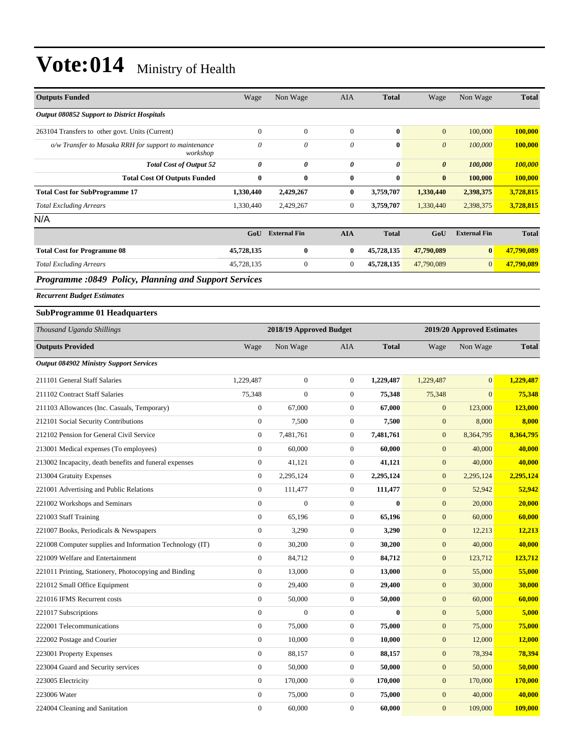| <b>Outputs Funded</b>                                             | Wage             | Non Wage                | AIA              | <b>Total</b> | Wage             | Non Wage                   | <b>Total</b>   |
|-------------------------------------------------------------------|------------------|-------------------------|------------------|--------------|------------------|----------------------------|----------------|
| Output 080852 Support to District Hospitals                       |                  |                         |                  |              |                  |                            |                |
| 263104 Transfers to other govt. Units (Current)                   | $\boldsymbol{0}$ | $\boldsymbol{0}$        | $\boldsymbol{0}$ | $\bf{0}$     | $\mathbf{0}$     | 100,000                    | 100,000        |
| o/w Transfer to Masaka RRH for support to maintenance<br>workshop | $\theta$         | $\theta$                | $\theta$         | $\bf{0}$     | $\theta$         | 100,000                    | 100,000        |
| <b>Total Cost of Output 52</b>                                    | 0                | 0                       | 0                | 0            | 0                | 100,000                    | 100,000        |
| <b>Total Cost Of Outputs Funded</b>                               | $\bf{0}$         | $\bf{0}$                | $\bf{0}$         | $\bf{0}$     | $\bf{0}$         | 100,000                    | 100,000        |
| <b>Total Cost for SubProgramme 17</b>                             | 1,330,440        | 2,429,267               | $\bf{0}$         | 3,759,707    | 1,330,440        | 2,398,375                  | 3,728,815      |
| <b>Total Excluding Arrears</b>                                    | 1,330,440        | 2,429,267               | $\boldsymbol{0}$ | 3,759,707    | 1,330,440        | 2,398,375                  | 3,728,815      |
| N/A                                                               |                  |                         |                  |              |                  |                            |                |
|                                                                   |                  | <b>GoU</b> External Fin | <b>AIA</b>       | <b>Total</b> | GoU              | <b>External Fin</b>        | <b>Total</b>   |
| <b>Total Cost for Programme 08</b>                                | 45,728,135       | $\bf{0}$                | $\bf{0}$         | 45,728,135   | 47,790,089       | $\bf{0}$                   | 47,790,089     |
| <b>Total Excluding Arrears</b>                                    | 45,728,135       | $\boldsymbol{0}$        | $\mathbf{0}$     | 45,728,135   | 47,790,089       | $\mathbf{0}$               | 47,790,089     |
| Programme :0849 Policy, Planning and Support Services             |                  |                         |                  |              |                  |                            |                |
| <b>Recurrent Budget Estimates</b>                                 |                  |                         |                  |              |                  |                            |                |
| <b>SubProgramme 01 Headquarters</b>                               |                  |                         |                  |              |                  |                            |                |
| Thousand Uganda Shillings                                         |                  | 2018/19 Approved Budget |                  |              |                  | 2019/20 Approved Estimates |                |
| <b>Outputs Provided</b>                                           | Wage             | Non Wage                | AIA              | <b>Total</b> | Wage             | Non Wage                   | <b>Total</b>   |
| <b>Output 084902 Ministry Support Services</b>                    |                  |                         |                  |              |                  |                            |                |
| 211101 General Staff Salaries                                     | 1,229,487        | $\boldsymbol{0}$        | $\boldsymbol{0}$ | 1,229,487    | 1,229,487        | $\mathbf{0}$               | 1,229,487      |
| 211102 Contract Staff Salaries                                    | 75,348           | $\mathbf{0}$            | $\boldsymbol{0}$ | 75,348       | 75,348           | $\mathbf{0}$               | 75,348         |
| 211103 Allowances (Inc. Casuals, Temporary)                       | $\boldsymbol{0}$ | 67,000                  | $\boldsymbol{0}$ | 67,000       | $\boldsymbol{0}$ | 123,000                    | <b>123,000</b> |
| 212101 Social Security Contributions                              | $\boldsymbol{0}$ | 7,500                   | $\boldsymbol{0}$ | 7,500        | $\boldsymbol{0}$ | 8,000                      | 8,000          |
| 212102 Pension for General Civil Service                          | $\boldsymbol{0}$ | 7,481,761               | $\boldsymbol{0}$ | 7,481,761    | $\mathbf{0}$     | 8,364,795                  | 8,364,795      |
| 213001 Medical expenses (To employees)                            | $\boldsymbol{0}$ | 60,000                  | $\boldsymbol{0}$ | 60,000       | $\mathbf{0}$     | 40,000                     | 40,000         |
| 213002 Incapacity, death benefits and funeral expenses            | $\boldsymbol{0}$ | 41,121                  | $\boldsymbol{0}$ | 41,121       | $\mathbf{0}$     | 40,000                     | 40,000         |
| 213004 Gratuity Expenses                                          | $\boldsymbol{0}$ | 2,295,124               | $\boldsymbol{0}$ | 2,295,124    | $\mathbf{0}$     | 2,295,124                  | 2,295,124      |
| 221001 Advertising and Public Relations                           | $\boldsymbol{0}$ | 111,477                 | $\boldsymbol{0}$ | 111,477      | $\mathbf{0}$     | 52,942                     | 52,942         |
| 221002 Workshops and Seminars                                     | $\boldsymbol{0}$ | $\boldsymbol{0}$        | $\boldsymbol{0}$ | $\bf{0}$     | $\mathbf{0}$     | 20,000                     | 20,000         |
| 221003 Staff Training                                             | $\boldsymbol{0}$ | 65,196                  | $\boldsymbol{0}$ | 65,196       | $\boldsymbol{0}$ | 60,000                     | 60,000         |
| 221007 Books, Periodicals & Newspapers                            | $\boldsymbol{0}$ | 3,290                   | $\boldsymbol{0}$ | 3,290        | $\mathbf{0}$     | 12,213                     | 12,213         |
| 221008 Computer supplies and Information Technology (IT)          | $\boldsymbol{0}$ | 30,200                  | $\boldsymbol{0}$ | 30,200       | $\boldsymbol{0}$ | 40,000                     | 40,000         |
| 221009 Welfare and Entertainment                                  | $\boldsymbol{0}$ | 84,712                  | $\boldsymbol{0}$ | 84,712       | $\boldsymbol{0}$ | 123,712                    | 123,712        |
| 221011 Printing, Stationery, Photocopying and Binding             | $\boldsymbol{0}$ | 13,000                  | $\boldsymbol{0}$ | 13,000       | $\boldsymbol{0}$ | 55,000                     | 55,000         |
| 221012 Small Office Equipment                                     | $\boldsymbol{0}$ | 29,400                  | $\boldsymbol{0}$ | 29,400       | $\boldsymbol{0}$ | 30,000                     | 30,000         |
| 221016 IFMS Recurrent costs                                       | $\boldsymbol{0}$ | 50,000                  | $\boldsymbol{0}$ | 50,000       | $\mathbf{0}$     | 60,000                     | 60,000         |
| 221017 Subscriptions                                              | $\boldsymbol{0}$ | $\boldsymbol{0}$        | $\boldsymbol{0}$ | $\bf{0}$     | $\boldsymbol{0}$ | 5,000                      | 5,000          |
| 222001 Telecommunications                                         | $\boldsymbol{0}$ | 75,000                  | $\boldsymbol{0}$ | 75,000       | $\boldsymbol{0}$ | 75,000                     | 75,000         |
| 222002 Postage and Courier                                        | $\boldsymbol{0}$ | 10,000                  | $\boldsymbol{0}$ | 10,000       | $\boldsymbol{0}$ | 12,000                     | 12,000         |
| 223001 Property Expenses                                          | $\boldsymbol{0}$ | 88,157                  | $\boldsymbol{0}$ | 88,157       | $\boldsymbol{0}$ | 78,394                     | 78,394         |
| 223004 Guard and Security services                                | $\boldsymbol{0}$ | 50,000                  | $\boldsymbol{0}$ | 50,000       | $\boldsymbol{0}$ | 50,000                     | 50,000         |
| 223005 Electricity                                                | $\boldsymbol{0}$ | 170,000                 | $\boldsymbol{0}$ | 170,000      | $\boldsymbol{0}$ | 170,000                    | <b>170,000</b> |
| 223006 Water                                                      | $\boldsymbol{0}$ | 75,000                  | $\boldsymbol{0}$ | 75,000       | $\boldsymbol{0}$ | 40,000                     | 40,000         |
| 224004 Cleaning and Sanitation                                    | $\boldsymbol{0}$ | 60,000                  | $\boldsymbol{0}$ | 60,000       | $\mathbf{0}$     | 109,000                    | 109,000        |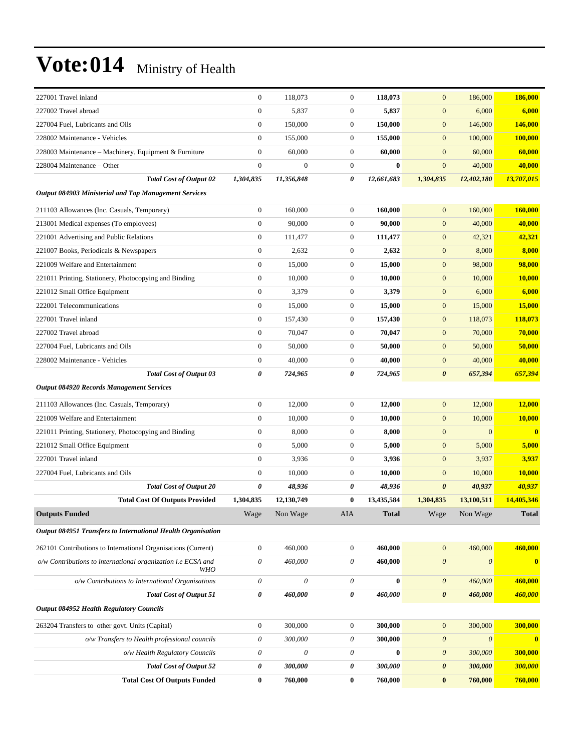| 227001 Travel inland                                          | $\boldsymbol{0}$      | 118,073          | $\boldsymbol{0}$ | 118,073      | $\mathbf{0}$          | 186,000               | 186,000        |
|---------------------------------------------------------------|-----------------------|------------------|------------------|--------------|-----------------------|-----------------------|----------------|
| 227002 Travel abroad                                          | $\overline{0}$        | 5,837            | $\boldsymbol{0}$ | 5,837        | $\overline{0}$        | 6,000                 | 6,000          |
| 227004 Fuel, Lubricants and Oils                              | $\mathbf{0}$          | 150,000          | $\boldsymbol{0}$ | 150,000      | $\boldsymbol{0}$      | 146,000               | 146,000        |
| 228002 Maintenance - Vehicles                                 | $\boldsymbol{0}$      | 155,000          | $\boldsymbol{0}$ | 155,000      | $\boldsymbol{0}$      | 100,000               | 100,000        |
| 228003 Maintenance - Machinery, Equipment & Furniture         | $\boldsymbol{0}$      | 60,000           | $\boldsymbol{0}$ | 60,000       | $\mathbf{0}$          | 60,000                | 60,000         |
| 228004 Maintenance – Other                                    | $\boldsymbol{0}$      | $\boldsymbol{0}$ | $\boldsymbol{0}$ | $\bf{0}$     | $\mathbf{0}$          | 40,000                | 40,000         |
| <b>Total Cost of Output 02</b>                                | 1,304,835             | 11,356,848       | 0                | 12,661,683   | 1,304,835             | 12,402,180            | 13,707,015     |
| <b>Output 084903 Ministerial and Top Management Services</b>  |                       |                  |                  |              |                       |                       |                |
| 211103 Allowances (Inc. Casuals, Temporary)                   | $\boldsymbol{0}$      | 160,000          | $\boldsymbol{0}$ | 160,000      | $\mathbf{0}$          | 160,000               | 160,000        |
| 213001 Medical expenses (To employees)                        | $\boldsymbol{0}$      | 90,000           | $\mathbf{0}$     | 90,000       | $\boldsymbol{0}$      | 40,000                | 40,000         |
| 221001 Advertising and Public Relations                       | $\boldsymbol{0}$      | 111,477          | $\boldsymbol{0}$ | 111,477      | $\boldsymbol{0}$      | 42,321                | 42,321         |
| 221007 Books, Periodicals & Newspapers                        | $\boldsymbol{0}$      | 2,632            | $\boldsymbol{0}$ | 2,632        | $\mathbf{0}$          | 8,000                 | 8,000          |
| 221009 Welfare and Entertainment                              | $\boldsymbol{0}$      | 15,000           | $\boldsymbol{0}$ | 15,000       | $\boldsymbol{0}$      | 98,000                | 98,000         |
| 221011 Printing, Stationery, Photocopying and Binding         | $\boldsymbol{0}$      | 10,000           | $\boldsymbol{0}$ | 10,000       | $\boldsymbol{0}$      | 10,000                | 10,000         |
| 221012 Small Office Equipment                                 | $\boldsymbol{0}$      | 3,379            | $\boldsymbol{0}$ | 3,379        | $\boldsymbol{0}$      | 6,000                 | 6,000          |
| 222001 Telecommunications                                     | $\boldsymbol{0}$      | 15,000           | $\boldsymbol{0}$ | 15,000       | $\boldsymbol{0}$      | 15,000                | 15,000         |
| 227001 Travel inland                                          | $\boldsymbol{0}$      | 157,430          | $\boldsymbol{0}$ | 157,430      | $\mathbf{0}$          | 118,073               | 118,073        |
| 227002 Travel abroad                                          | $\mathbf{0}$          | 70,047           | $\boldsymbol{0}$ | 70,047       | $\boldsymbol{0}$      | 70,000                | 70,000         |
| 227004 Fuel, Lubricants and Oils                              | $\boldsymbol{0}$      | 50,000           | $\boldsymbol{0}$ | 50,000       | $\boldsymbol{0}$      | 50,000                | 50,000         |
| 228002 Maintenance - Vehicles                                 | $\boldsymbol{0}$      | 40,000           | $\boldsymbol{0}$ | 40,000       | $\boldsymbol{0}$      | 40,000                | 40,000         |
| <b>Total Cost of Output 03</b>                                | 0                     | 724,965          | 0                | 724,965      | 0                     | 657,394               | 657,394        |
| <b>Output 084920 Records Management Services</b>              |                       |                  |                  |              |                       |                       |                |
| 211103 Allowances (Inc. Casuals, Temporary)                   | $\boldsymbol{0}$      | 12,000           | $\boldsymbol{0}$ | 12,000       | $\mathbf{0}$          | 12,000                | 12,000         |
| 221009 Welfare and Entertainment                              | $\boldsymbol{0}$      | 10,000           | $\boldsymbol{0}$ | 10,000       | $\boldsymbol{0}$      | 10,000                | 10,000         |
| 221011 Printing, Stationery, Photocopying and Binding         | $\boldsymbol{0}$      | 8,000            | $\boldsymbol{0}$ | 8,000        | $\boldsymbol{0}$      | $\mathbf{0}$          | $\mathbf{0}$   |
| 221012 Small Office Equipment                                 | $\boldsymbol{0}$      | 5,000            | $\boldsymbol{0}$ | 5,000        | $\mathbf{0}$          | 5,000                 | 5,000          |
| 227001 Travel inland                                          | $\boldsymbol{0}$      | 3,936            | $\boldsymbol{0}$ | 3,936        | $\boldsymbol{0}$      | 3,937                 | 3,937          |
| 227004 Fuel, Lubricants and Oils                              | $\boldsymbol{0}$      | 10,000           | $\boldsymbol{0}$ | 10,000       | $\mathbf{0}$          | 10,000                | 10,000         |
| <b>Total Cost of Output 20</b>                                | 0                     | 48,936           | 0                | 48,936       | $\boldsymbol{\theta}$ | 40,937                | 40,937         |
| <b>Total Cost Of Outputs Provided</b>                         | 1,304,835             | 12,130,749       | $\bf{0}$         | 13,435,584   | 1,304,835             | 13,100,511            | 14,405,346     |
| <b>Outputs Funded</b>                                         | Wage                  | Non Wage         | AIA              | <b>Total</b> | Wage                  | Non Wage              | <b>Total</b>   |
| Output 084951 Transfers to International Health Organisation  |                       |                  |                  |              |                       |                       |                |
| 262101 Contributions to International Organisations (Current) | $\boldsymbol{0}$      | 460,000          | $\boldsymbol{0}$ | 460,000      | $\mathbf{0}$          | 460,000               | 460,000        |
| o/w Contributions to international organization i.e ECSA and  | $\theta$              | 460,000          | $\theta$         | 460,000      | $\boldsymbol{\theta}$ | $\boldsymbol{\theta}$ | $\bf{0}$       |
| <b>WHO</b>                                                    |                       |                  |                  |              |                       |                       |                |
| o/w Contributions to International Organisations              | $\theta$              | $\theta$         | $\theta$         | $\bf{0}$     | $\boldsymbol{\theta}$ | 460,000               | 460,000        |
| <b>Total Cost of Output 51</b>                                | $\pmb{\theta}$        | 460,000          | $\pmb{\theta}$   | 460,000      | $\boldsymbol{\theta}$ | 460,000               | <b>460,000</b> |
| Output 084952 Health Regulatory Councils                      |                       |                  |                  |              |                       |                       |                |
| 263204 Transfers to other govt. Units (Capital)               | $\boldsymbol{0}$      | 300,000          | $\boldsymbol{0}$ | 300,000      | $\mathbf{0}$          | 300,000               | 300,000        |
| o/w Transfers to Health professional councils                 | $\boldsymbol{\theta}$ | 300,000          | $\theta$         | 300,000      | $\boldsymbol{\theta}$ | $\boldsymbol{\theta}$ | $\bf{0}$       |
| o/w Health Regulatory Councils                                | $\theta$              | $\theta$         | $\theta$         | $\bf{0}$     | $\boldsymbol{\theta}$ | 300,000               | 300,000        |
| <b>Total Cost of Output 52</b>                                | 0                     | 300,000          | 0                | 300,000      | $\boldsymbol{\theta}$ | 300,000               | 300,000        |
| <b>Total Cost Of Outputs Funded</b>                           | $\bf{0}$              | 760,000          | $\bf{0}$         | 760,000      | $\bf{0}$              | 760,000               | 760,000        |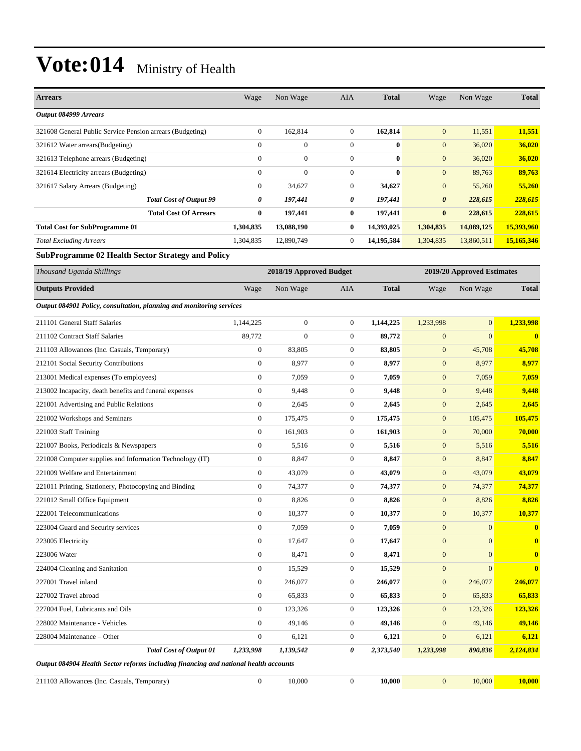| <b>Arrears</b>                                                                       | Wage             | Non Wage                | AIA              | <b>Total</b> | Wage                  | Non Wage                   | <b>Total</b> |
|--------------------------------------------------------------------------------------|------------------|-------------------------|------------------|--------------|-----------------------|----------------------------|--------------|
| Output 084999 Arrears                                                                |                  |                         |                  |              |                       |                            |              |
| 321608 General Public Service Pension arrears (Budgeting)                            | $\boldsymbol{0}$ | 162,814                 | $\boldsymbol{0}$ | 162,814      | $\mathbf{0}$          | 11,551                     | 11,551       |
| 321612 Water arrears(Budgeting)                                                      | $\mathbf{0}$     | $\mathbf{0}$            | $\mathbf{0}$     | $\bf{0}$     | $\mathbf{0}$          | 36,020                     | 36,020       |
| 321613 Telephone arrears (Budgeting)                                                 | $\mathbf{0}$     | $\mathbf{0}$            | $\mathbf{0}$     | $\bf{0}$     | $\mathbf{0}$          | 36,020                     | 36,020       |
| 321614 Electricity arrears (Budgeting)                                               | $\boldsymbol{0}$ | $\mathbf{0}$            | $\boldsymbol{0}$ | $\bf{0}$     | $\mathbf{0}$          | 89,763                     | 89,763       |
| 321617 Salary Arrears (Budgeting)                                                    | $\boldsymbol{0}$ | 34,627                  | $\boldsymbol{0}$ | 34,627       | $\mathbf{0}$          | 55,260                     | 55,260       |
| <b>Total Cost of Output 99</b>                                                       | 0                | 197,441                 | 0                | 197,441      | $\boldsymbol{\theta}$ | 228,615                    | 228,615      |
| <b>Total Cost Of Arrears</b>                                                         | $\bf{0}$         | 197,441                 | $\bf{0}$         | 197,441      | $\bf{0}$              | 228,615                    | 228,615      |
| <b>Total Cost for SubProgramme 01</b>                                                | 1,304,835        | 13,088,190              | $\bf{0}$         | 14,393,025   | 1,304,835             | 14,089,125                 | 15,393,960   |
| <b>Total Excluding Arrears</b>                                                       | 1,304,835        | 12,890,749              | $\mathbf{0}$     | 14,195,584   | 1,304,835             | 13,860,511                 | 15,165,346   |
| <b>SubProgramme 02 Health Sector Strategy and Policy</b>                             |                  |                         |                  |              |                       |                            |              |
| Thousand Uganda Shillings                                                            |                  | 2018/19 Approved Budget |                  |              |                       | 2019/20 Approved Estimates |              |
| <b>Outputs Provided</b>                                                              | Wage             | Non Wage                | <b>AIA</b>       | <b>Total</b> | Wage                  | Non Wage                   | <b>Total</b> |
|                                                                                      |                  |                         |                  |              |                       |                            |              |
| Output 084901 Policy, consultation, planning and monitoring services                 |                  |                         |                  |              |                       |                            |              |
| 211101 General Staff Salaries                                                        | 1,144,225        | $\boldsymbol{0}$        | $\boldsymbol{0}$ | 1,144,225    | 1,233,998             | $\mathbf{0}$               | 1,233,998    |
| 211102 Contract Staff Salaries                                                       | 89,772           | $\mathbf{0}$            | $\boldsymbol{0}$ | 89,772       | $\boldsymbol{0}$      | $\mathbf{0}$               | $\bf{0}$     |
| 211103 Allowances (Inc. Casuals, Temporary)                                          | $\boldsymbol{0}$ | 83.805                  | $\mathbf{0}$     | 83,805       | $\mathbf{0}$          | 45,708                     | 45,708       |
| 212101 Social Security Contributions                                                 | $\mathbf{0}$     | 8,977                   | $\boldsymbol{0}$ | 8,977        | $\mathbf{0}$          | 8,977                      | 8,977        |
| 213001 Medical expenses (To employees)                                               | $\boldsymbol{0}$ | 7,059                   | $\boldsymbol{0}$ | 7,059        | $\mathbf{0}$          | 7,059                      | 7,059        |
| 213002 Incapacity, death benefits and funeral expenses                               | $\boldsymbol{0}$ | 9,448                   | $\boldsymbol{0}$ | 9,448        | $\mathbf{0}$          | 9,448                      | 9,448        |
| 221001 Advertising and Public Relations                                              | $\boldsymbol{0}$ | 2,645                   | $\boldsymbol{0}$ | 2,645        | $\mathbf{0}$          | 2,645                      | 2,645        |
| 221002 Workshops and Seminars                                                        | $\boldsymbol{0}$ | 175,475                 | $\mathbf{0}$     | 175,475      | $\mathbf{0}$          | 105,475                    | 105,475      |
| 221003 Staff Training                                                                | $\boldsymbol{0}$ | 161,903                 | $\mathbf{0}$     | 161,903      | $\mathbf{0}$          | 70,000                     | 70,000       |
| 221007 Books, Periodicals & Newspapers                                               | $\boldsymbol{0}$ | 5,516                   | $\boldsymbol{0}$ | 5,516        | $\mathbf{0}$          | 5,516                      | 5,516        |
| 221008 Computer supplies and Information Technology (IT)                             | $\boldsymbol{0}$ | 8,847                   | $\boldsymbol{0}$ | 8,847        | $\mathbf{0}$          | 8,847                      | 8,847        |
| 221009 Welfare and Entertainment                                                     | $\boldsymbol{0}$ | 43,079                  | $\mathbf{0}$     | 43,079       | $\mathbf{0}$          | 43,079                     | 43,079       |
| 221011 Printing, Stationery, Photocopying and Binding                                | $\boldsymbol{0}$ | 74,377                  | $\mathbf{0}$     | 74,377       | $\mathbf{0}$          | 74,377                     | 74,377       |
| 221012 Small Office Equipment                                                        | $\mathbf{0}$     | 8,826                   | $\mathbf{0}$     | 8,826        | $\mathbf{0}$          | 8,826                      | 8,826        |
| 222001 Telecommunications                                                            | $\boldsymbol{0}$ | 10,377                  | $\boldsymbol{0}$ | 10,377       | $\mathbf{0}$          | 10,377                     | 10,377       |
| 223004 Guard and Security services                                                   | $\boldsymbol{0}$ | 7,059                   | $\boldsymbol{0}$ | 7,059        | $\mathbf{0}$          | $\mathbf{0}$               | $\mathbf{0}$ |
| 223005 Electricity                                                                   | $\boldsymbol{0}$ | 17,647                  | $\boldsymbol{0}$ | 17,647       | $\boldsymbol{0}$      | $\mathbf{0}$               | $\bf{0}$     |
| 223006 Water                                                                         | $\boldsymbol{0}$ | 8,471                   | $\boldsymbol{0}$ | 8,471        | $\boldsymbol{0}$      | $\mathbf{0}$               | $\bf{0}$     |
| 224004 Cleaning and Sanitation                                                       | $\mathbf{0}$     | 15,529                  | $\boldsymbol{0}$ | 15,529       | $\boldsymbol{0}$      | $\mathbf{0}$               | $\bf{0}$     |
| 227001 Travel inland                                                                 | $\boldsymbol{0}$ | 246,077                 | $\boldsymbol{0}$ | 246,077      | $\boldsymbol{0}$      | 246,077                    | 246,077      |
| 227002 Travel abroad                                                                 | $\mathbf{0}$     | 65,833                  | $\boldsymbol{0}$ | 65,833       | $\mathbf{0}$          | 65,833                     | 65,833       |
| 227004 Fuel, Lubricants and Oils                                                     | $\boldsymbol{0}$ | 123,326                 | $\boldsymbol{0}$ | 123,326      | $\boldsymbol{0}$      | 123,326                    | 123,326      |
| 228002 Maintenance - Vehicles                                                        | $\boldsymbol{0}$ | 49,146                  | $\boldsymbol{0}$ | 49,146       | $\mathbf{0}$          | 49,146                     | 49,146       |
| 228004 Maintenance - Other                                                           | $\boldsymbol{0}$ | 6,121                   | $\boldsymbol{0}$ | 6,121        | $\mathbf{0}$          | 6,121                      | 6,121        |
| <b>Total Cost of Output 01</b>                                                       | 1,233,998        | 1,139,542               | 0                | 2,373,540    | 1,233,998             | 890,836                    | 2,124,834    |
| Output 084904 Health Sector reforms including financing and national health accounts |                  |                         |                  |              |                       |                            |              |
| 211103 Allowances (Inc. Casuals, Temporary)                                          | $\boldsymbol{0}$ | 10,000                  | $\boldsymbol{0}$ | 10,000       | $\boldsymbol{0}$      | 10,000                     | 10,000       |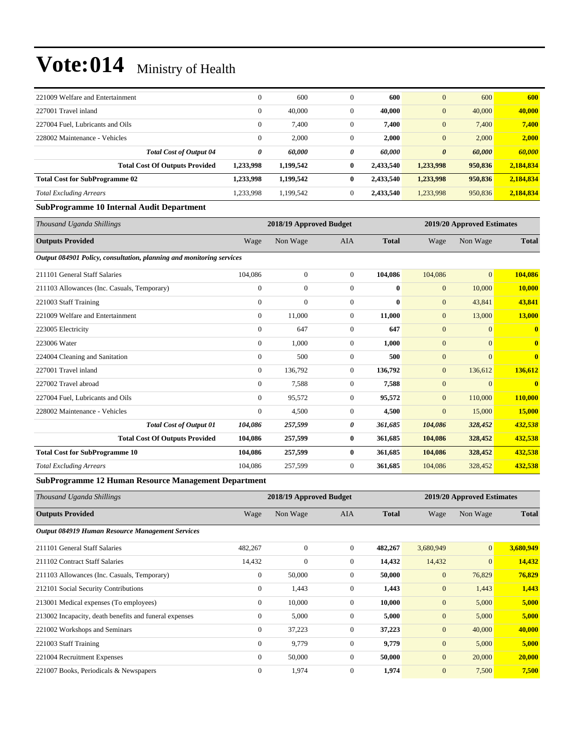| 221009 Welfare and Entertainment                                   | $\theta$     | 600       | $\mathbf{0}$     | 600       | $\overline{0}$        | 600     | 600       |
|--------------------------------------------------------------------|--------------|-----------|------------------|-----------|-----------------------|---------|-----------|
| 227001 Travel inland                                               | 0            | 40,000    | $\mathbf{0}$     | 40,000    | $\bf{0}$              | 40,000  | 40,000    |
| 227004 Fuel, Lubricants and Oils                                   | $\mathbf{0}$ | 7,400     | $\mathbf{0}$     | 7,400     | $\boldsymbol{0}$      | 7,400   | 7,400     |
| 228002 Maintenance - Vehicles                                      | 0            | 2,000     | $\mathbf{0}$     | 2,000     | $\overline{0}$        | 2,000   | 2,000     |
| <b>Total Cost of Output 04</b>                                     | 0            | 60,000    | 0                | 60,000    | $\boldsymbol{\theta}$ | 60.000  | 60,000    |
| <b>Total Cost Of Outputs Provided</b>                              | 1,233,998    | 1,199,542 | $\bf{0}$         | 2,433,540 | 1,233,998             | 950,836 | 2,184,834 |
| <b>Total Cost for SubProgramme 02</b>                              | 1,233,998    | 1,199,542 | $\bf{0}$         | 2,433,540 | 1,233,998             | 950,836 | 2,184,834 |
| <b>Total Excluding Arrears</b>                                     | 1,233,998    | 1,199,542 | $\boldsymbol{0}$ | 2,433,540 | 1,233,998             | 950,836 | 2,184,834 |
| $\sim$ $\sim$<br>$\sim$ $\sim$ $\sim$<br>$\cdots$<br>$\sim$ $\sim$ |              |           |                  |           |                       |         |           |

#### **SubProgramme 10 Internal Audit Department**

| Thousand Uganda Shillings                                            | 2018/19 Approved Budget |              |                |              | 2019/20 Approved Estimates |                |              |
|----------------------------------------------------------------------|-------------------------|--------------|----------------|--------------|----------------------------|----------------|--------------|
| <b>Outputs Provided</b>                                              | Wage                    | Non Wage     | <b>AIA</b>     | <b>Total</b> | Wage                       | Non Wage       | <b>Total</b> |
| Output 084901 Policy, consultation, planning and monitoring services |                         |              |                |              |                            |                |              |
| 211101 General Staff Salaries                                        | 104,086                 | $\mathbf{0}$ | 0              | 104,086      | 104,086                    | $\mathbf{0}$   | 104,086      |
| 211103 Allowances (Inc. Casuals, Temporary)                          | $\mathbf{0}$            | $\mathbf{0}$ | 0              | $\bf{0}$     | $\mathbf{0}$               | 10,000         | 10,000       |
| 221003 Staff Training                                                | $\mathbf{0}$            | $\mathbf{0}$ | $\overline{0}$ | 0            | $\mathbf{0}$               | 43,841         | 43,841       |
| 221009 Welfare and Entertainment                                     | $\mathbf{0}$            | 11,000       | $\mathbf{0}$   | 11,000       | $\mathbf{0}$               | 13,000         | 13,000       |
| 223005 Electricity                                                   | $\mathbf{0}$            | 647          | $\overline{0}$ | 647          | $\mathbf{0}$               | $\mathbf{0}$   | $\mathbf{0}$ |
| 223006 Water                                                         | $\mathbf{0}$            | 1,000        | $\mathbf{0}$   | 1,000        | $\mathbf{0}$               | $\overline{0}$ | $\mathbf{0}$ |
| 224004 Cleaning and Sanitation                                       | $\mathbf{0}$            | 500          | $\overline{0}$ | 500          | $\overline{0}$             | $\Omega$       | $\mathbf{0}$ |
| 227001 Travel inland                                                 | $\mathbf{0}$            | 136,792      | $\overline{0}$ | 136,792      | $\mathbf{0}$               | 136,612        | 136,612      |
| 227002 Travel abroad                                                 | $\mathbf{0}$            | 7,588        | $\mathbf{0}$   | 7,588        | $\boldsymbol{0}$           | $\overline{0}$ | $\mathbf{0}$ |
| 227004 Fuel, Lubricants and Oils                                     | $\mathbf{0}$            | 95,572       | $\overline{0}$ | 95,572       | $\boldsymbol{0}$           | 110,000        | 110,000      |
| 228002 Maintenance - Vehicles                                        | $\mathbf{0}$            | 4,500        | $\overline{0}$ | 4,500        | $\boldsymbol{0}$           | 15,000         | 15,000       |
| <b>Total Cost of Output 01</b>                                       | 104,086                 | 257,599      | 0              | 361,685      | 104,086                    | 328,452        | 432,538      |
| <b>Total Cost Of Outputs Provided</b>                                | 104,086                 | 257,599      | $\bf{0}$       | 361,685      | 104,086                    | 328,452        | 432,538      |
| <b>Total Cost for SubProgramme 10</b>                                | 104,086                 | 257,599      | $\bf{0}$       | 361,685      | 104,086                    | 328,452        | 432,538      |
| <b>Total Excluding Arrears</b>                                       | 104,086                 | 257,599      | $\overline{0}$ | 361,685      | 104,086                    | 328,452        | 432,538      |

#### **SubProgramme 12 Human Resource Management Department**

| Thousand Uganda Shillings                              |              | 2018/19 Approved Budget |                | 2019/20 Approved Estimates |                |              |              |
|--------------------------------------------------------|--------------|-------------------------|----------------|----------------------------|----------------|--------------|--------------|
| <b>Outputs Provided</b>                                | Wage         | Non Wage                | <b>AIA</b>     | <b>Total</b>               | Wage           | Non Wage     | <b>Total</b> |
| Output 084919 Human Resource Management Services       |              |                         |                |                            |                |              |              |
| 211101 General Staff Salaries                          | 482,267      | $\mathbf{0}$            | $\overline{0}$ | 482,267                    | 3,680,949      | $\mathbf{0}$ | 3,680,949    |
| 211102 Contract Staff Salaries                         | 14,432       | $\boldsymbol{0}$        | $\overline{0}$ | 14,432                     | 14,432         | $\mathbf{0}$ | 14,432       |
| 211103 Allowances (Inc. Casuals, Temporary)            | $\mathbf{0}$ | 50,000                  | $\overline{0}$ | 50,000                     | $\mathbf{0}$   | 76,829       | 76,829       |
| 212101 Social Security Contributions                   | $\mathbf{0}$ | 1,443                   | $\overline{0}$ | 1,443                      | $\overline{0}$ | 1,443        | 1,443        |
| 213001 Medical expenses (To employees)                 | $\bf{0}$     | 10,000                  | $\overline{0}$ | 10,000                     | $\mathbf{0}$   | 5,000        | 5,000        |
| 213002 Incapacity, death benefits and funeral expenses | $\bf{0}$     | 5,000                   | $\mathbf{0}$   | 5,000                      | $\mathbf{0}$   | 5,000        | 5,000        |
| 221002 Workshops and Seminars                          | $\mathbf{0}$ | 37,223                  | $\overline{0}$ | 37,223                     | $\mathbf{0}$   | 40,000       | 40,000       |
| 221003 Staff Training                                  | $\mathbf{0}$ | 9,779                   | $\overline{0}$ | 9,779                      | $\mathbf{0}$   | 5,000        | 5,000        |
| 221004 Recruitment Expenses                            | $\mathbf{0}$ | 50,000                  | $\mathbf{0}$   | 50,000                     | $\mathbf{0}$   | 20,000       | 20,000       |
| 221007 Books, Periodicals & Newspapers                 | $\mathbf{0}$ | 1,974                   | $\overline{0}$ | 1,974                      | $\mathbf{0}$   | 7,500        | 7,500        |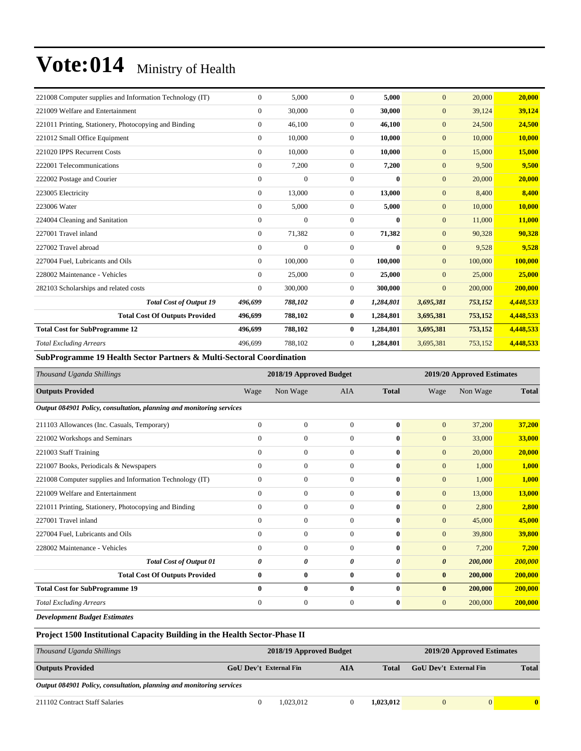| 221008 Computer supplies and Information Technology (IT) | $\overline{0}$ | 5.000            | $\Omega$         | 5,000        | $\overline{0}$   | 20,000  | 20,000    |
|----------------------------------------------------------|----------------|------------------|------------------|--------------|------------------|---------|-----------|
| 221009 Welfare and Entertainment                         | $\overline{0}$ | 30,000           | $\overline{0}$   | 30,000       | $\mathbf{0}$     | 39,124  | 39,124    |
| 221011 Printing, Stationery, Photocopying and Binding    | $\overline{0}$ | 46,100           | $\overline{0}$   | 46,100       | $\boldsymbol{0}$ | 24,500  | 24,500    |
| 221012 Small Office Equipment                            | $\overline{0}$ | 10,000           | $\boldsymbol{0}$ | 10,000       | $\mathbf{0}$     | 10,000  | 10,000    |
| 221020 IPPS Recurrent Costs                              | $\overline{0}$ | 10,000           | $\overline{0}$   | 10,000       | $\mathbf{0}$     | 15,000  | 15,000    |
| 222001 Telecommunications                                | $\overline{0}$ | 7,200            | $\overline{0}$   | 7,200        | $\boldsymbol{0}$ | 9,500   | 9,500     |
| 222002 Postage and Courier                               | $\overline{0}$ | $\boldsymbol{0}$ | $\boldsymbol{0}$ | $\bf{0}$     | $\boldsymbol{0}$ | 20,000  | 20,000    |
| 223005 Electricity                                       | $\overline{0}$ | 13,000           | $\overline{0}$   | 13,000       | $\mathbf{0}$     | 8,400   | 8,400     |
| 223006 Water                                             | $\overline{0}$ | 5,000            | $\overline{0}$   | 5,000        | $\mathbf{0}$     | 10,000  | 10,000    |
| 224004 Cleaning and Sanitation                           | $\overline{0}$ | $\overline{0}$   | $\overline{0}$   | $\mathbf{0}$ | $\mathbf{0}$     | 11,000  | 11,000    |
| 227001 Travel inland                                     | $\overline{0}$ | 71,382           | $\overline{0}$   | 71,382       | $\mathbf{0}$     | 90,328  | 90,328    |
| 227002 Travel abroad                                     | $\Omega$       | $\overline{0}$   | $\Omega$         | $\mathbf{0}$ | $\overline{0}$   | 9,528   | 9,528     |
| 227004 Fuel, Lubricants and Oils                         | $\Omega$       | 100,000          | $\Omega$         | 100,000      | $\overline{0}$   | 100,000 | 100,000   |
| 228002 Maintenance - Vehicles                            | $\Omega$       | 25,000           | $\overline{0}$   | 25,000       | $\overline{0}$   | 25,000  | 25,000    |
| 282103 Scholarships and related costs                    | $\Omega$       | 300,000          | $\Omega$         | 300,000      | $\overline{0}$   | 200,000 | 200,000   |
| <b>Total Cost of Output 19</b>                           | 496,699        | 788,102          | 0                | 1,284,801    | 3,695,381        | 753,152 | 4,448,533 |
| <b>Total Cost Of Outputs Provided</b>                    | 496,699        | 788,102          | $\bf{0}$         | 1,284,801    | 3,695,381        | 753,152 | 4,448,533 |
| <b>Total Cost for SubProgramme 12</b>                    | 496,699        | 788,102          | $\bf{0}$         | 1,284,801    | 3,695,381        | 753,152 | 4,448,533 |
| <b>Total Excluding Arrears</b>                           | 496,699        | 788,102          | $\overline{0}$   | 1,284,801    | 3,695,381        | 753,152 | 4,448,533 |

**SubProgramme 19 Health Sector Partners & Multi-Sectoral Coordination** 

| Thousand Uganda Shillings                                            | 2018/19 Approved Budget |                  |                  |              |                       | 2019/20 Approved Estimates |              |
|----------------------------------------------------------------------|-------------------------|------------------|------------------|--------------|-----------------------|----------------------------|--------------|
| <b>Outputs Provided</b>                                              | Wage                    | Non Wage         | <b>AIA</b>       | <b>Total</b> | Wage                  | Non Wage                   | <b>Total</b> |
| Output 084901 Policy, consultation, planning and monitoring services |                         |                  |                  |              |                       |                            |              |
| 211103 Allowances (Inc. Casuals, Temporary)                          | $\mathbf{0}$            | $\boldsymbol{0}$ | $\overline{0}$   | $\bf{0}$     | $\mathbf{0}$          | 37,200                     | 37,200       |
| 221002 Workshops and Seminars                                        | $\mathbf{0}$            | $\boldsymbol{0}$ | $\overline{0}$   | $\mathbf{0}$ | $\boldsymbol{0}$      | 33,000                     | 33,000       |
| 221003 Staff Training                                                | $\mathbf{0}$            | $\overline{0}$   | $\overline{0}$   | $\mathbf{0}$ | $\overline{0}$        | 20,000                     | 20,000       |
| 221007 Books, Periodicals & Newspapers                               | $\mathbf{0}$            | $\overline{0}$   | $\overline{0}$   | $\mathbf{0}$ | $\overline{0}$        | 1,000                      | 1,000        |
| 221008 Computer supplies and Information Technology (IT)             | $\mathbf{0}$            | $\boldsymbol{0}$ | $\overline{0}$   | $\bf{0}$     | $\mathbf{0}$          | 1,000                      | 1,000        |
| 221009 Welfare and Entertainment                                     | $\mathbf{0}$            | $\mathbf{0}$     | $\overline{0}$   | $\mathbf{0}$ | $\overline{0}$        | 13,000                     | 13,000       |
| 221011 Printing, Stationery, Photocopying and Binding                | $\mathbf{0}$            | $\mathbf{0}$     | $\overline{0}$   | $\bf{0}$     | $\mathbf{0}$          | 2,800                      | 2,800        |
| 227001 Travel inland                                                 | $\mathbf{0}$            | $\mathbf{0}$     | $\overline{0}$   | $\bf{0}$     | $\mathbf{0}$          | 45,000                     | 45,000       |
| 227004 Fuel, Lubricants and Oils                                     | $\theta$                | $\overline{0}$   | $\overline{0}$   | $\mathbf{0}$ | $\overline{0}$        | 39,800                     | 39,800       |
| 228002 Maintenance - Vehicles                                        | $\Omega$                | $\overline{0}$   | $\Omega$         | $\mathbf{0}$ | $\overline{0}$        | 7,200                      | 7,200        |
| <b>Total Cost of Output 01</b>                                       | 0                       | 0                | 0                | 0            | $\boldsymbol{\theta}$ | 200,000                    | 200,000      |
| <b>Total Cost Of Outputs Provided</b>                                | 0                       | $\bf{0}$         | $\bf{0}$         | $\bf{0}$     | $\bf{0}$              | 200,000                    | 200,000      |
| <b>Total Cost for SubProgramme 19</b>                                | $\bf{0}$                | $\bf{0}$         | $\bf{0}$         | $\bf{0}$     | $\bf{0}$              | 200,000                    | 200,000      |
| <b>Total Excluding Arrears</b>                                       | $\mathbf{0}$            | $\boldsymbol{0}$ | $\boldsymbol{0}$ | $\bf{0}$     | $\mathbf{0}$          | 200,000                    | 200,000      |

*Development Budget Estimates*

**Project 1500 Institutional Capacity Building in the Health Sector-Phase II**

| Thousand Uganda Shillings                                            | 2018/19 Approved Budget                                     | 2019/20 Approved Estimates |           |                               |   |              |
|----------------------------------------------------------------------|-------------------------------------------------------------|----------------------------|-----------|-------------------------------|---|--------------|
| <b>Outputs Provided</b>                                              | <b>GoU Dev't External Fin</b><br><b>AIA</b><br><b>Total</b> |                            |           | <b>GoU</b> Dev't External Fin |   | <b>Total</b> |
| Output 084901 Policy, consultation, planning and monitoring services |                                                             |                            |           |                               |   |              |
| 211102 Contract Staff Salaries                                       | 1.023.012                                                   |                            | 1.023.012 |                               | 0 | $\mathbf{0}$ |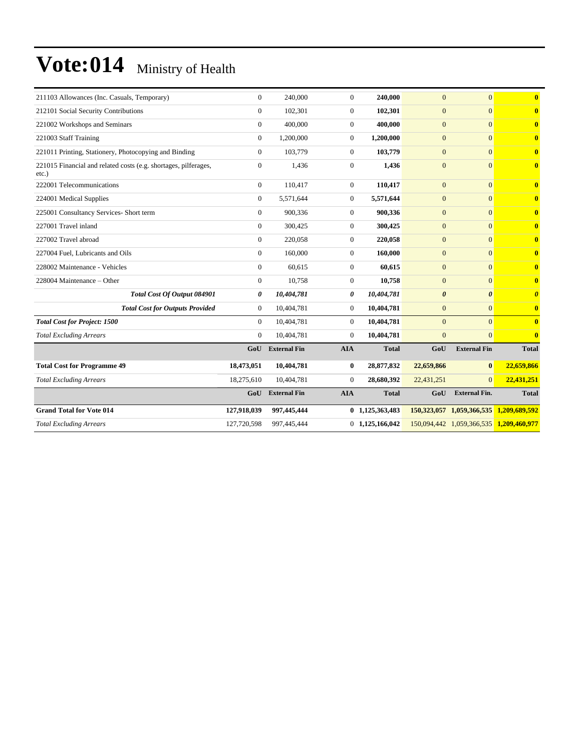| 211103 Allowances (Inc. Casuals, Temporary)                                 | $\overline{0}$ | 240,000             | $\mathbf{0}$   | 240,000           | $\overline{0}$        | $\overline{0}$                          | $\overline{\mathbf{0}}$ |
|-----------------------------------------------------------------------------|----------------|---------------------|----------------|-------------------|-----------------------|-----------------------------------------|-------------------------|
| 212101 Social Security Contributions                                        | $\overline{0}$ | 102,301             | $\mathbf{0}$   | 102,301           | $\overline{0}$        | $\overline{0}$                          | $\mathbf{0}$            |
| 221002 Workshops and Seminars                                               | $\overline{0}$ | 400,000             | $\overline{0}$ | 400,000           | $\overline{0}$        | $\Omega$                                | $\mathbf{0}$            |
| 221003 Staff Training                                                       | $\overline{0}$ | 1,200,000           | $\overline{0}$ | 1,200,000         | $\overline{0}$        | $\overline{0}$                          | $\mathbf{0}$            |
| 221011 Printing, Stationery, Photocopying and Binding                       | $\overline{0}$ | 103,779             | $\overline{0}$ | 103,779           | $\mathbf{0}$          | $\Omega$                                | $\mathbf{0}$            |
| 221015 Financial and related costs (e.g. shortages, pilferages,<br>$etc.$ ) | $\overline{0}$ | 1.436               | $\mathbf{0}$   | 1.436             | $\overline{0}$        | $\overline{0}$                          | $\mathbf{0}$            |
| 222001 Telecommunications                                                   | $\overline{0}$ | 110,417             | $\overline{0}$ | 110,417           | $\mathbf{0}$          | $\overline{0}$                          | $\bf{0}$                |
| 224001 Medical Supplies                                                     | $\overline{0}$ | 5.571.644           | $\overline{0}$ | 5,571,644         | $\overline{0}$        | $\overline{0}$                          | $\bf{0}$                |
| 225001 Consultancy Services- Short term                                     | $\overline{0}$ | 900,336             | $\overline{0}$ | 900,336           | $\mathbf{0}$          | $\Omega$                                | $\mathbf{0}$            |
| 227001 Travel inland                                                        | $\overline{0}$ | 300,425             | $\overline{0}$ | 300,425           | $\overline{0}$        | $\overline{0}$                          | $\mathbf{0}$            |
| 227002 Travel abroad                                                        | $\overline{0}$ | 220,058             | $\overline{0}$ | 220,058           | $\overline{0}$        | $\Omega$                                | $\mathbf{0}$            |
| 227004 Fuel, Lubricants and Oils                                            | $\Omega$       | 160,000             | $\overline{0}$ | 160,000           | $\overline{0}$        | $\Omega$                                | $\mathbf{0}$            |
| 228002 Maintenance - Vehicles                                               | $\overline{0}$ | 60.615              | $\overline{0}$ | 60.615            | $\overline{0}$        | $\overline{0}$                          | $\mathbf{0}$            |
| 228004 Maintenance - Other                                                  | $\overline{0}$ | 10,758              | $\overline{0}$ | 10,758            | $\overline{0}$        | $\overline{0}$                          | $\overline{\mathbf{0}}$ |
| Total Cost Of Output 084901                                                 | 0              | 10,404,781          | 0              | 10,404,781        | $\boldsymbol{\theta}$ | $\theta$                                | $\boldsymbol{\theta}$   |
| <b>Total Cost for Outputs Provided</b>                                      | $\mathbf{0}$   | 10,404,781          | $\mathbf{0}$   | 10,404,781        | $\mathbf{0}$          | $\overline{0}$                          | $\bf{0}$                |
| <b>Total Cost for Project: 1500</b>                                         | $\overline{0}$ | 10,404,781          | $\overline{0}$ | 10,404,781        | $\mathbf{0}$          | $\Omega$                                | $\mathbf{0}$            |
| <b>Total Excluding Arrears</b>                                              | $\overline{0}$ | 10,404,781          | $\mathbf{0}$   | 10,404,781        | $\overline{0}$        | $\overline{0}$                          | $\bf{0}$                |
|                                                                             | GoU            | <b>External Fin</b> | <b>AIA</b>     | <b>Total</b>      | GoU                   | <b>External Fin</b>                     | <b>Total</b>            |
| <b>Total Cost for Programme 49</b>                                          | 18,473,051     | 10,404,781          | $\bf{0}$       | 28,877,832        | 22,659,866            | $\bf{0}$                                | 22,659,866              |
| <b>Total Excluding Arrears</b>                                              | 18,275,610     | 10,404,781          | $\Omega$       | 28,680,392        | 22,431,251            | $\Omega$                                | 22,431,251              |
|                                                                             | GoU            | <b>External Fin</b> | <b>AIA</b>     | <b>Total</b>      | GoU                   | <b>External Fin.</b>                    | <b>Total</b>            |
| <b>Grand Total for Vote 014</b>                                             | 127,918,039    | 997,445,444         |                | 0 1,125,363,483   |                       | 150,323,057 1,059,366,535               | 1,209,689,592           |
| <b>Total Excluding Arrears</b>                                              | 127,720,598    | 997,445,444         |                | $0$ 1,125,166,042 |                       | 150,094,442 1,059,366,535 1,209,460,977 |                         |